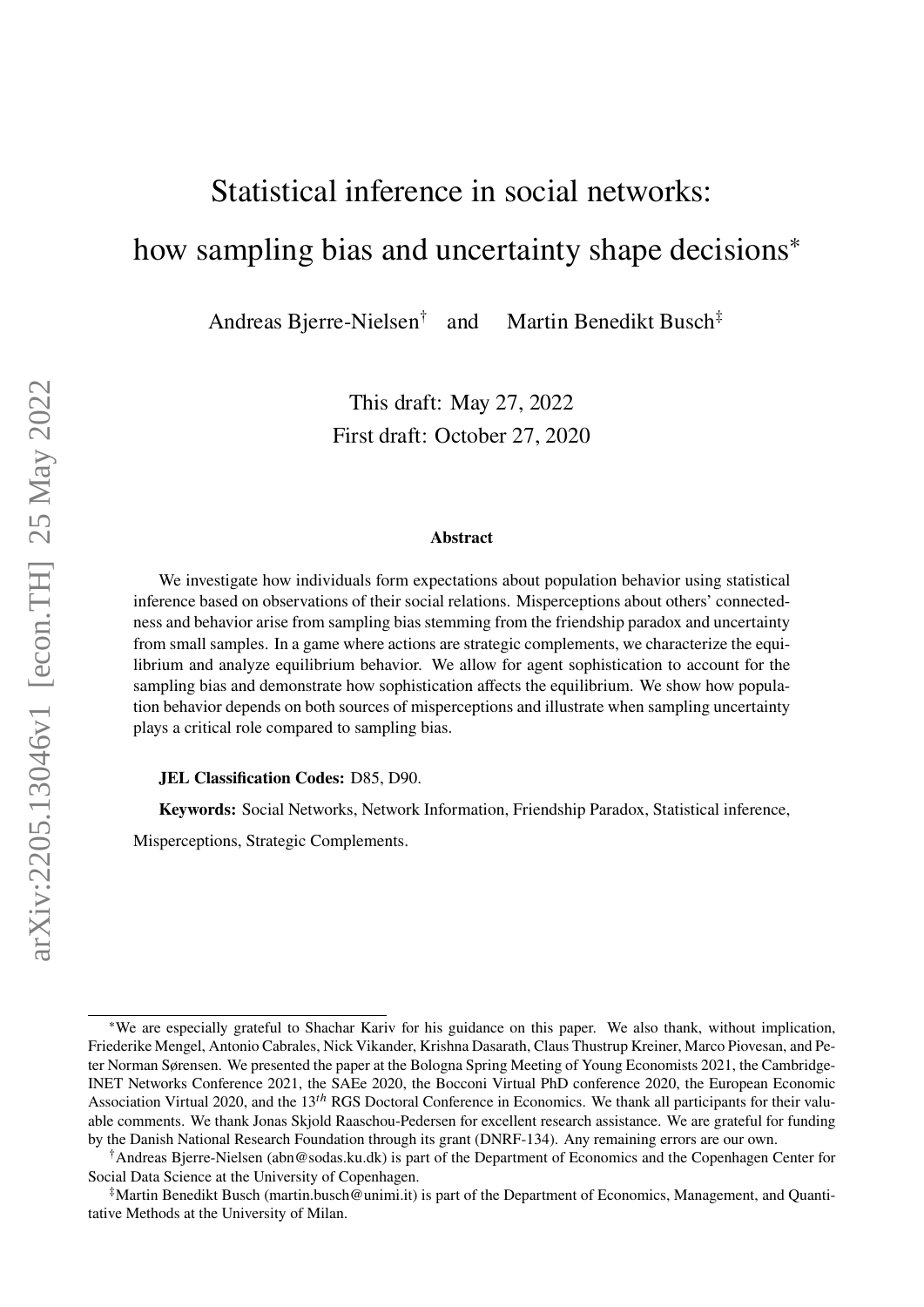# Statistical inference in social networks: how sampling bias and uncertainty shape decisions<sup>\*</sup>

Andreas Bjerre-Nielsen† and Martin Benedikt Busch‡

> This draft: May 27, 2022 First draft: October 27, 2020

#### **Abstract**

We investigate how individuals form expectations about population behavior using statistical inference based on observations of their social relations. Misperceptions about others' connectedness and behavior arise from sampling bias stemming from the friendship paradox and uncertainty from small samples. In a game where actions are strategic complements, we characterize the equilibrium and analyze equilibrium behavior. We allow for agent sophistication to account for the sampling bias and demonstrate how sophistication affects the equilibrium. We show how population behavior depends on both sources of misperceptions and illustrate when sampling uncertainty plays a critical role compared to sampling bias.

**JEL Classification Codes:** D85, D90.

**Keywords:** Social Networks, Network Information, Friendship Paradox, Statistical inference,

Misperceptions, Strategic Complements.

<sup>∗</sup>We are especially grateful to Shachar Kariv for his guidance on this paper. We also thank, without implication, Friederike Mengel, Antonio Cabrales, Nick Vikander, Krishna Dasarath, Claus Thustrup Kreiner, Marco Piovesan, and Peter Norman Sørensen. We presented the paper at the Bologna Spring Meeting of Young Economists 2021, the Cambridge-INET Networks Conference 2021, the SAEe 2020, the Bocconi Virtual PhD conference 2020, the European Economic Association Virtual 2020, and the 13<sup>th</sup> RGS Doctoral Conference in Economics. We thank all participants for their valuable comments. We thank Jonas Skjold Raaschou-Pedersen for excellent research assistance. We are grateful for funding by the Danish National Research Foundation through its grant (DNRF-134). Any remaining errors are our own.

<sup>†</sup>Andreas Bjerre-Nielsen (abn@sodas.ku.dk) is part of the Department of Economics and the Copenhagen Center for Social Data Science at the University of Copenhagen.

<sup>‡</sup>Martin Benedikt Busch (martin.busch@unimi.it) is part of the Department of Economics, Management, and Quantitative Methods at the University of Milan.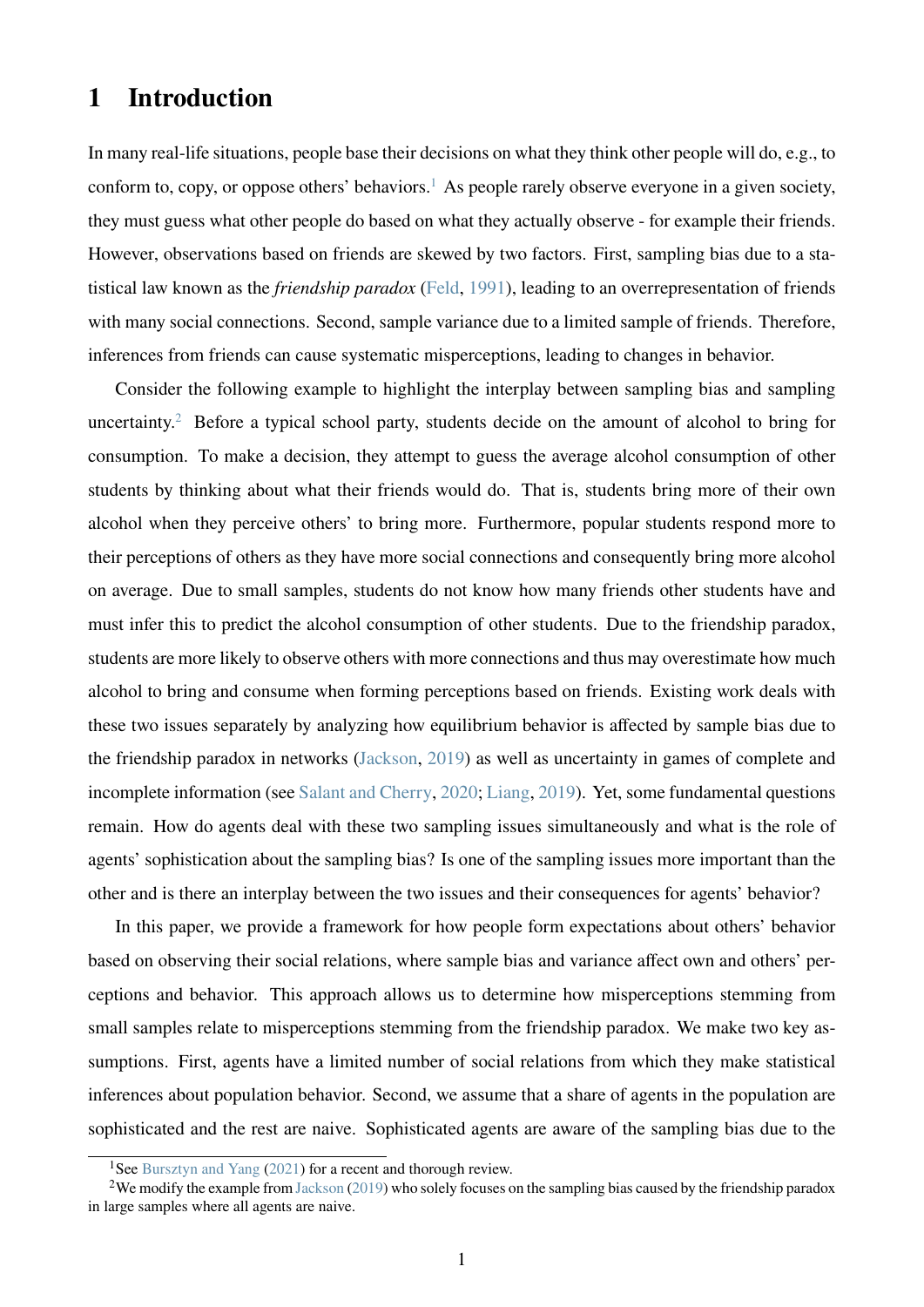# **1 Introduction**

In many real-life situations, people base their decisions on what they think other people will do, e.g., to conform to, copy, or oppose others' behaviors.<sup>[1](#page-1-0)</sup> As people rarely observe everyone in a given society, they must guess what other people do based on what they actually observe - for example their friends. However, observations based on friends are skewed by two factors. First, sampling bias due to a statistical law known as the *friendship paradox* [\(Feld,](#page-24-0) [1991\)](#page-24-0), leading to an overrepresentation of friends with many social connections. Second, sample variance due to a limited sample of friends. Therefore, inferences from friends can cause systematic misperceptions, leading to changes in behavior.

Consider the following example to highlight the interplay between sampling bias and sampling uncertainty.<sup>[2](#page-1-1)</sup> Before a typical school party, students decide on the amount of alcohol to bring for consumption. To make a decision, they attempt to guess the average alcohol consumption of other students by thinking about what their friends would do. That is, students bring more of their own alcohol when they perceive others' to bring more. Furthermore, popular students respond more to their perceptions of others as they have more social connections and consequently bring more alcohol on average. Due to small samples, students do not know how many friends other students have and must infer this to predict the alcohol consumption of other students. Due to the friendship paradox, students are more likely to observe others with more connections and thus may overestimate how much alcohol to bring and consume when forming perceptions based on friends. Existing work deals with these two issues separately by analyzing how equilibrium behavior is affected by sample bias due to the friendship paradox in networks [\(Jackson,](#page-24-1) [2019\)](#page-24-1) as well as uncertainty in games of complete and incomplete information (see [Salant and Cherry,](#page-25-0) [2020;](#page-25-0) [Liang,](#page-25-1) [2019\)](#page-25-1). Yet, some fundamental questions remain. How do agents deal with these two sampling issues simultaneously and what is the role of agents' sophistication about the sampling bias? Is one of the sampling issues more important than the other and is there an interplay between the two issues and their consequences for agents' behavior?

In this paper, we provide a framework for how people form expectations about others' behavior based on observing their social relations, where sample bias and variance affect own and others' perceptions and behavior. This approach allows us to determine how misperceptions stemming from small samples relate to misperceptions stemming from the friendship paradox. We make two key assumptions. First, agents have a limited number of social relations from which they make statistical inferences about population behavior. Second, we assume that a share of agents in the population are sophisticated and the rest are naive. Sophisticated agents are aware of the sampling bias due to the

<span id="page-1-1"></span><span id="page-1-0"></span><sup>&</sup>lt;sup>1</sup>See [Bursztyn and Yang](#page-24-2) [\(2021\)](#page-24-2) for a recent and thorough review.

<sup>&</sup>lt;sup>2</sup>We modify the example from [Jackson](#page-24-1) [\(2019\)](#page-24-1) who solely focuses on the sampling bias caused by the friendship paradox in large samples where all agents are naive.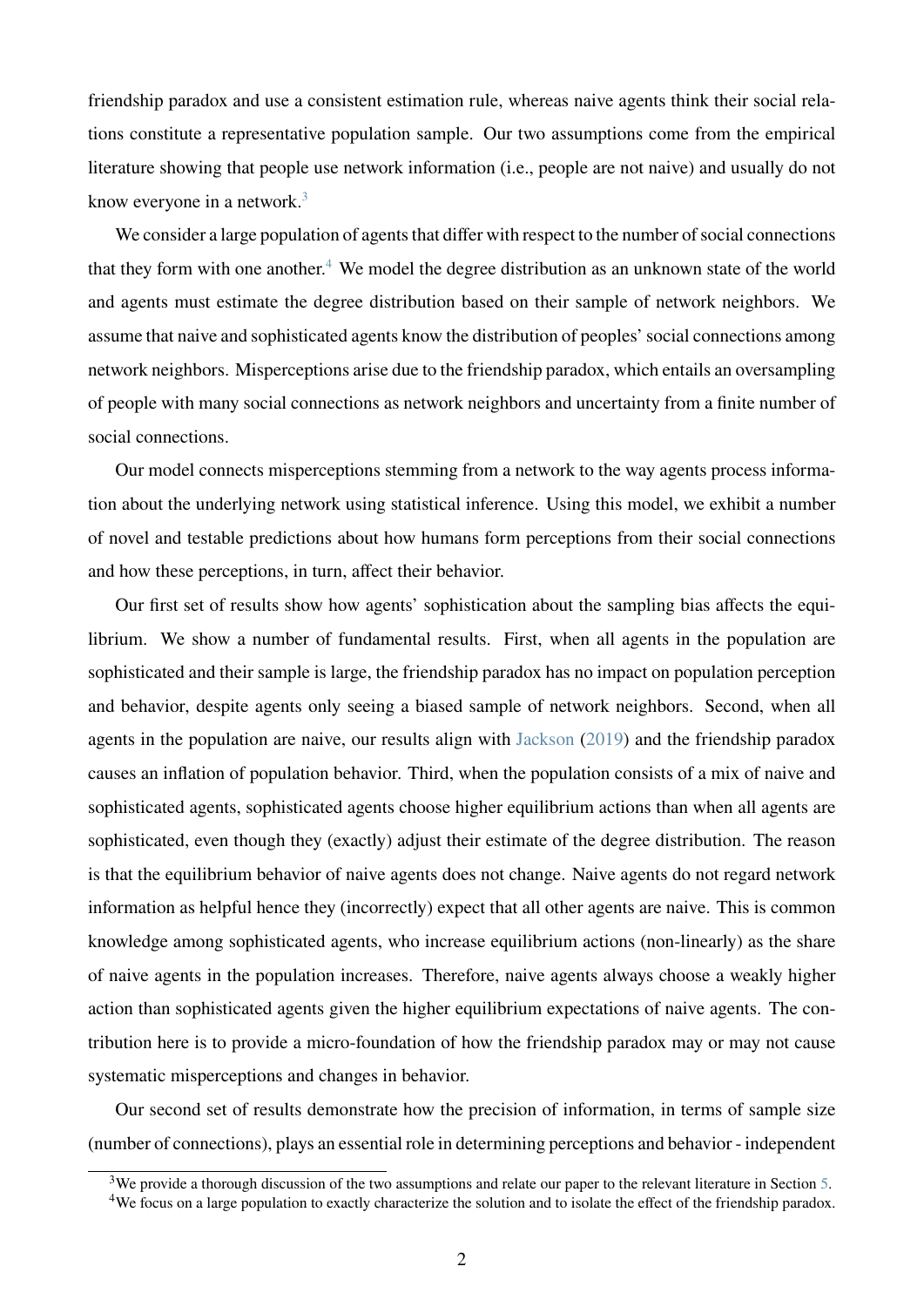friendship paradox and use a consistent estimation rule, whereas naive agents think their social relations constitute a representative population sample. Our two assumptions come from the empirical literature showing that people use network information (i.e., people are not naive) and usually do not know everyone in a network.<sup>[3](#page-2-0)</sup>

We consider a large population of agents that differ with respect to the number of social connections that they form with one another.<sup>[4](#page-2-1)</sup> We model the degree distribution as an unknown state of the world and agents must estimate the degree distribution based on their sample of network neighbors. We assume that naive and sophisticated agents know the distribution of peoples' social connections among network neighbors. Misperceptions arise due to the friendship paradox, which entails an oversampling of people with many social connections as network neighbors and uncertainty from a finite number of social connections.

Our model connects misperceptions stemming from a network to the way agents process information about the underlying network using statistical inference. Using this model, we exhibit a number of novel and testable predictions about how humans form perceptions from their social connections and how these perceptions, in turn, affect their behavior.

Our first set of results show how agents' sophistication about the sampling bias affects the equilibrium. We show a number of fundamental results. First, when all agents in the population are sophisticated and their sample is large, the friendship paradox has no impact on population perception and behavior, despite agents only seeing a biased sample of network neighbors. Second, when all agents in the population are naive, our results align with [Jackson](#page-24-1) [\(2019\)](#page-24-1) and the friendship paradox causes an inflation of population behavior. Third, when the population consists of a mix of naive and sophisticated agents, sophisticated agents choose higher equilibrium actions than when all agents are sophisticated, even though they (exactly) adjust their estimate of the degree distribution. The reason is that the equilibrium behavior of naive agents does not change. Naive agents do not regard network information as helpful hence they (incorrectly) expect that all other agents are naive. This is common knowledge among sophisticated agents, who increase equilibrium actions (non-linearly) as the share of naive agents in the population increases. Therefore, naive agents always choose a weakly higher action than sophisticated agents given the higher equilibrium expectations of naive agents. The contribution here is to provide a micro-foundation of how the friendship paradox may or may not cause systematic misperceptions and changes in behavior.

Our second set of results demonstrate how the precision of information, in terms of sample size (number of connections), plays an essential role in determining perceptions and behavior - independent

<span id="page-2-1"></span><span id="page-2-0"></span> $3$ We provide a thorough discussion of the two assumptions and relate our paper to the relevant literature in Section [5.](#page-19-0) <sup>4</sup>We focus on a large population to exactly characterize the solution and to isolate the effect of the friendship paradox.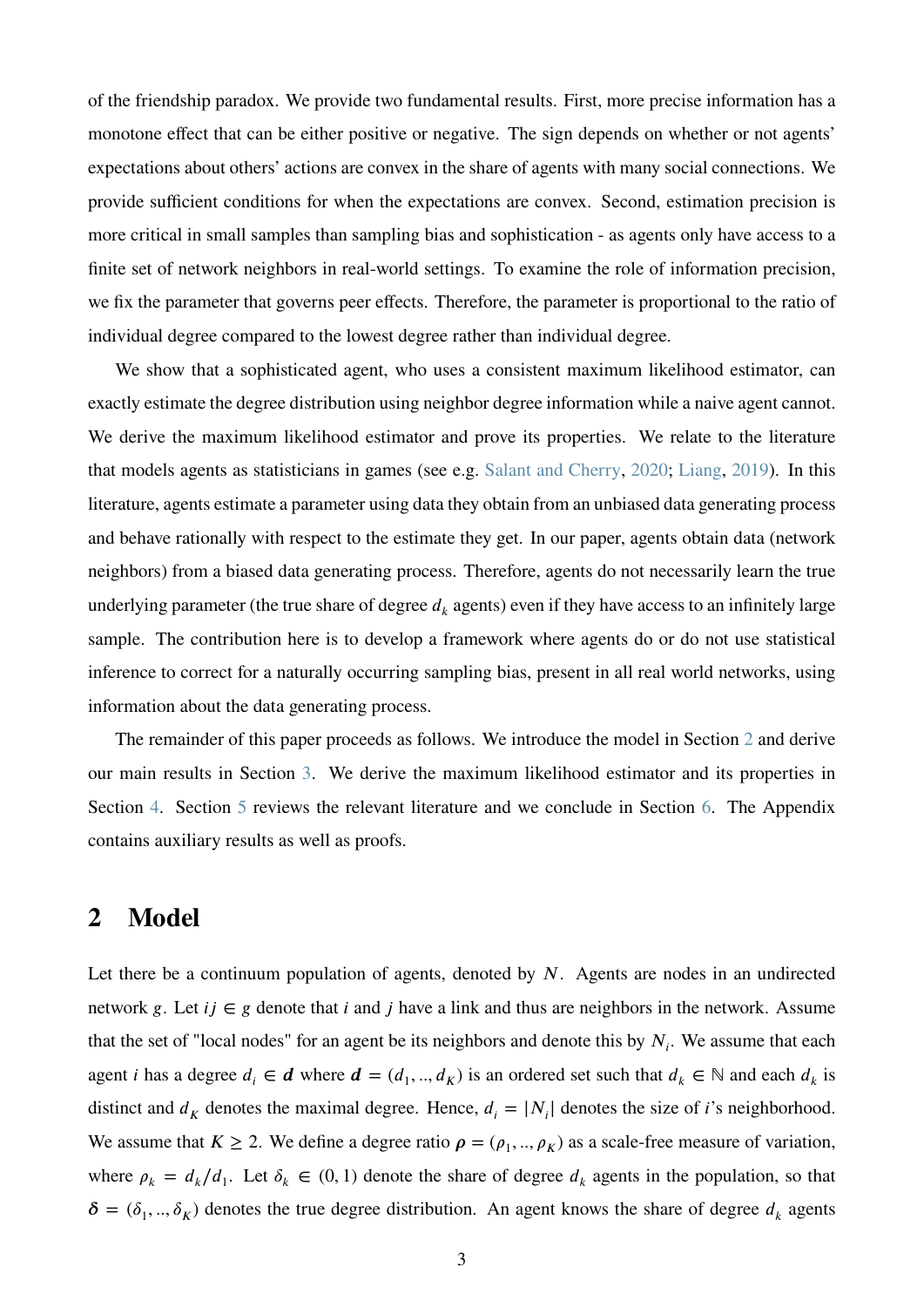of the friendship paradox. We provide two fundamental results. First, more precise information has a monotone effect that can be either positive or negative. The sign depends on whether or not agents' expectations about others' actions are convex in the share of agents with many social connections. We provide sufficient conditions for when the expectations are convex. Second, estimation precision is more critical in small samples than sampling bias and sophistication - as agents only have access to a finite set of network neighbors in real-world settings. To examine the role of information precision, we fix the parameter that governs peer effects. Therefore, the parameter is proportional to the ratio of individual degree compared to the lowest degree rather than individual degree.

We show that a sophisticated agent, who uses a consistent maximum likelihood estimator, can exactly estimate the degree distribution using neighbor degree information while a naive agent cannot. We derive the maximum likelihood estimator and prove its properties. We relate to the literature that models agents as statisticians in games (see e.g. [Salant and Cherry,](#page-25-0) [2020;](#page-25-0) [Liang,](#page-25-1) [2019\)](#page-25-1). In this literature, agents estimate a parameter using data they obtain from an unbiased data generating process and behave rationally with respect to the estimate they get. In our paper, agents obtain data (network neighbors) from a biased data generating process. Therefore, agents do not necessarily learn the true underlying parameter (the true share of degree  $d_k$  agents) even if they have access to an infinitely large sample. The contribution here is to develop a framework where agents do or do not use statistical inference to correct for a naturally occurring sampling bias, present in all real world networks, using information about the data generating process.

The remainder of this paper proceeds as follows. We introduce the model in Section [2](#page-3-0) and derive our main results in Section [3.](#page-6-0) We derive the maximum likelihood estimator and its properties in Section [4.](#page-17-0) Section [5](#page-19-0) reviews the relevant literature and we conclude in Section [6.](#page-22-0) The Appendix contains auxiliary results as well as proofs.

# <span id="page-3-0"></span>**2 Model**

Let there be a continuum population of agents, denoted by *N*. Agents are nodes in an undirected network *g*. Let  $ij \in g$  denote that *i* and *j* have a link and thus are neighbors in the network. Assume that the set of "local nodes" for an agent be its neighbors and denote this by  $N_i$ . We assume that each agent *i* has a degree  $d_i \in \mathbf{d}$  where  $\mathbf{d} = (d_1, ..., d_K)$  is an ordered set such that  $d_k \in \mathbb{N}$  and each  $d_k$  is distinct and  $d_K$  denotes the maximal degree. Hence,  $d_i = |N_i|$  denotes the size of *i*'s neighborhood. We assume that  $K \ge 2$ . We define a degree ratio  $\rho = (\rho_1, ..., \rho_K)$  as a scale-free measure of variation, where  $\rho_k = d_k/d_1$ . Let  $\delta_k \in (0, 1)$  denote the share of degree  $d_k$  agents in the population, so that  $\delta = (\delta_1, ..., \delta_K)$  denotes the true degree distribution. An agent knows the share of degree  $d_k$  agents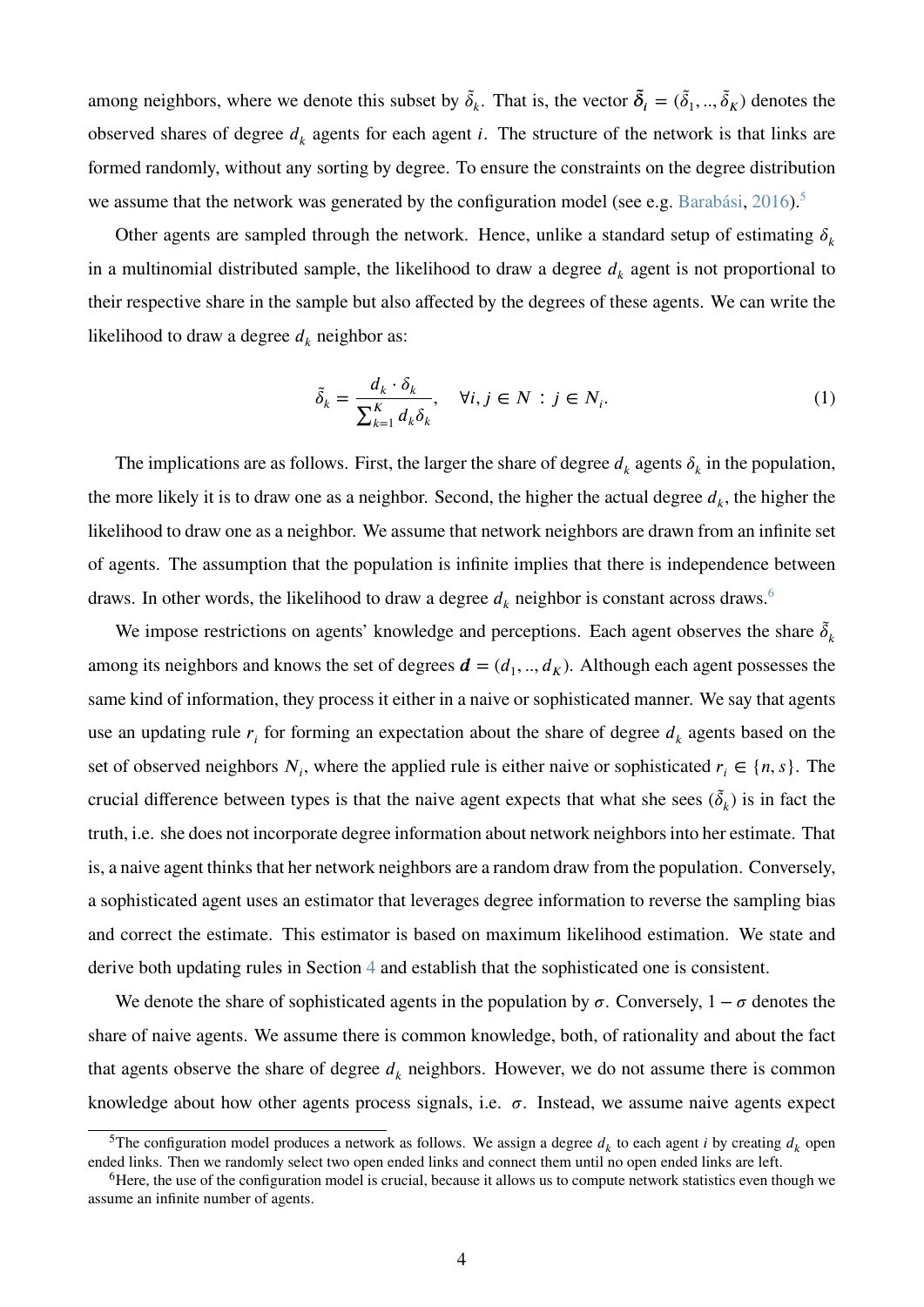among neighbors, where we denote this subset by  $\tilde{\delta}_k$ . That is, the vector  $\tilde{\delta}_i = (\tilde{\delta}_1, ..., \tilde{\delta}_K)$  denotes the observed shares of degree  $d_k$  agents for each agent *i*. The structure of the network is that links are formed randomly, without any sorting by degree. To ensure the constraints on the degree distribution we assume that the network was generated by the configuration model (see e.g. [Barabási,](#page-24-3) [2016\)](#page-24-3).<sup>[5](#page-4-0)</sup>

Other agents are sampled through the network. Hence, unlike a standard setup of estimating  $\delta_k$ in a multinomial distributed sample, the likelihood to draw a degree  $d_k$  agent is not proportional to their respective share in the sample but also affected by the degrees of these agents. We can write the likelihood to draw a degree  $d_k$  neighbor as:

$$
\tilde{\delta}_k = \frac{d_k \cdot \delta_k}{\sum_{k=1}^K d_k \delta_k}, \quad \forall i, j \in N : j \in N_i.
$$
\n(1)

The implications are as follows. First, the larger the share of degree  $d_k$  agents  $\delta_k$  in the population, the more likely it is to draw one as a neighbor. Second, the higher the actual degree  $d_k$ , the higher the likelihood to draw one as a neighbor. We assume that network neighbors are drawn from an infinite set of agents. The assumption that the population is infinite implies that there is independence between draws. In other words, the likelihood to draw a degree  $d_k$  neighbor is constant across draws.<sup>[6](#page-4-1)</sup>

We impose restrictions on agents' knowledge and perceptions. Each agent observes the share  $\tilde{\delta}_k$ among its neighbors and knows the set of degrees  $\boldsymbol{d} = (d_1, ..., d_K)$ . Although each agent possesses the same kind of information, they process it either in a naive or sophisticated manner. We say that agents use an updating rule  $r_i$  for forming an expectation about the share of degree  $d_k$  agents based on the set of observed neighbors  $N_i$ , where the applied rule is either naive or sophisticated  $r_i \in \{n, s\}$ . The crucial difference between types is that the naive agent expects that what she sees  $(\tilde{\delta}_k)$  is in fact the truth, i.e. she does not incorporate degree information about network neighbors into her estimate. That is, a naive agent thinks that her network neighbors are a random draw from the population. Conversely, a sophisticated agent uses an estimator that leverages degree information to reverse the sampling bias and correct the estimate. This estimator is based on maximum likelihood estimation. We state and derive both updating rules in Section [4](#page-17-0) and establish that the sophisticated one is consistent.

We denote the share of sophisticated agents in the population by  $\sigma$ . Conversely,  $1 - \sigma$  denotes the share of naive agents. We assume there is common knowledge, both, of rationality and about the fact that agents observe the share of degree  $d_k$  neighbors. However, we do not assume there is common knowledge about how other agents process signals, i.e.  $\sigma$ . Instead, we assume naive agents expect

<span id="page-4-0"></span><sup>&</sup>lt;sup>5</sup>The configuration model produces a network as follows. We assign a degree  $d_k$  to each agent *i* by creating  $d_k$  open ended links. Then we randomly select two open ended links and connect them until no open ended links are left.

<span id="page-4-1"></span><sup>&</sup>lt;sup>6</sup>Here, the use of the configuration model is crucial, because it allows us to compute network statistics even though we assume an infinite number of agents.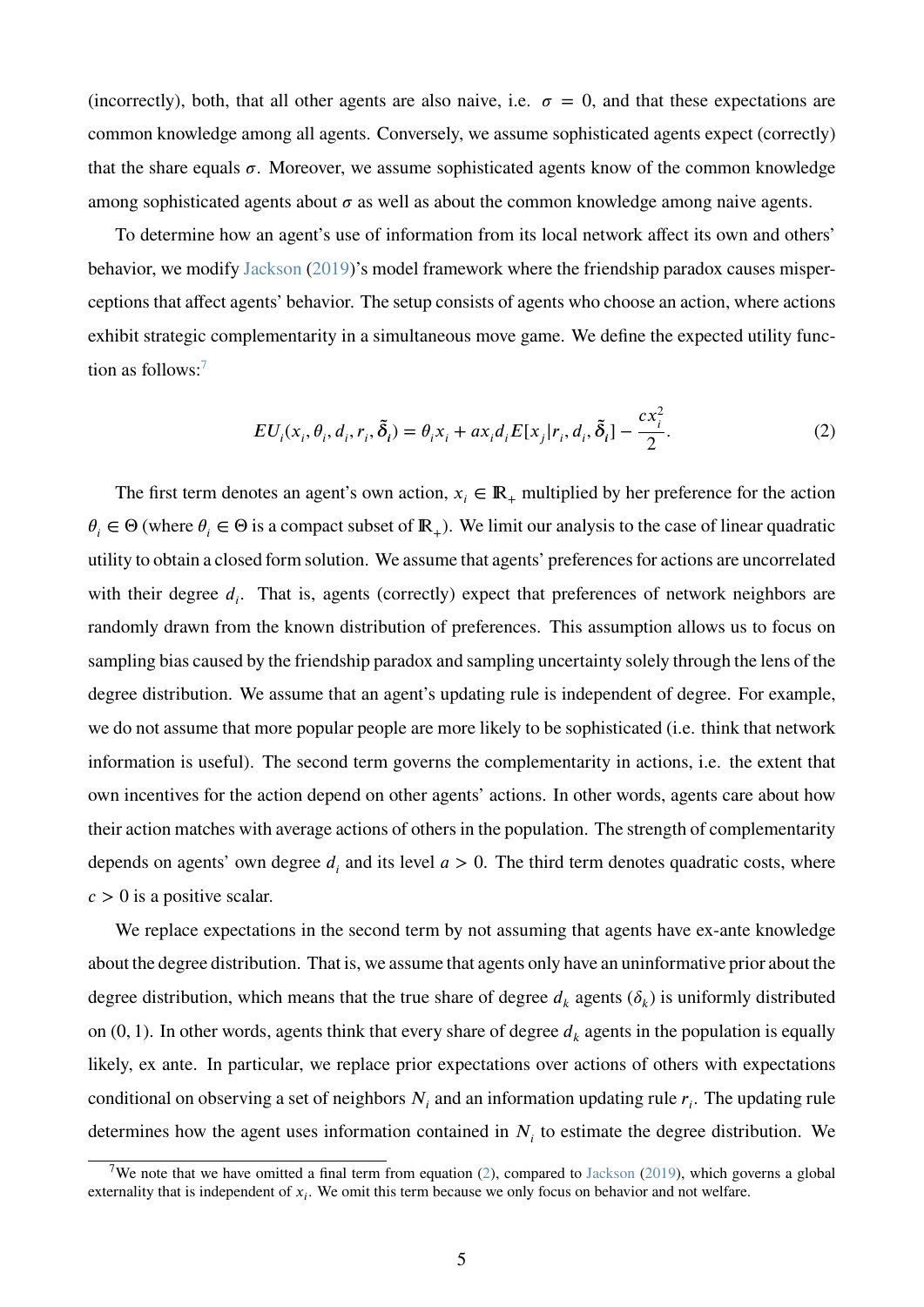(incorrectly), both, that all other agents are also naive, i.e.  $\sigma = 0$ , and that these expectations are common knowledge among all agents. Conversely, we assume sophisticated agents expect (correctly) that the share equals  $\sigma$ . Moreover, we assume sophisticated agents know of the common knowledge among sophisticated agents about  $\sigma$  as well as about the common knowledge among naive agents.

To determine how an agent's use of information from its local network affect its own and others' behavior, we modify [Jackson](#page-24-1) [\(2019\)](#page-24-1)'s model framework where the friendship paradox causes misperceptions that affect agents' behavior. The setup consists of agents who choose an action, where actions exhibit strategic complementarity in a simultaneous move game. We define the expected utility function as follows: $<sup>7</sup>$  $<sup>7</sup>$  $<sup>7</sup>$ </sup>

<span id="page-5-1"></span>
$$
EU_i(x_i, \theta_i, d_i, r_i, \tilde{\delta}_i) = \theta_i x_i + ax_i d_i E[x_j | r_i, d_i, \tilde{\delta}_i] - \frac{cx_i^2}{2}.
$$
\n<sup>(2)</sup>

The first term denotes an agent's own action,  $x_i \in \mathbb{R}_+$  multiplied by her preference for the action  $\theta_i \in \Theta$  (where  $\theta_i \in \Theta$  is a compact subset of  $\mathbb{R}_+$ ). We limit our analysis to the case of linear quadratic utility to obtain a closed form solution. We assume that agents' preferences for actions are uncorrelated with their degree  $d_i$ . That is, agents (correctly) expect that preferences of network neighbors are randomly drawn from the known distribution of preferences. This assumption allows us to focus on sampling bias caused by the friendship paradox and sampling uncertainty solely through the lens of the degree distribution. We assume that an agent's updating rule is independent of degree. For example, we do not assume that more popular people are more likely to be sophisticated (i.e. think that network information is useful). The second term governs the complementarity in actions, i.e. the extent that own incentives for the action depend on other agents' actions. In other words, agents care about how their action matches with average actions of others in the population. The strength of complementarity depends on agents' own degree  $d_i$  and its level  $a > 0$ . The third term denotes quadratic costs, where  $c > 0$  is a positive scalar.

We replace expectations in the second term by not assuming that agents have ex-ante knowledge about the degree distribution. That is, we assume that agents only have an uninformative prior about the degree distribution, which means that the true share of degree  $d_k$  agents  $(\delta_k)$  is uniformly distributed on  $(0, 1)$ . In other words, agents think that every share of degree  $d_k$  agents in the population is equally likely, ex ante. In particular, we replace prior expectations over actions of others with expectations conditional on observing a set of neighbors  $N_i$  and an information updating rule  $r_i$ . The updating rule determines how the agent uses information contained in  $N_i$  to estimate the degree distribution. We

<span id="page-5-0"></span><sup>&</sup>lt;sup>7</sup>We note that we have omitted a final term from equation  $(2)$ , compared to [Jackson](#page-24-1)  $(2019)$ , which governs a global externality that is independent of  $x_i$ . We omit this term because we only focus on behavior and not welfare.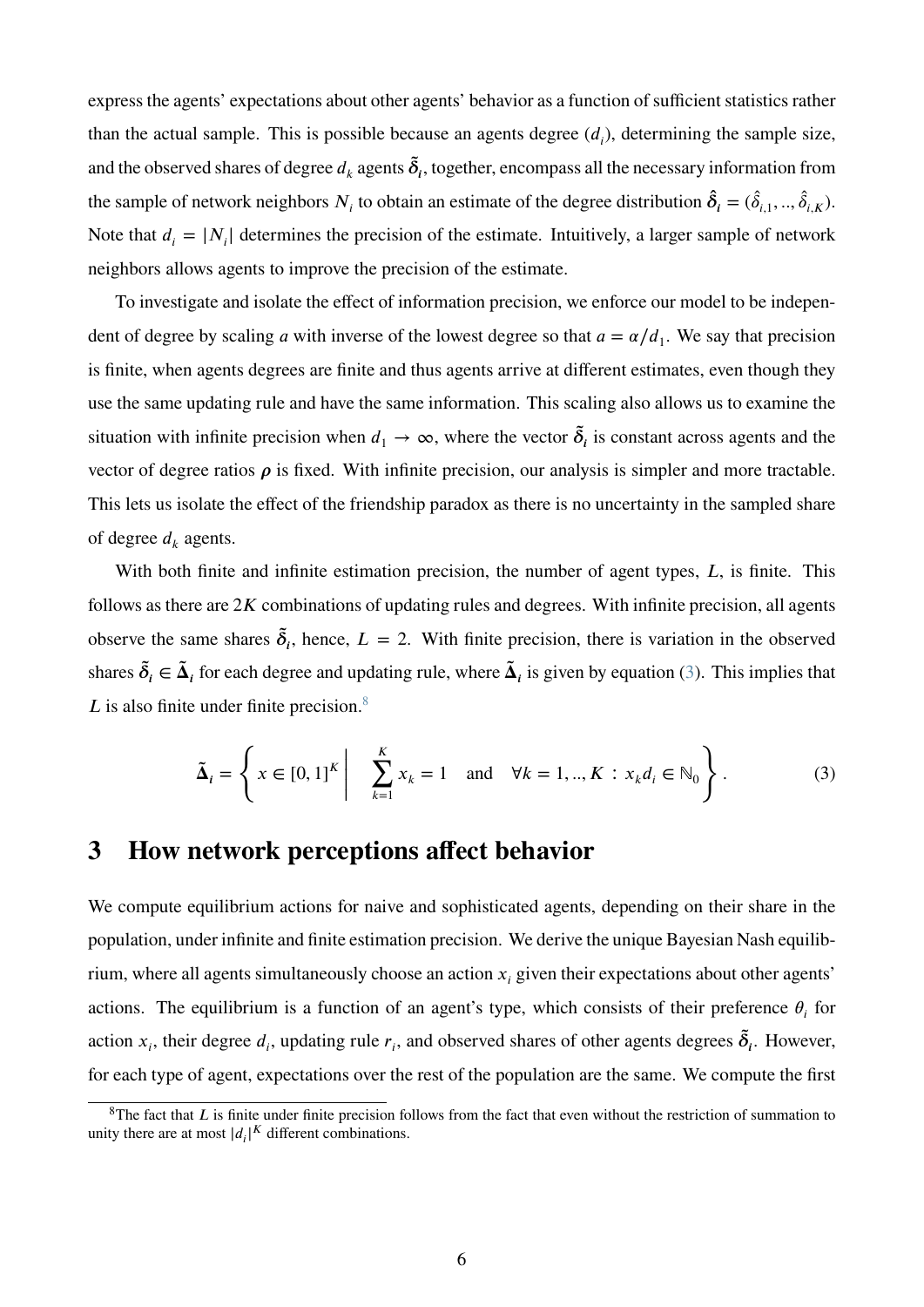express the agents' expectations about other agents' behavior as a function of sufficient statistics rather than the actual sample. This is possible because an agents degree  $(d_i)$ , determining the sample size, and the observed shares of degree  $d_k$  agents  $\tilde{\delta}_i$ , together, encompass all the necessary information from the sample of network neighbors  $N_i$  to obtain an estimate of the degree distribution  $\hat{\delta}_i = (\hat{\delta}_{i,1},...,\hat{\delta}_{i,K})$ . Note that  $d_i = |N_i|$  determines the precision of the estimate. Intuitively, a larger sample of network neighbors allows agents to improve the precision of the estimate.

To investigate and isolate the effect of information precision, we enforce our model to be independent of degree by scaling *a* with inverse of the lowest degree so that  $a = \alpha/d_1$ . We say that precision is finite, when agents degrees are finite and thus agents arrive at different estimates, even though they use the same updating rule and have the same information. This scaling also allows us to examine the situation with infinite precision when  $d_1 \to \infty$ , where the vector  $\tilde{\delta}_i$  is constant across agents and the vector of degree ratios  $\rho$  is fixed. With infinite precision, our analysis is simpler and more tractable. This lets us isolate the effect of the friendship paradox as there is no uncertainty in the sampled share of degree  $d_k$  agents.

With both finite and infinite estimation precision, the number of agent types, *L*, is finite. This follows as there are  $2K$  combinations of updating rules and degrees. With infinite precision, all agents observe the same shares  $\tilde{\delta}_i$ , hence,  $L = 2$ . With finite precision, there is variation in the observed shares  $\tilde{\delta}_i \in \tilde{\Delta}_i$  for each degree and updating rule, where  $\tilde{\Delta}_i$  is given by equation [\(3\)](#page-6-1). This implies that *L* is also finite under finite precision.<sup>[8](#page-6-2)</sup>

<span id="page-6-1"></span>
$$
\tilde{\Delta}_i = \left\{ x \in [0,1]^K \middle| \sum_{k=1}^K x_k = 1 \text{ and } \forall k = 1, ..., K : x_k d_i \in \mathbb{N}_0 \right\}.
$$
 (3)

# <span id="page-6-0"></span>**3 How network perceptions affect behavior**

We compute equilibrium actions for naive and sophisticated agents, depending on their share in the population, under infinite and finite estimation precision. We derive the unique Bayesian Nash equilibrium, where all agents simultaneously choose an action  $x_i$  given their expectations about other agents' actions. The equilibrium is a function of an agent's type, which consists of their preference  $\theta_i$  for action  $x_i$ , their degree  $d_i$ , updating rule  $r_i$ , and observed shares of other agents degrees  $\tilde{\delta}_i$ . However, for each type of agent, expectations over the rest of the population are the same. We compute the first

<span id="page-6-2"></span> $8$ The fact that *L* is finite under finite precision follows from the fact that even without the restriction of summation to unity there are at most  $|d_i|^K$  different combinations.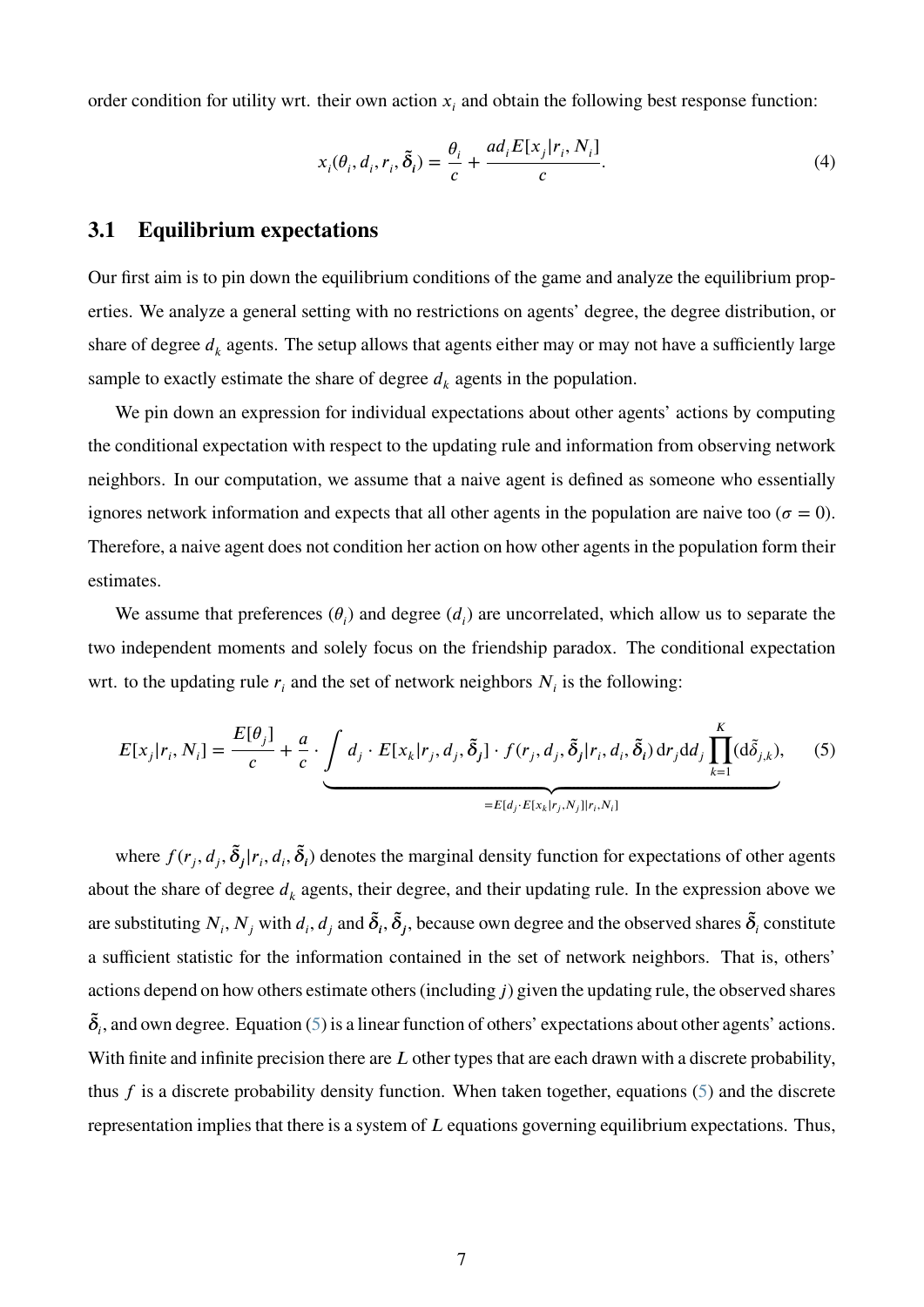order condition for utility wrt. their own action  $x_i$  and obtain the following best response function:

<span id="page-7-1"></span>
$$
x_i(\theta_i, d_i, r_i, \tilde{\delta}_i) = \frac{\theta_i}{c} + \frac{ad_i E[x_j | r_i, N_i]}{c}.
$$
\n<sup>(4)</sup>

### **3.1 Equilibrium expectations**

Our first aim is to pin down the equilibrium conditions of the game and analyze the equilibrium properties. We analyze a general setting with no restrictions on agents' degree, the degree distribution, or share of degree  $d_k$  agents. The setup allows that agents either may or may not have a sufficiently large sample to exactly estimate the share of degree  $d_k$  agents in the population.

We pin down an expression for individual expectations about other agents' actions by computing the conditional expectation with respect to the updating rule and information from observing network neighbors. In our computation, we assume that a naive agent is defined as someone who essentially ignores network information and expects that all other agents in the population are naive too ( $\sigma = 0$ ). Therefore, a naive agent does not condition her action on how other agents in the population form their estimates.

We assume that preferences  $(\theta_i)$  and degree  $(d_i)$  are uncorrelated, which allow us to separate the two independent moments and solely focus on the friendship paradox. The conditional expectation wrt. to the updating rule  $r_i$  and the set of network neighbors  $N_i$  is the following:

<span id="page-7-0"></span>
$$
E[x_j|r_i, N_i] = \frac{E[\theta_j]}{c} + \frac{a}{c} \cdot \underbrace{\int d_j \cdot E[x_k|r_j, d_j, \tilde{\delta}_j] \cdot f(r_j, d_j, \tilde{\delta}_j|r_i, d_i, \tilde{\delta}_i) dr_j dd_j \prod_{k=1}^K (\mathrm{d}\tilde{\delta}_{j,k})}_{= E[d_j \cdot E[x_k|r_j, N_j] | r_i, N_i]}
$$
(5)

where  $f(r_j, d_j, \tilde{\delta}_j | r_i, d_i, \tilde{\delta}_i)$  denotes the marginal density function for expectations of other agents about the share of degree  $d_k$  agents, their degree, and their updating rule. In the expression above we are substituting  $N_i, N_j$  with  $d_i, d_j$  and  $\tilde{\delta}_i, \tilde{\delta}_j$ , because own degree and the observed shares  $\tilde{\delta}_i$  constitute a sufficient statistic for the information contained in the set of network neighbors. That is, others' actions depend on how others estimate others (including *j*) given the updating rule, the observed shares  $\tilde{\delta}_i$ , and own degree. Equation [\(5\)](#page-7-0) is a linear function of others' expectations about other agents' actions. With finite and infinite precision there are *L* other types that are each drawn with a discrete probability, thus *f* is a discrete probability density function. When taken together, equations [\(5\)](#page-7-0) and the discrete representation implies that there is a system of *L* equations governing equilibrium expectations. Thus,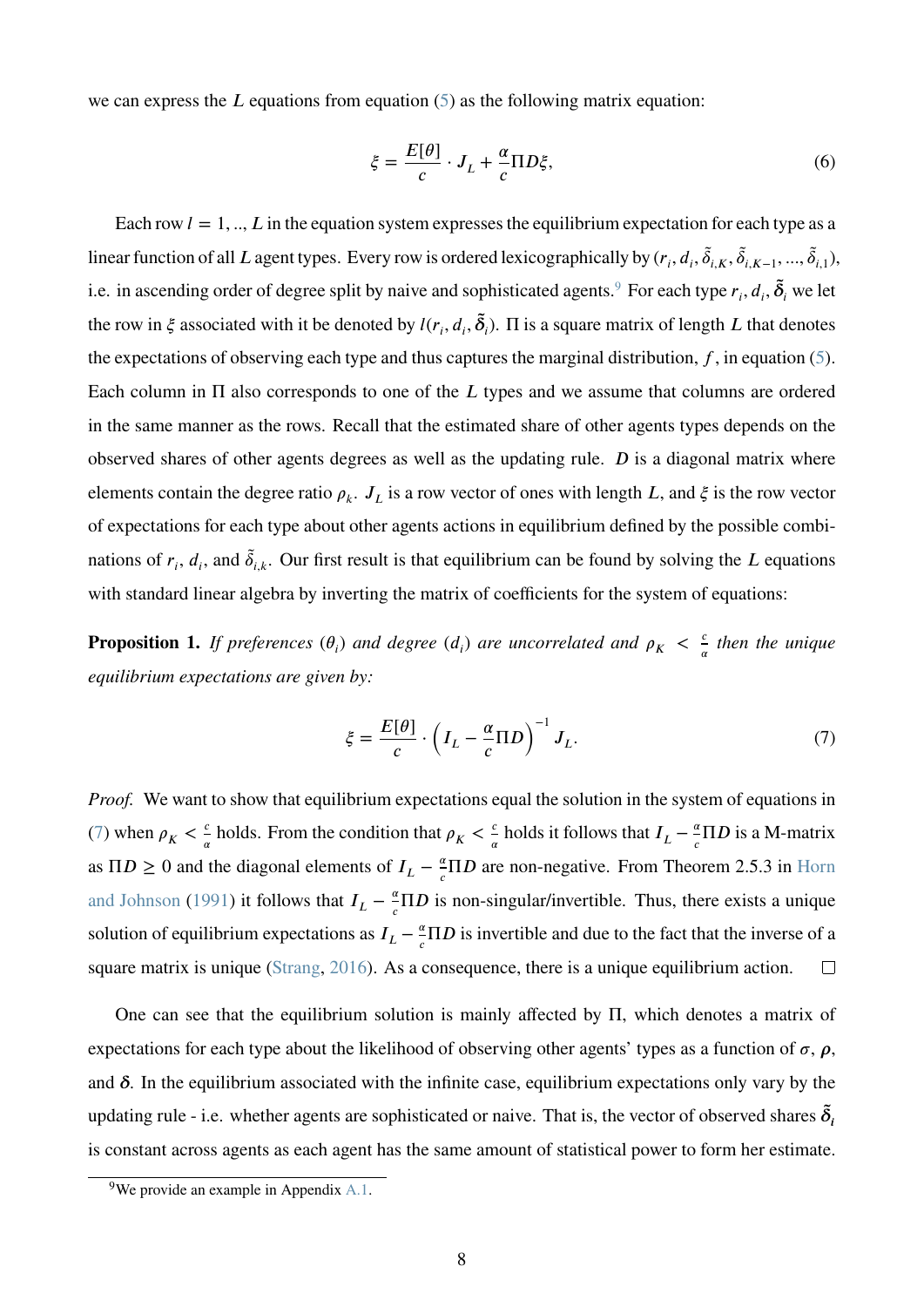we can express the  $L$  equations from equation  $(5)$  as the following matrix equation:

<span id="page-8-3"></span>
$$
\xi = \frac{E[\theta]}{c} \cdot J_L + \frac{\alpha}{c} \Pi D \xi,\tag{6}
$$

Each row  $l = 1, \dots, L$  in the equation system expresses the equilibrium expectation for each type as a linear function of all *L* agent types. Every row is ordered lexicographically by  $(r_i, d_i, \tilde{\delta}_{i,K}, \tilde{\delta}_{i,K-1}, ..., \tilde{\delta}_{i,1}),$ i.e. in ascending order of degree split by naive and sophisticated agents.<sup>[9](#page-8-0)</sup> For each type  $r_i$ ,  $d_i$ ,  $\tilde{\delta}_i$  we let the row in  $\xi$  associated with it be denoted by  $l(r_i, d_i, \tilde{\delta}_i)$ .  $\Pi$  is a square matrix of length  $L$  that denotes the expectations of observing each type and thus captures the marginal distribution,  $f$ , in equation [\(5\)](#page-7-0). Each column in  $\Pi$  also corresponds to one of the  $L$  types and we assume that columns are ordered in the same manner as the rows. Recall that the estimated share of other agents types depends on the observed shares of other agents degrees as well as the updating rule. *D* is a diagonal matrix where elements contain the degree ratio  $\rho_k$ .  $J_L$  is a row vector of ones with length *L*, and  $\xi$  is the row vector of expectations for each type about other agents actions in equilibrium defined by the possible combinations of  $r_i$ ,  $d_i$ , and  $\tilde{\delta}_{i,k}$ . Our first result is that equilibrium can be found by solving the *L* equations with standard linear algebra by inverting the matrix of coefficients for the system of equations:

<span id="page-8-2"></span>**Proposition 1.** *If preferences*  $(\theta_i)$  *and degree*  $(d_i)$  *are uncorrelated and*  $\rho_K < \frac{d}{d}$  $\frac{c}{\alpha}$  then the unique *equilibrium expectations are given by:*

<span id="page-8-1"></span>
$$
\xi = \frac{E[\theta]}{c} \cdot \left( I_L - \frac{\alpha}{c} \Pi D \right)^{-1} J_L. \tag{7}
$$

*Proof.* We want to show that equilibrium expectations equal the solution in the system of equations in [\(7\)](#page-8-1) when  $\rho_K < \frac{c}{a}$  $\frac{c}{\alpha}$  holds. From the condition that  $\rho_K < \frac{c}{\alpha}$  $\frac{c}{\alpha}$  holds it follows that  $I_L - \frac{a}{c}$  $\frac{\alpha}{c} \Pi D$  is a M-matrix as  $\Pi D \geq 0$  and the diagonal elements of  $I_L - \frac{a}{c}$  $\frac{\alpha}{c} \Pi D$  are non-negative. From Theorem 2.5.3 in [Horn](#page-24-4) [and Johnson](#page-24-4) [\(1991\)](#page-24-4) it follows that  $I_L - \frac{a}{c}$  $\frac{\alpha}{c} \Pi D$  is non-singular/invertible. Thus, there exists a unique solution of equilibrium expectations as  $I_L - \frac{a}{c}$  $\frac{\alpha}{c} \Pi D$  is invertible and due to the fact that the inverse of a square matrix is unique [\(Strang,](#page-25-2) [2016\)](#page-25-2). As a consequence, there is a unique equilibrium action.  $\Box$ 

One can see that the equilibrium solution is mainly affected by Π, which denotes a matrix of expectations for each type about the likelihood of observing other agents' types as a function of  $\sigma$ ,  $\rho$ , and  $\delta$ . In the equilibrium associated with the infinite case, equilibrium expectations only vary by the updating rule - i.e. whether agents are sophisticated or naive. That is, the vector of observed shares  $\tilde{\delta}_i$ is constant across agents as each agent has the same amount of statistical power to form her estimate.

<span id="page-8-0"></span><sup>9</sup>We provide an example in Appendix [A.1.](#page-26-0)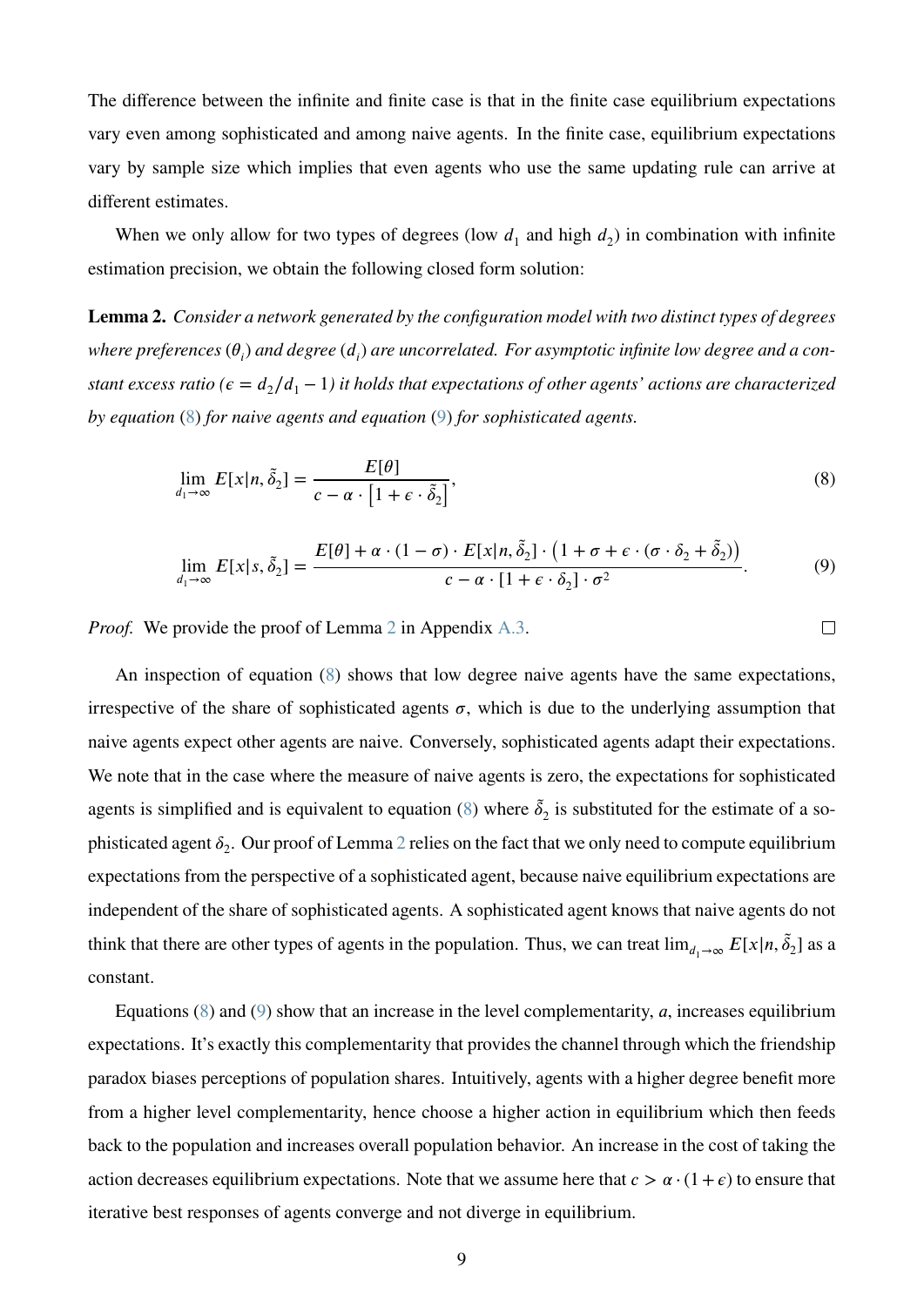The difference between the infinite and finite case is that in the finite case equilibrium expectations vary even among sophisticated and among naive agents. In the finite case, equilibrium expectations vary by sample size which implies that even agents who use the same updating rule can arrive at different estimates.

When we only allow for two types of degrees (low  $d_1$  and high  $d_2$ ) in combination with infinite estimation precision, we obtain the following closed form solution:

<span id="page-9-2"></span>**Lemma 2.** *Consider a network generated by the configuration model with two distinct types of degrees* where preferences  $(\theta_i)$  and degree  $(d_i)$  are uncorrelated. For asymptotic infinite low degree and a con*stant excess ratio (* $\epsilon = d_2/d_1 - 1$ ) *it holds that expectations of other agents' actions are characterized by equation* [\(8\)](#page-9-0) *for naive agents and equation* [\(9\)](#page-9-1) *for sophisticated agents.*

$$
\lim_{d_1 \to \infty} E[x|n, \tilde{\delta}_2] = \frac{E[\theta]}{c - \alpha \cdot [1 + \epsilon \cdot \tilde{\delta}_2]},
$$
\n(8)

$$
\lim_{d_1 \to \infty} E[x|s, \tilde{\delta}_2] = \frac{E[\theta] + \alpha \cdot (1 - \sigma) \cdot E[x|n, \tilde{\delta}_2] \cdot (1 + \sigma + \epsilon \cdot (\sigma \cdot \delta_2 + \tilde{\delta}_2))}{c - \alpha \cdot [1 + \epsilon \cdot \delta_2] \cdot \sigma^2}.
$$
(9)

<span id="page-9-1"></span><span id="page-9-0"></span> $\Box$ 

*Proof.* We provide the proof of Lemma [2](#page-9-2) in Appendix [A.3.](#page-31-0)

An inspection of equation [\(8\)](#page-9-0) shows that low degree naive agents have the same expectations, irrespective of the share of sophisticated agents  $\sigma$ , which is due to the underlying assumption that naive agents expect other agents are naive. Conversely, sophisticated agents adapt their expectations. We note that in the case where the measure of naive agents is zero, the expectations for sophisticated agents is simplified and is equivalent to equation [\(8\)](#page-9-0) where  $\tilde{\delta}_2$  is substituted for the estimate of a sophisticated agent  $\delta_2$  $\delta_2$ . Our proof of Lemma 2 relies on the fact that we only need to compute equilibrium expectations from the perspective of a sophisticated agent, because naive equilibrium expectations are independent of the share of sophisticated agents. A sophisticated agent knows that naive agents do not think that there are other types of agents in the population. Thus, we can treat  $\lim_{d_1\to\infty} E[x|n, \tilde{\delta}_2]$  as a constant.

Equations [\(8\)](#page-9-0) and [\(9\)](#page-9-1) show that an increase in the level complementarity, *a*, increases equilibrium expectations. It's exactly this complementarity that provides the channel through which the friendship paradox biases perceptions of population shares. Intuitively, agents with a higher degree benefit more from a higher level complementarity, hence choose a higher action in equilibrium which then feeds back to the population and increases overall population behavior. An increase in the cost of taking the action decreases equilibrium expectations. Note that we assume here that  $c > \alpha \cdot (1 + \epsilon)$  to ensure that iterative best responses of agents converge and not diverge in equilibrium.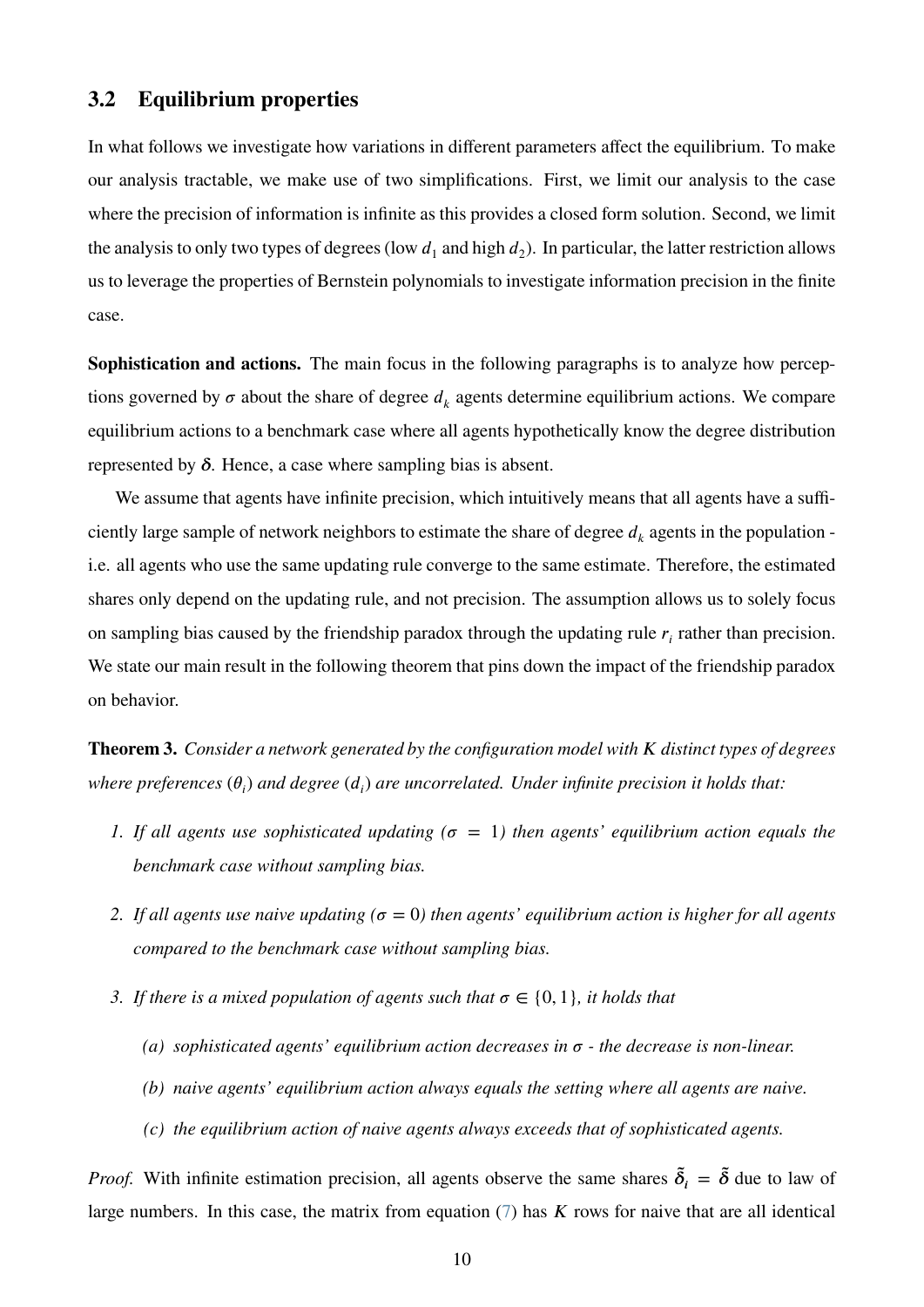### **3.2 Equilibrium properties**

In what follows we investigate how variations in different parameters affect the equilibrium. To make our analysis tractable, we make use of two simplifications. First, we limit our analysis to the case where the precision of information is infinite as this provides a closed form solution. Second, we limit the analysis to only two types of degrees (low  $d_1$  and high  $d_2$ ). In particular, the latter restriction allows us to leverage the properties of Bernstein polynomials to investigate information precision in the finite case.

**Sophistication and actions.** The main focus in the following paragraphs is to analyze how perceptions governed by  $\sigma$  about the share of degree  $d_k$  agents determine equilibrium actions. We compare equilibrium actions to a benchmark case where all agents hypothetically know the degree distribution represented by  $\delta$ . Hence, a case where sampling bias is absent.

We assume that agents have infinite precision, which intuitively means that all agents have a sufficiently large sample of network neighbors to estimate the share of degree  $d_k$  agents in the population i.e. all agents who use the same updating rule converge to the same estimate. Therefore, the estimated shares only depend on the updating rule, and not precision. The assumption allows us to solely focus on sampling bias caused by the friendship paradox through the updating rule  $r_i$  rather than precision. We state our main result in the following theorem that pins down the impact of the friendship paradox on behavior.

<span id="page-10-0"></span>**Theorem 3.** *Consider a network generated by the configuration model with K distinct types of degrees*  $\omega$  *where preferences*  $(\theta_i)$  *and degree*  $(d_i)$  *are uncorrelated. Under infinite precision it holds that:* 

- *1. If all agents use sophisticated updating* ( $\sigma = 1$ ) then agents' equilibrium action equals the *benchmark case without sampling bias.*
- 2. If all agents use naive updating ( $\sigma = 0$ ) then agents' equilibrium action is higher for all agents *compared to the benchmark case without sampling bias.*
- *3. If there is a mixed population of agents such that*  $\sigma \in \{0, 1\}$ *, it holds that* 
	- (a) *sophisticated agents' equilibrium action decreases in*  $\sigma$   *the decrease is non-linear.*
	- *(b) naive agents' equilibrium action always equals the setting where all agents are naive.*
	- *(c) the equilibrium action of naive agents always exceeds that of sophisticated agents.*

*Proof.* With infinite estimation precision, all agents observe the same shares  $\tilde{\delta}_i = \tilde{\delta}$  due to law of large numbers. In this case, the matrix from equation  $(7)$  has  $K$  rows for naive that are all identical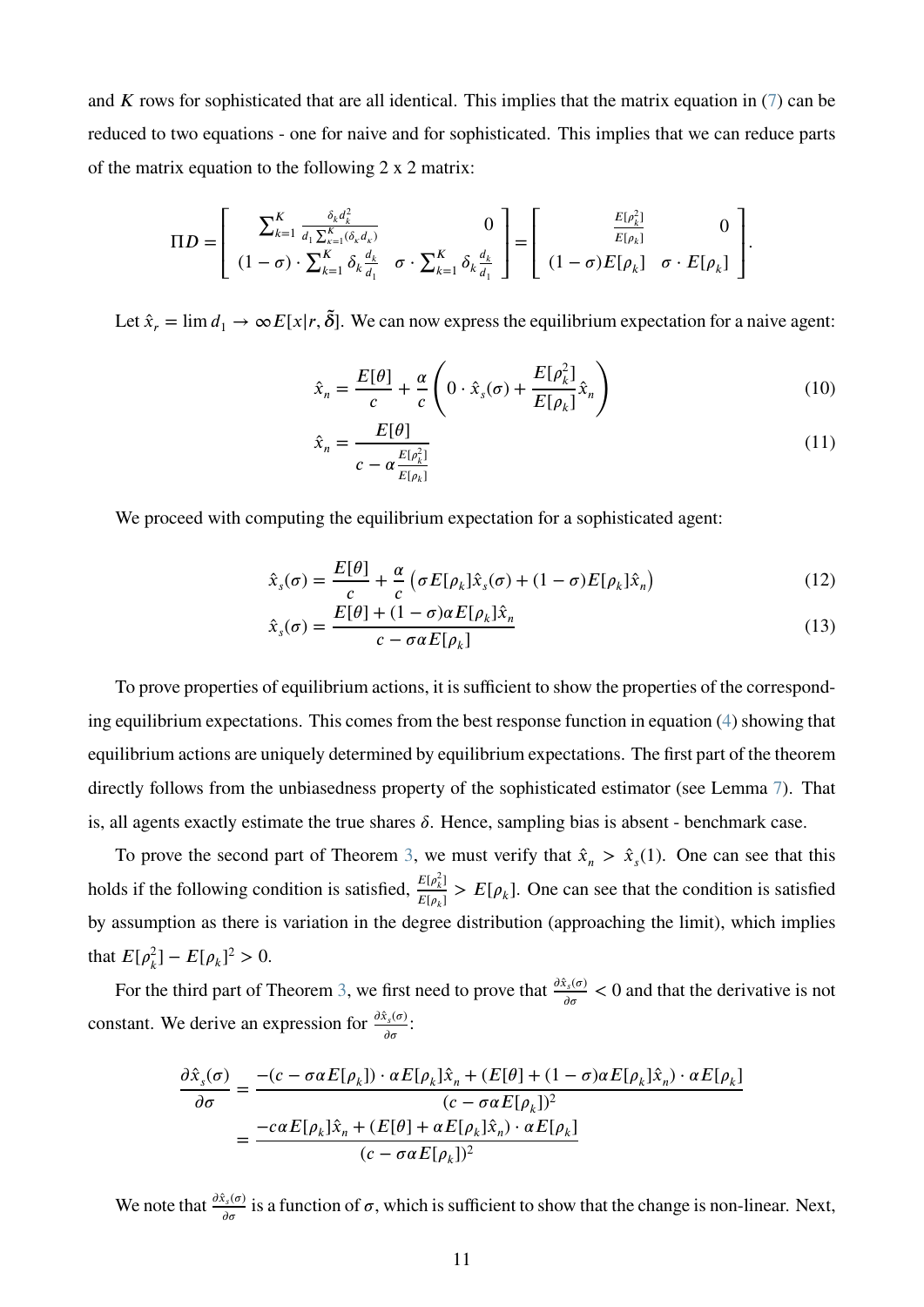and  $K$  rows for sophisticated that are all identical. This implies that the matrix equation in  $(7)$  can be reduced to two equations - one for naive and for sophisticated. This implies that we can reduce parts of the matrix equation to the following 2 x 2 matrix:

$$
\Pi D = \left[ \begin{array}{cc} \sum_{k=1}^{K} \frac{\delta_{k} d_{k}^{2}}{d_{1} \sum_{k=1}^{K} (\delta_{k} d_{k})} & 0 \\ (1 - \sigma) \cdot \sum_{k=1}^{K} \delta_{k} \frac{d_{k}}{d_{1}} & \sigma \cdot \sum_{k=1}^{K} \delta_{k} \frac{d_{k}}{d_{1}} \end{array} \right] = \left[ \begin{array}{cc} \frac{E[\rho_{k}^{2}]}{E[\rho_{k}]} & 0 \\ (1 - \sigma)E[\rho_{k}] & \sigma \cdot E[\rho_{k}] \end{array} \right].
$$

Let  $\hat{x}_r = \lim d_1 \to \infty E[x/r, \tilde{\delta}]$ . We can now express the equilibrium expectation for a naive agent:

<span id="page-11-1"></span>
$$
\hat{x}_n = \frac{E[\theta]}{c} + \frac{\alpha}{c} \left( 0 \cdot \hat{x}_s(\sigma) + \frac{E[\rho_k^2]}{E[\rho_k]} \hat{x}_n \right)
$$
\n(10)

<span id="page-11-2"></span><span id="page-11-0"></span>
$$
\hat{x}_n = \frac{E[\theta]}{c - \alpha \frac{E[\rho_k^2]}{E[\rho_k]}}
$$
\n(11)

We proceed with computing the equilibrium expectation for a sophisticated agent:

$$
\hat{x}_s(\sigma) = \frac{E[\theta]}{c} + \frac{\alpha}{c} \left( \sigma E[\rho_k] \hat{x}_s(\sigma) + (1 - \sigma) E[\rho_k] \hat{x}_n \right)
$$
(12)

$$
\hat{x}_s(\sigma) = \frac{E[\theta] + (1 - \sigma)\alpha E[\rho_k] \hat{x}_n}{c - \sigma \alpha E[\rho_k]}
$$
\n(13)

To prove properties of equilibrium actions, it is sufficient to show the properties of the corresponding equilibrium expectations. This comes from the best response function in equation [\(4\)](#page-7-1) showing that equilibrium actions are uniquely determined by equilibrium expectations. The first part of the theorem directly follows from the unbiasedness property of the sophisticated estimator (see Lemma [7\)](#page-18-0). That is, all agents exactly estimate the true shares  $\delta$ . Hence, sampling bias is absent - benchmark case.

To prove the second part of Theorem [3,](#page-10-0) we must verify that  $\hat{x}_n > \hat{x}_s(1)$ . One can see that this holds if the following condition is satisfied,  $\frac{E[\rho_k^2]}{F[\rho_k^2]}$  $\frac{E(\rho_k)}{E(\rho_k)} > E[\rho_k]$ . One can see that the condition is satisfied by assumption as there is variation in the degree distribution (approaching the limit), which implies that  $E[\rho_k^2]$  $_{k}^{2}$ ] –  $E[\rho_{k}]^{2}$  > 0.

For the third part of Theorem [3,](#page-10-0) we first need to prove that  $\frac{\partial \hat{x}_s(\sigma)}{\partial x}$  $\frac{\partial f_s(\sigma)}{\partial \sigma}$  < 0 and that the derivative is not constant. We derive an expression for  $\frac{\partial \hat{x}_s(\sigma)}{\partial \sigma^2}$  $\frac{\sigma_s(\sigma)}{\sigma}$ :

$$
\frac{\partial \hat{x}_s(\sigma)}{\partial \sigma} = \frac{-(c - \sigma \alpha E[\rho_k]) \cdot \alpha E[\rho_k] \hat{x}_n + (E[\theta] + (1 - \sigma) \alpha E[\rho_k] \hat{x}_n) \cdot \alpha E[\rho_k]}{(c - \sigma \alpha E[\rho_k])^2}
$$

$$
= \frac{-c \alpha E[\rho_k] \hat{x}_n + (E[\theta] + \alpha E[\rho_k] \hat{x}_n) \cdot \alpha E[\rho_k]}{(c - \sigma \alpha E[\rho_k])^2}
$$

We note that  $\frac{\partial \hat{x}_s(\sigma)}{\partial \sigma^2}$  $\frac{\sigma_s(\sigma)}{\sigma_{\sigma}}$  is a function of  $\sigma$ , which is sufficient to show that the change is non-linear. Next,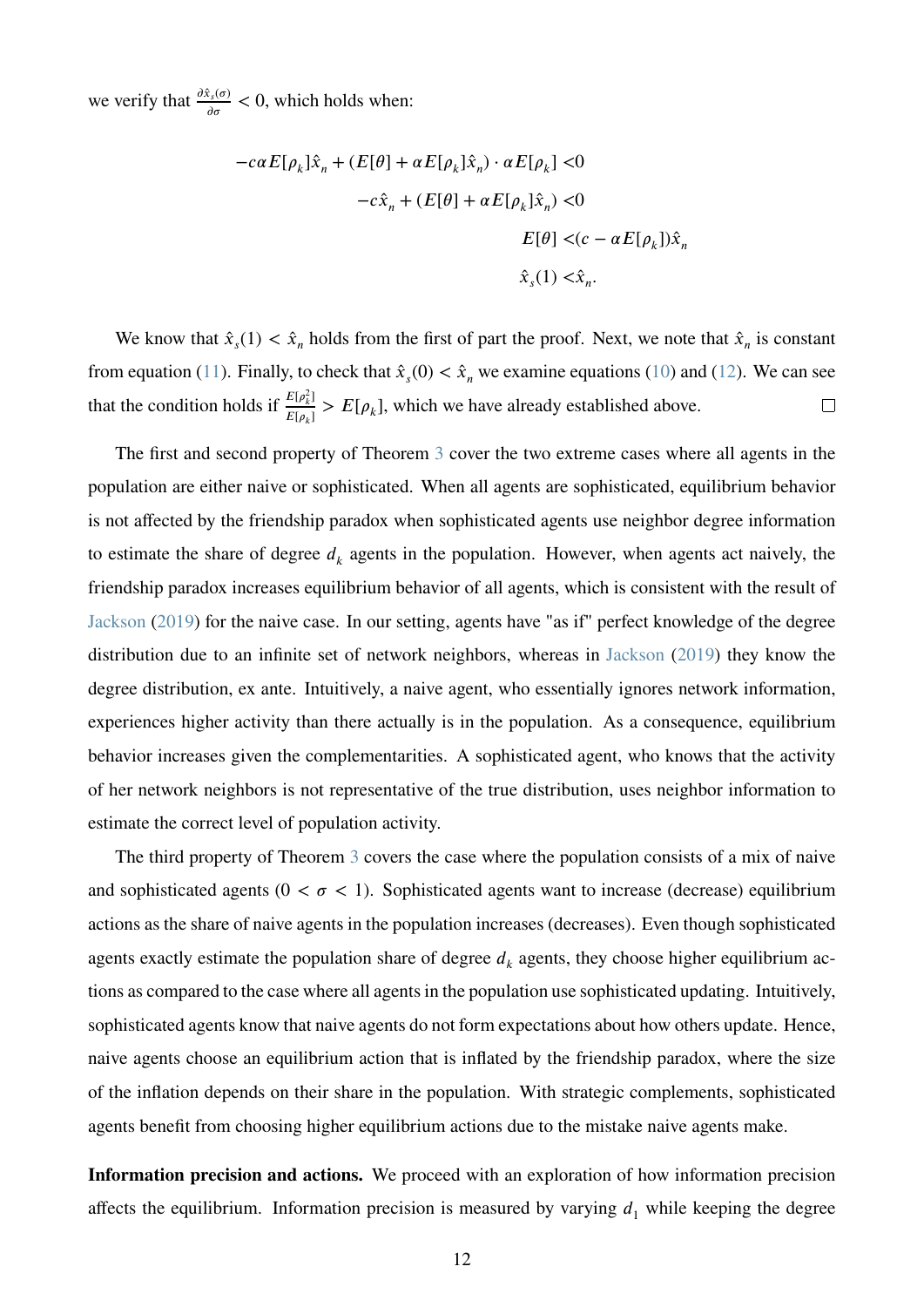we verify that  $\frac{\partial \hat{x}_s(\sigma)}{\partial \sigma}$  $\frac{\partial f_s(\sigma)}{\partial \sigma}$  < 0, which holds when:

$$
-c\alpha E[\rho_k]\hat{x}_n + (E[\theta] + \alpha E[\rho_k]\hat{x}_n) \cdot \alpha E[\rho_k] < 0
$$
  

$$
-c\hat{x}_n + (E[\theta] + \alpha E[\rho_k]\hat{x}_n) < 0
$$
  

$$
E[\theta] < (c - \alpha E[\rho_k])\hat{x}_n
$$
  

$$
\hat{x}_s(1) < \hat{x}_n.
$$

We know that  $\hat{x}_s(1) < \hat{x}_n$  holds from the first of part the proof. Next, we note that  $\hat{x}_n$  is constant from equation [\(11\)](#page-11-0). Finally, to check that  $\hat{x}_s(0) < \hat{x}_n$  we examine equations [\(10\)](#page-11-1) and [\(12\)](#page-11-2). We can see that the condition holds if  $\frac{E[\rho_k^2]}{F[\rho_k^2]}$  $\frac{E(\rho_k)}{E(\rho_k)} > E[\rho_k]$ , which we have already established above.  $\Box$ 

The first and second property of Theorem [3](#page-10-0) cover the two extreme cases where all agents in the population are either naive or sophisticated. When all agents are sophisticated, equilibrium behavior is not affected by the friendship paradox when sophisticated agents use neighbor degree information to estimate the share of degree  $d_k$  agents in the population. However, when agents act naively, the friendship paradox increases equilibrium behavior of all agents, which is consistent with the result of [Jackson](#page-24-1) [\(2019\)](#page-24-1) for the naive case. In our setting, agents have "as if" perfect knowledge of the degree distribution due to an infinite set of network neighbors, whereas in [Jackson](#page-24-1) [\(2019\)](#page-24-1) they know the degree distribution, ex ante. Intuitively, a naive agent, who essentially ignores network information, experiences higher activity than there actually is in the population. As a consequence, equilibrium behavior increases given the complementarities. A sophisticated agent, who knows that the activity of her network neighbors is not representative of the true distribution, uses neighbor information to estimate the correct level of population activity.

The third property of Theorem [3](#page-10-0) covers the case where the population consists of a mix of naive and sophisticated agents ( $0 < \sigma < 1$ ). Sophisticated agents want to increase (decrease) equilibrium actions as the share of naive agents in the population increases (decreases). Even though sophisticated agents exactly estimate the population share of degree  $d_k$  agents, they choose higher equilibrium actions as compared to the case where all agents in the population use sophisticated updating. Intuitively, sophisticated agents know that naive agents do not form expectations about how others update. Hence, naive agents choose an equilibrium action that is inflated by the friendship paradox, where the size of the inflation depends on their share in the population. With strategic complements, sophisticated agents benefit from choosing higher equilibrium actions due to the mistake naive agents make.

**Information precision and actions.** We proceed with an exploration of how information precision affects the equilibrium. Information precision is measured by varying  $d_1$  while keeping the degree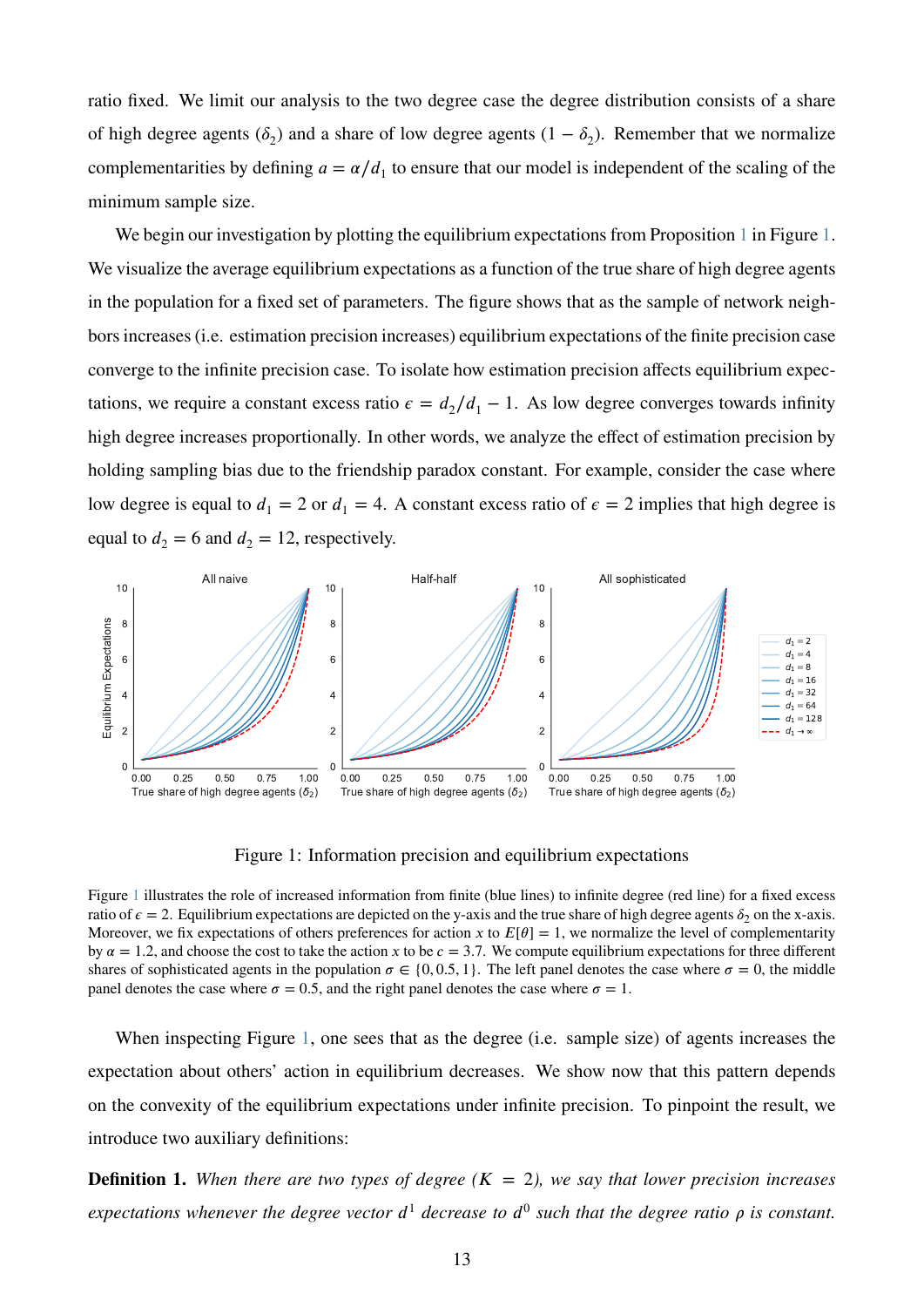ratio fixed. We limit our analysis to the two degree case the degree distribution consists of a share of high degree agents  $(\delta_2)$  and a share of low degree agents  $(1 - \delta_2)$ . Remember that we normalize complementarities by defining  $a = \alpha/d_1$  to ensure that our model is independent of the scaling of the minimum sample size.

We begin our investigation by plotting the equilibrium expectations from Proposition [1](#page-8-2) in Figure [1.](#page-13-0) We visualize the average equilibrium expectations as a function of the true share of high degree agents in the population for a fixed set of parameters. The figure shows that as the sample of network neighbors increases (i.e. estimation precision increases) equilibrium expectations of the finite precision case converge to the infinite precision case. To isolate how estimation precision affects equilibrium expectations, we require a constant excess ratio  $\epsilon = d_2/d_1 - 1$ . As low degree converges towards infinity high degree increases proportionally. In other words, we analyze the effect of estimation precision by holding sampling bias due to the friendship paradox constant. For example, consider the case where low degree is equal to  $d_1 = 2$  or  $d_1 = 4$ . A constant excess ratio of  $\epsilon = 2$  implies that high degree is equal to  $d_2 = 6$  and  $d_2 = 12$ , respectively.

<span id="page-13-0"></span>

Figure 1: Information precision and equilibrium expectations

Figure [1](#page-13-0) illustrates the role of increased information from finite (blue lines) to infinite degree (red line) for a fixed excess ratio of  $\epsilon = 2$ . Equilibrium expectations are depicted on the y-axis and the true share of high degree agents  $\delta_2$  on the x-axis. Moreover, we fix expectations of others preferences for action *x* to  $E[\theta] = 1$ , we normalize the level of complementarity by  $\alpha = 1.2$ , and choose the cost to take the action *x* to be  $c = 3.7$ . We compute equilibrium expectations for three different shares of sophisticated agents in the population  $\sigma \in \{0, 0.5, 1\}$ . The left panel denotes the case where  $\sigma = 0$ , the middle panel denotes the case where  $\sigma = 0.5$ , and the right panel denotes the case where  $\sigma = 1$ .

When inspecting Figure [1,](#page-13-0) one sees that as the degree (i.e. sample size) of agents increases the expectation about others' action in equilibrium decreases. We show now that this pattern depends on the convexity of the equilibrium expectations under infinite precision. To pinpoint the result, we introduce two auxiliary definitions:

**Definition 1.** When there are two types of degree  $(K = 2)$ , we say that lower precision increases *expectations whenever the degree vector*  $d^1$  decrease to  $d^0$  such that the degree ratio  $\rho$  is constant.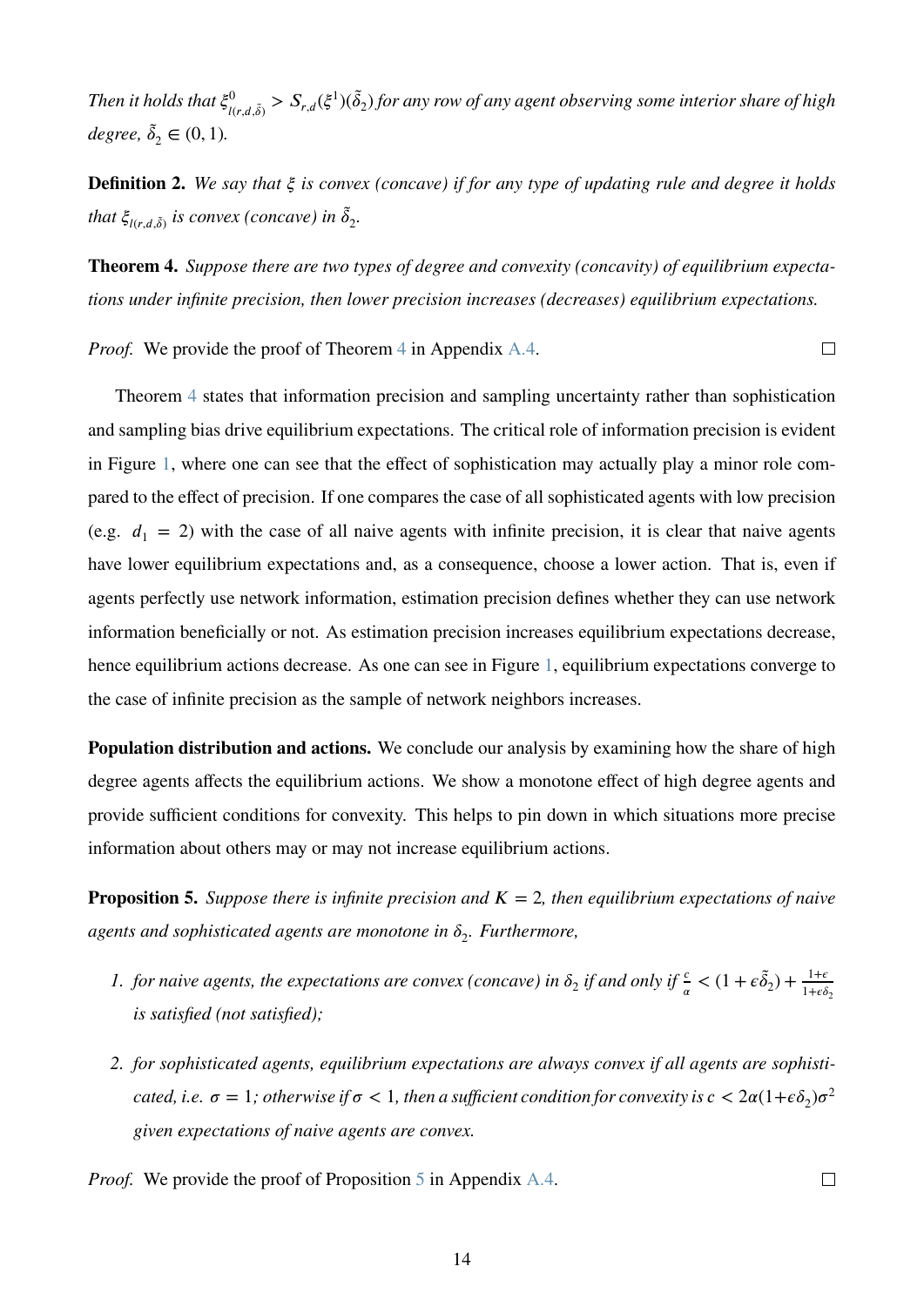Then it holds that  $\xi^0_{l(r,d,\tilde{\delta})} > S_{r,d}(\xi^1)(\tilde{\delta}_2)$  for any row of any agent observing some interior share of high  $degree, \tilde{\delta}_2 \in (0, 1)$ .

**Definition 2.** We say that  $\xi$  is convex (concave) if for any type of updating rule and degree it holds that  $\xi_{l(r,d,\tilde{\delta})}$  is convex (concave) in  $\tilde{\delta}_2$ .

<span id="page-14-0"></span>**Theorem 4.** *Suppose there are two types of degree and convexity (concavity) of equilibrium expectations under infinite precision, then lower precision increases (decreases) equilibrium expectations.*

*Proof.* We provide the proof of Theorem [4](#page-14-0) in Appendix [A.4.](#page-33-0)

 $\Box$ 

 $\Box$ 

Theorem [4](#page-14-0) states that information precision and sampling uncertainty rather than sophistication and sampling bias drive equilibrium expectations. The critical role of information precision is evident in Figure [1,](#page-13-0) where one can see that the effect of sophistication may actually play a minor role compared to the effect of precision. If one compares the case of all sophisticated agents with low precision (e.g.  $d_1 = 2$ ) with the case of all naive agents with infinite precision, it is clear that naive agents have lower equilibrium expectations and, as a consequence, choose a lower action. That is, even if agents perfectly use network information, estimation precision defines whether they can use network information beneficially or not. As estimation precision increases equilibrium expectations decrease, hence equilibrium actions decrease. As one can see in Figure [1,](#page-13-0) equilibrium expectations converge to the case of infinite precision as the sample of network neighbors increases.

**Population distribution and actions.** We conclude our analysis by examining how the share of high degree agents affects the equilibrium actions. We show a monotone effect of high degree agents and provide sufficient conditions for convexity. This helps to pin down in which situations more precise information about others may or may not increase equilibrium actions.

<span id="page-14-1"></span>**Proposition 5.** Suppose there is infinite precision and  $K = 2$ , then equilibrium expectations of naive *agents and sophisticated agents are monotone in 𝛿*<sup>2</sup> *. Furthermore,*

- *1. for naive agents, the expectations are convex (concave) in*  $\delta_2$  *if and only if*  $\frac{c}{a} < (1 + \epsilon \tilde{\delta}_2) + \frac{1 + \epsilon}{1 + \epsilon \delta_2}$ *is satisfied (not satisfied);*
- *2. for sophisticated agents, equilibrium expectations are always convex if all agents are sophisti* $c$  ated, i.e.  $\sigma = 1$ ; otherwise if  $\sigma < 1$ , then a sufficient condition for convexity is  $c < 2\alpha(1+\epsilon\delta_2)\sigma^2$ *given expectations of naive agents are convex.*
- *Proof.* We provide the proof of Proposition [5](#page-14-1) in Appendix [A.4.](#page-33-0)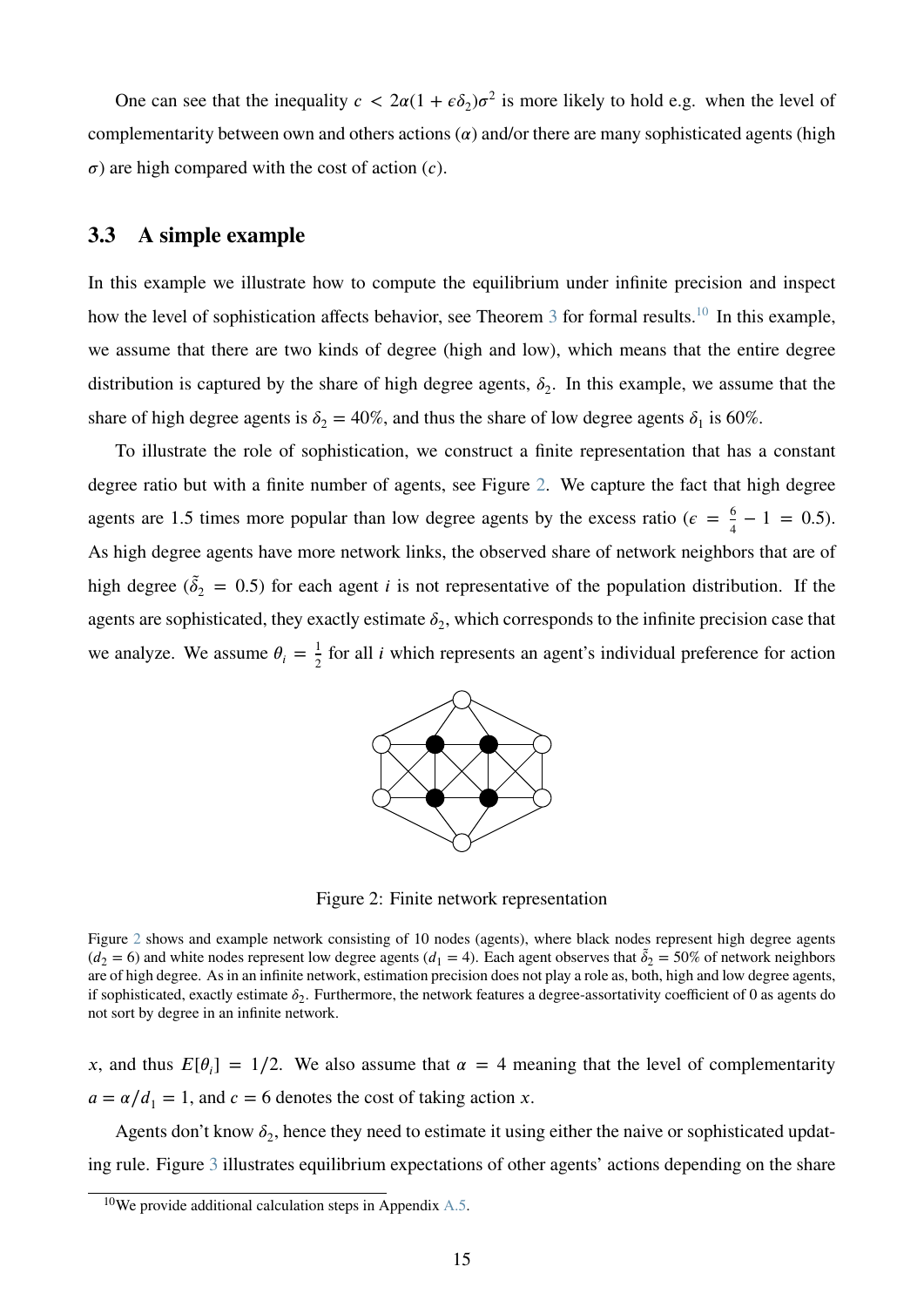One can see that the inequality  $c < 2\alpha(1 + \epsilon \delta_2)\sigma^2$  is more likely to hold e.g. when the level of complementarity between own and others actions  $\alpha$ ) and/or there are many sophisticated agents (high  $\sigma$ ) are high compared with the cost of action (*c*).

### <span id="page-15-2"></span>**3.3 A simple example**

In this example we illustrate how to compute the equilibrium under infinite precision and inspect how the level of sophistication affects behavior, see Theorem [3](#page-10-0) for formal results.<sup>[10](#page-15-0)</sup> In this example, we assume that there are two kinds of degree (high and low), which means that the entire degree distribution is captured by the share of high degree agents,  $\delta_2$ . In this example, we assume that the share of high degree agents is  $\delta_2 = 40\%$ , and thus the share of low degree agents  $\delta_1$  is 60%.

<span id="page-15-1"></span>To illustrate the role of sophistication, we construct a finite representation that has a constant degree ratio but with a finite number of agents, see Figure [2.](#page-15-1) We capture the fact that high degree agents are 1.5 times more popular than low degree agents by the excess ratio ( $\epsilon = \frac{6}{4}$ )  $\frac{6}{4} - 1 = 0.5$ . As high degree agents have more network links, the observed share of network neighbors that are of high degree ( $\tilde{\delta}_2 = 0.5$ ) for each agent *i* is not representative of the population distribution. If the agents are sophisticated, they exactly estimate  $\delta_2$ , which corresponds to the infinite precision case that we analyze. We assume  $\theta_i = \frac{1}{2}$  $\frac{1}{2}$  for all *i* which represents an agent's individual preference for action



Figure 2: Finite network representation

Figure [2](#page-15-1) shows and example network consisting of 10 nodes (agents), where black nodes represent high degree agents  $(d_2 = 6)$  and white nodes represent low degree agents  $(d_1 = 4)$ . Each agent observes that  $\tilde{\delta}_2 = 50\%$  of network neighbors are of high degree. As in an infinite network, estimation precision does not play a role as, both, high and low degree agents, if sophisticated, exactly estimate  $\delta_2$ . Furthermore, the network features a degree-assortativity coefficient of 0 as agents do not sort by degree in an infinite network.

*x*, and thus  $E[\theta_i] = 1/2$ . We also assume that  $\alpha = 4$  meaning that the level of complementarity  $a = \frac{\alpha}{d_1} = 1$ , and  $c = 6$  denotes the cost of taking action *x*.

Agents don't know  $\delta_2$ , hence they need to estimate it using either the naive or sophisticated updating rule. Figure [3](#page-16-0) illustrates equilibrium expectations of other agents' actions depending on the share

<span id="page-15-0"></span><sup>&</sup>lt;sup>10</sup>We provide additional calculation steps  $\overline{in}$  Appendix [A.5.](#page-37-0)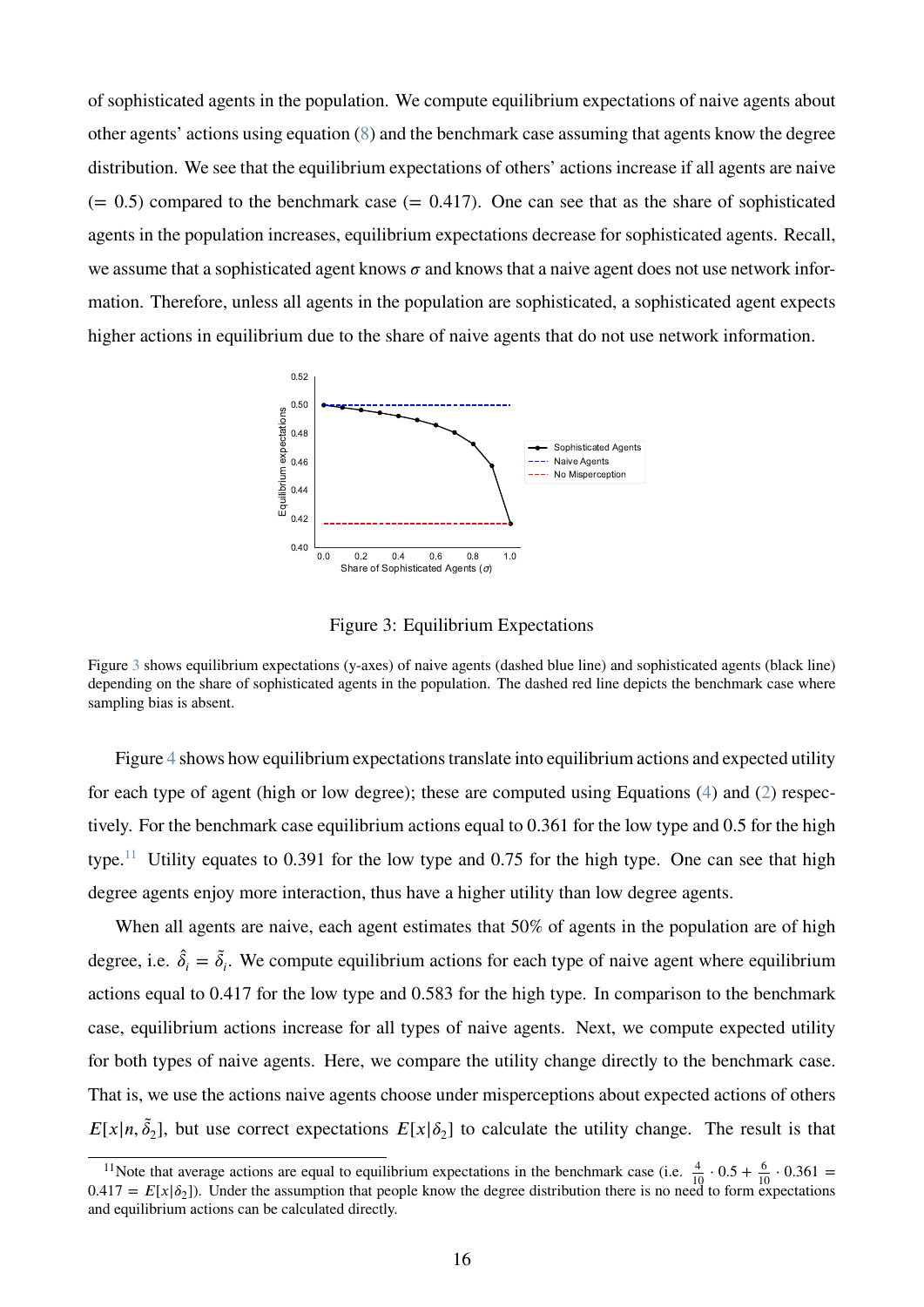of sophisticated agents in the population. We compute equilibrium expectations of naive agents about other agents' actions using equation [\(8\)](#page-9-0) and the benchmark case assuming that agents know the degree distribution. We see that the equilibrium expectations of others' actions increase if all agents are naive  $(= 0.5)$  compared to the benchmark case  $(= 0.417)$ . One can see that as the share of sophisticated agents in the population increases, equilibrium expectations decrease for sophisticated agents. Recall, we assume that a sophisticated agent knows  $\sigma$  and knows that a naive agent does not use network information. Therefore, unless all agents in the population are sophisticated, a sophisticated agent expects higher actions in equilibrium due to the share of naive agents that do not use network information.

<span id="page-16-0"></span>

Figure 3: Equilibrium Expectations

Figure [3](#page-16-0) shows equilibrium expectations (y-axes) of naive agents (dashed blue line) and sophisticated agents (black line) depending on the share of sophisticated agents in the population. The dashed red line depicts the benchmark case where sampling bias is absent.

Figure [4](#page-17-1) shows how equilibrium expectations translate into equilibrium actions and expected utility for each type of agent (high or low degree); these are computed using Equations [\(4\)](#page-7-1) and [\(2\)](#page-5-1) respectively. For the benchmark case equilibrium actions equal to 0*.*361 for the low type and 0*.*5 for the high type.[11](#page-16-1) Utility equates to 0*.*391 for the low type and 0*.*75 for the high type. One can see that high degree agents enjoy more interaction, thus have a higher utility than low degree agents.

When all agents are naive, each agent estimates that 50% of agents in the population are of high degree, i.e.  $\hat{\delta}_i = \tilde{\delta}_i$ . We compute equilibrium actions for each type of naive agent where equilibrium actions equal to 0*.*417 for the low type and 0*.*583 for the high type. In comparison to the benchmark case, equilibrium actions increase for all types of naive agents. Next, we compute expected utility for both types of naive agents. Here, we compare the utility change directly to the benchmark case. That is, we use the actions naive agents choose under misperceptions about expected actions of others  $E[x|n, \tilde{\delta}_2]$ , but use correct expectations  $E[x|\delta_2]$  to calculate the utility change. The result is that

<span id="page-16-1"></span><sup>&</sup>lt;sup>11</sup>Note that average actions are equal to equilibrium expectations in the benchmark case (i.e.  $\frac{4}{10} \cdot 0.5 + \frac{6}{10} \cdot 0.361 =$  $0.417 = E[x|\delta_2]$ ). Under the assumption that people know the degree distribution there is no need to form expectations and equilibrium actions can be calculated directly.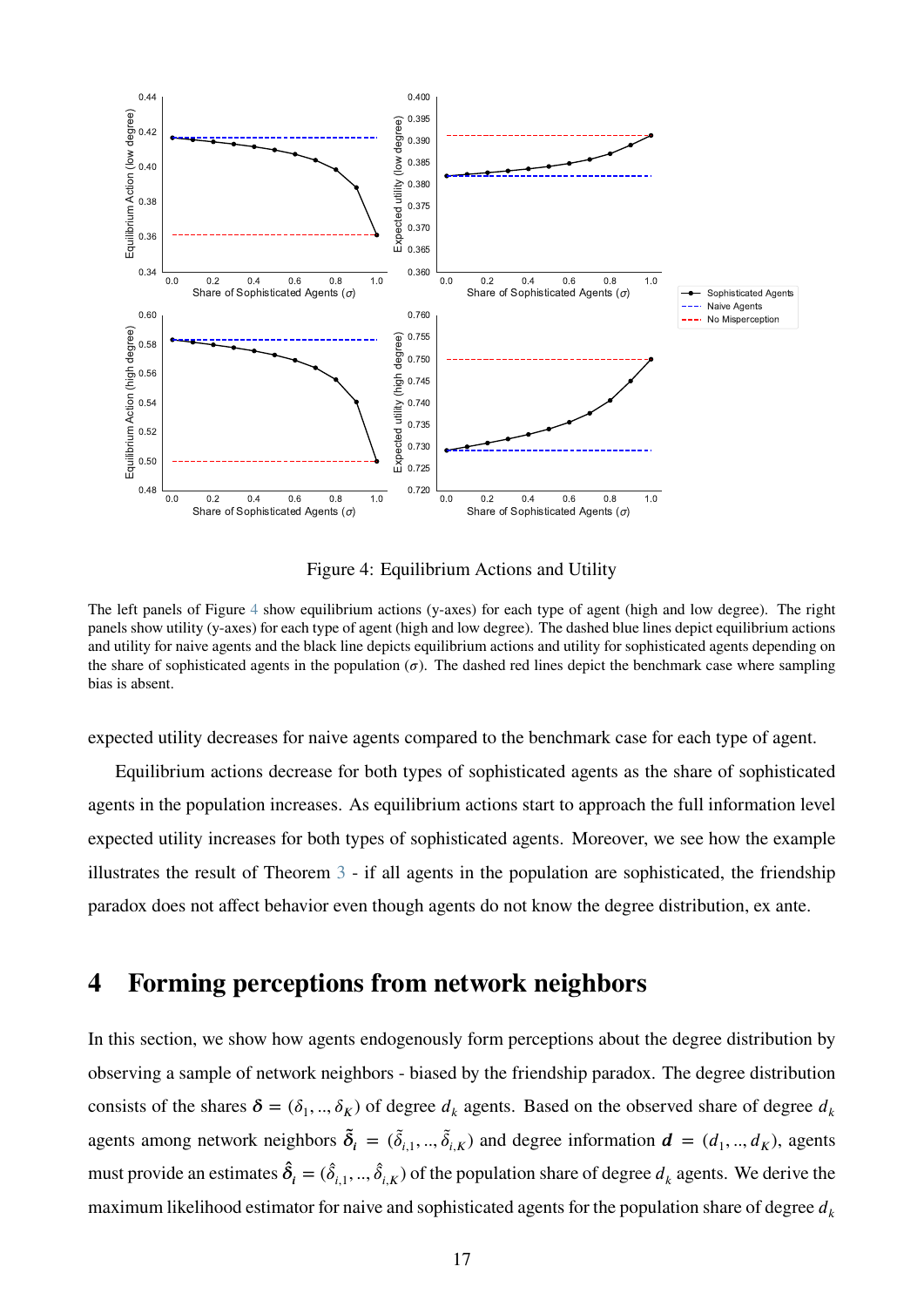<span id="page-17-1"></span>

Figure 4: Equilibrium Actions and Utility

The left panels of Figure [4](#page-17-1) show equilibrium actions (y-axes) for each type of agent (high and low degree). The right panels show utility (y-axes) for each type of agent (high and low degree). The dashed blue lines depict equilibrium actions and utility for naive agents and the black line depicts equilibrium actions and utility for sophisticated agents depending on the share of sophisticated agents in the population  $(σ)$ . The dashed red lines depict the benchmark case where sampling bias is absent.

expected utility decreases for naive agents compared to the benchmark case for each type of agent.

Equilibrium actions decrease for both types of sophisticated agents as the share of sophisticated agents in the population increases. As equilibrium actions start to approach the full information level expected utility increases for both types of sophisticated agents. Moreover, we see how the example illustrates the result of Theorem [3](#page-10-0) - if all agents in the population are sophisticated, the friendship paradox does not affect behavior even though agents do not know the degree distribution, ex ante.

# <span id="page-17-0"></span>**4 Forming perceptions from network neighbors**

In this section, we show how agents endogenously form perceptions about the degree distribution by observing a sample of network neighbors - biased by the friendship paradox. The degree distribution consists of the shares  $\delta = (\delta_1, ..., \delta_K)$  of degree  $d_k$  agents. Based on the observed share of degree  $d_k$ agents among network neighbors  $\tilde{\delta}_i = (\tilde{\delta}_{i,1},...,\tilde{\delta}_{i,K})$  and degree information  $\boldsymbol{d} = (d_1, ..., d_K)$ , agents must provide an estimates  $\hat{\delta}_i = (\hat{\delta}_{i,1},...,\hat{\delta}_{i,K})$  of the population share of degree  $d_k$  agents. We derive the maximum likelihood estimator for naive and sophisticated agents for the population share of degree  $d_k$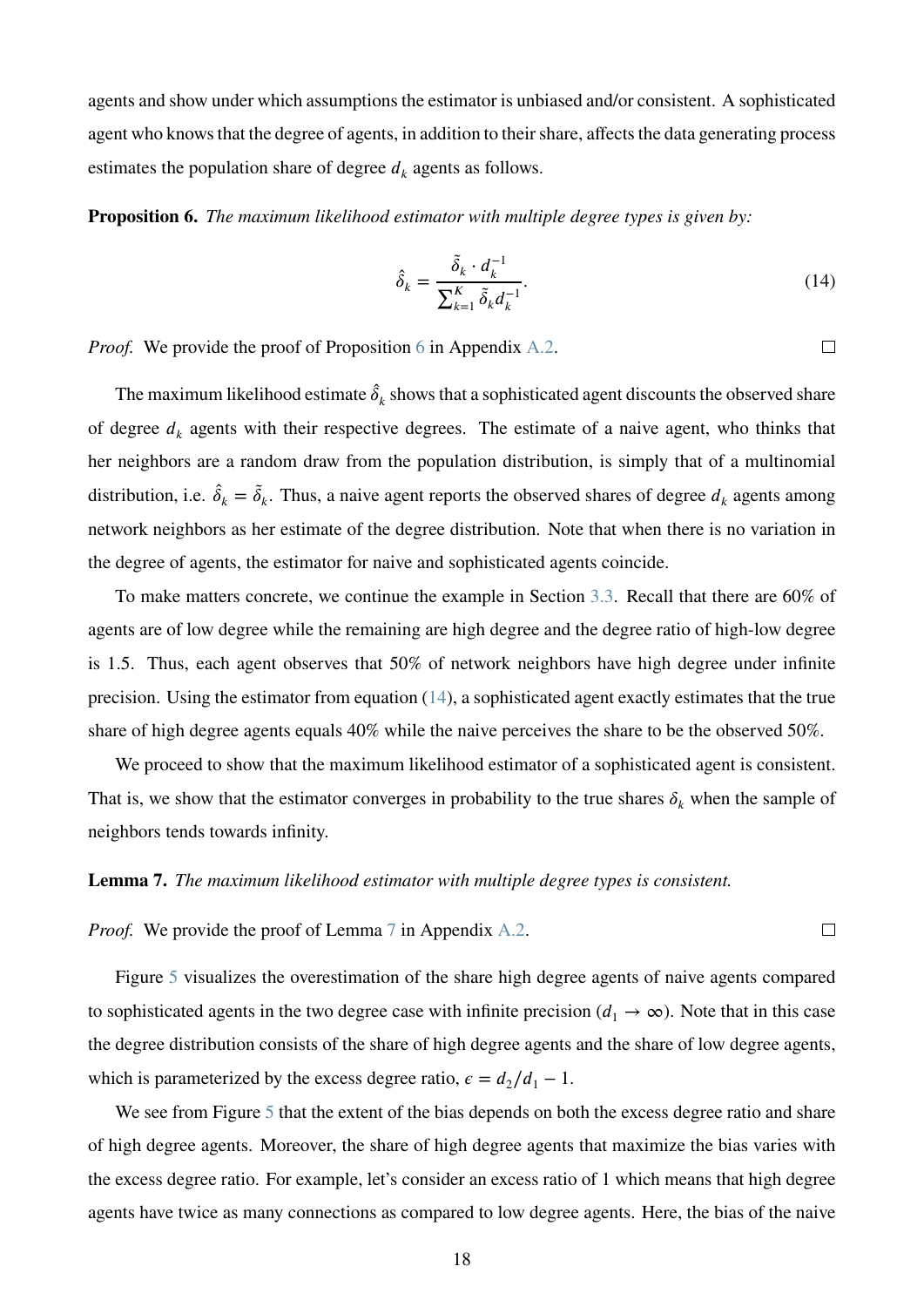agents and show under which assumptions the estimator is unbiased and/or consistent. A sophisticated agent who knows that the degree of agents, in addition to their share, affects the data generating process estimates the population share of degree  $d_k$  agents as follows.

<span id="page-18-1"></span>**Proposition 6.** *The maximum likelihood estimator with multiple degree types is given by:*

$$
\hat{\delta}_k = \frac{\tilde{\delta}_k \cdot d_k^{-1}}{\sum_{k=1}^K \tilde{\delta}_k d_k^{-1}}.
$$
\n(14)

*Proof.* We provide the proof of Proposition [6](#page-18-1) in Appendix [A.2.](#page-27-0)

The maximum likelihood estimate  $\hat{\delta}_k$  shows that a sophisticated agent discounts the observed share of degree  $d_k$  agents with their respective degrees. The estimate of a naive agent, who thinks that her neighbors are a random draw from the population distribution, is simply that of a multinomial distribution, i.e.  $\hat{\delta}_k = \tilde{\delta}_k$ . Thus, a naive agent reports the observed shares of degree  $d_k$  agents among network neighbors as her estimate of the degree distribution. Note that when there is no variation in the degree of agents, the estimator for naive and sophisticated agents coincide.

To make matters concrete, we continue the example in Section [3.3.](#page-15-2) Recall that there are 60% of agents are of low degree while the remaining are high degree and the degree ratio of high-low degree is 1.5. Thus, each agent observes that 50% of network neighbors have high degree under infinite precision. Using the estimator from equation  $(14)$ , a sophisticated agent exactly estimates that the true share of high degree agents equals 40% while the naive perceives the share to be the observed 50%.

We proceed to show that the maximum likelihood estimator of a sophisticated agent is consistent. That is, we show that the estimator converges in probability to the true shares  $\delta_k$  when the sample of neighbors tends towards infinity.

#### <span id="page-18-0"></span>**Lemma 7.** *The maximum likelihood estimator with multiple degree types is consistent.*

*Proof.* We provide the proof of Lemma [7](#page-18-0) in Appendix [A.2.](#page-27-0)

Figure [5](#page-19-1) visualizes the overestimation of the share high degree agents of naive agents compared to sophisticated agents in the two degree case with infinite precision ( $d_1 \rightarrow \infty$ ). Note that in this case the degree distribution consists of the share of high degree agents and the share of low degree agents, which is parameterized by the excess degree ratio,  $\epsilon = d_2/d_1 - 1$ .

We see from Figure [5](#page-19-1) that the extent of the bias depends on both the excess degree ratio and share of high degree agents. Moreover, the share of high degree agents that maximize the bias varies with the excess degree ratio. For example, let's consider an excess ratio of 1 which means that high degree agents have twice as many connections as compared to low degree agents. Here, the bias of the naive

 $\Box$ 

<span id="page-18-2"></span> $\Box$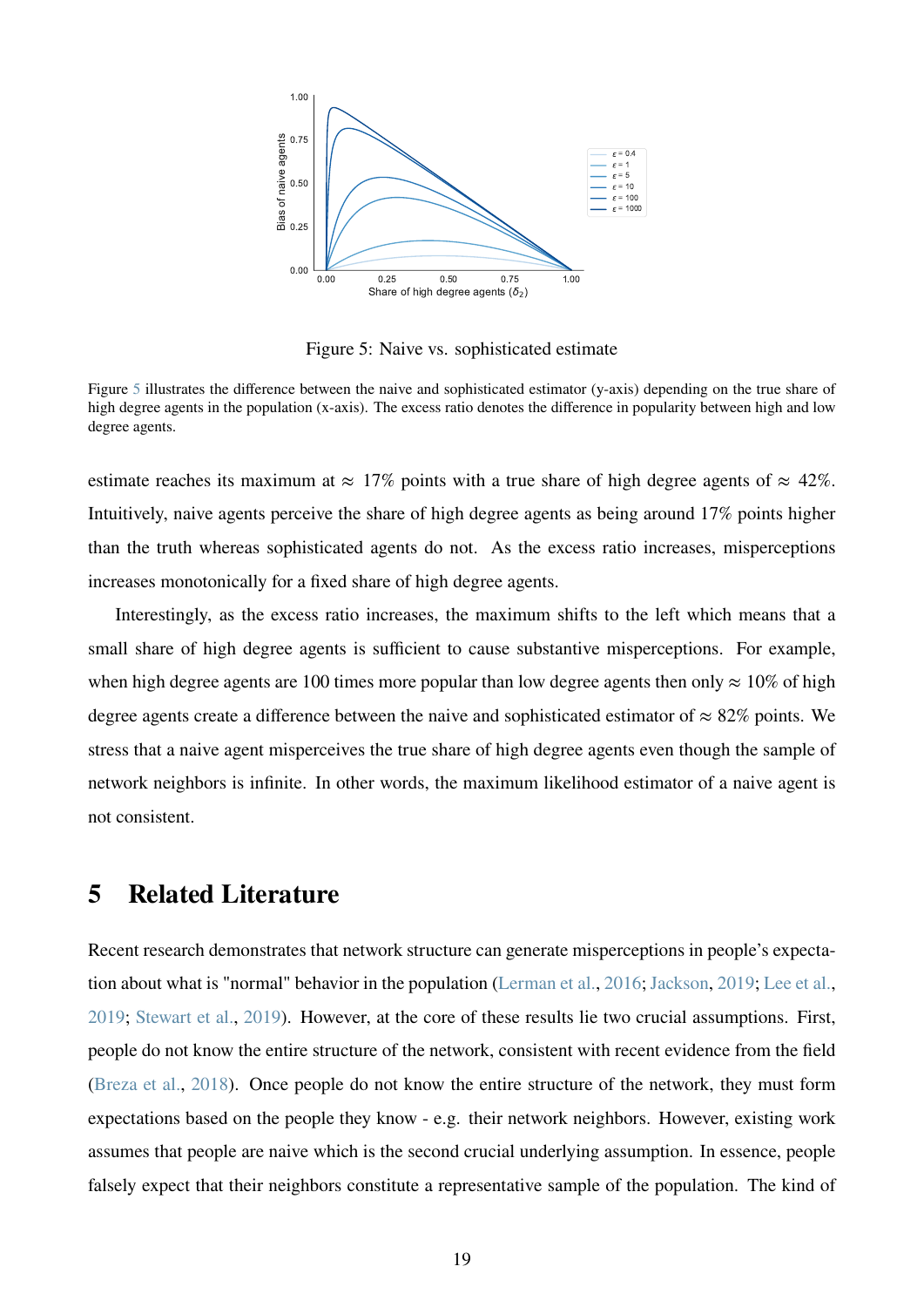<span id="page-19-1"></span>

Figure 5: Naive vs. sophisticated estimate

Figure [5](#page-19-1) illustrates the difference between the naive and sophisticated estimator (y-axis) depending on the true share of high degree agents in the population (x-axis). The excess ratio denotes the difference in popularity between high and low degree agents.

estimate reaches its maximum at  $\approx 17\%$  points with a true share of high degree agents of  $\approx 42\%$ . Intuitively, naive agents perceive the share of high degree agents as being around 17% points higher than the truth whereas sophisticated agents do not. As the excess ratio increases, misperceptions increases monotonically for a fixed share of high degree agents.

Interestingly, as the excess ratio increases, the maximum shifts to the left which means that a small share of high degree agents is sufficient to cause substantive misperceptions. For example, when high degree agents are 100 times more popular than low degree agents then only  $\approx 10\%$  of high degree agents create a difference between the naive and sophisticated estimator of  $\approx 82\%$  points. We stress that a naive agent misperceives the true share of high degree agents even though the sample of network neighbors is infinite. In other words, the maximum likelihood estimator of a naive agent is not consistent.

# <span id="page-19-0"></span>**5 Related Literature**

Recent research demonstrates that network structure can generate misperceptions in people's expectation about what is "normal" behavior in the population [\(Lerman et al.,](#page-25-3) [2016;](#page-25-3) [Jackson,](#page-24-1) [2019;](#page-24-1) [Lee et al.,](#page-25-4) [2019;](#page-25-4) [Stewart et al.,](#page-25-5) [2019\)](#page-25-5). However, at the core of these results lie two crucial assumptions. First, people do not know the entire structure of the network, consistent with recent evidence from the field [\(Breza et al.,](#page-24-5) [2018\)](#page-24-5). Once people do not know the entire structure of the network, they must form expectations based on the people they know - e.g. their network neighbors. However, existing work assumes that people are naive which is the second crucial underlying assumption. In essence, people falsely expect that their neighbors constitute a representative sample of the population. The kind of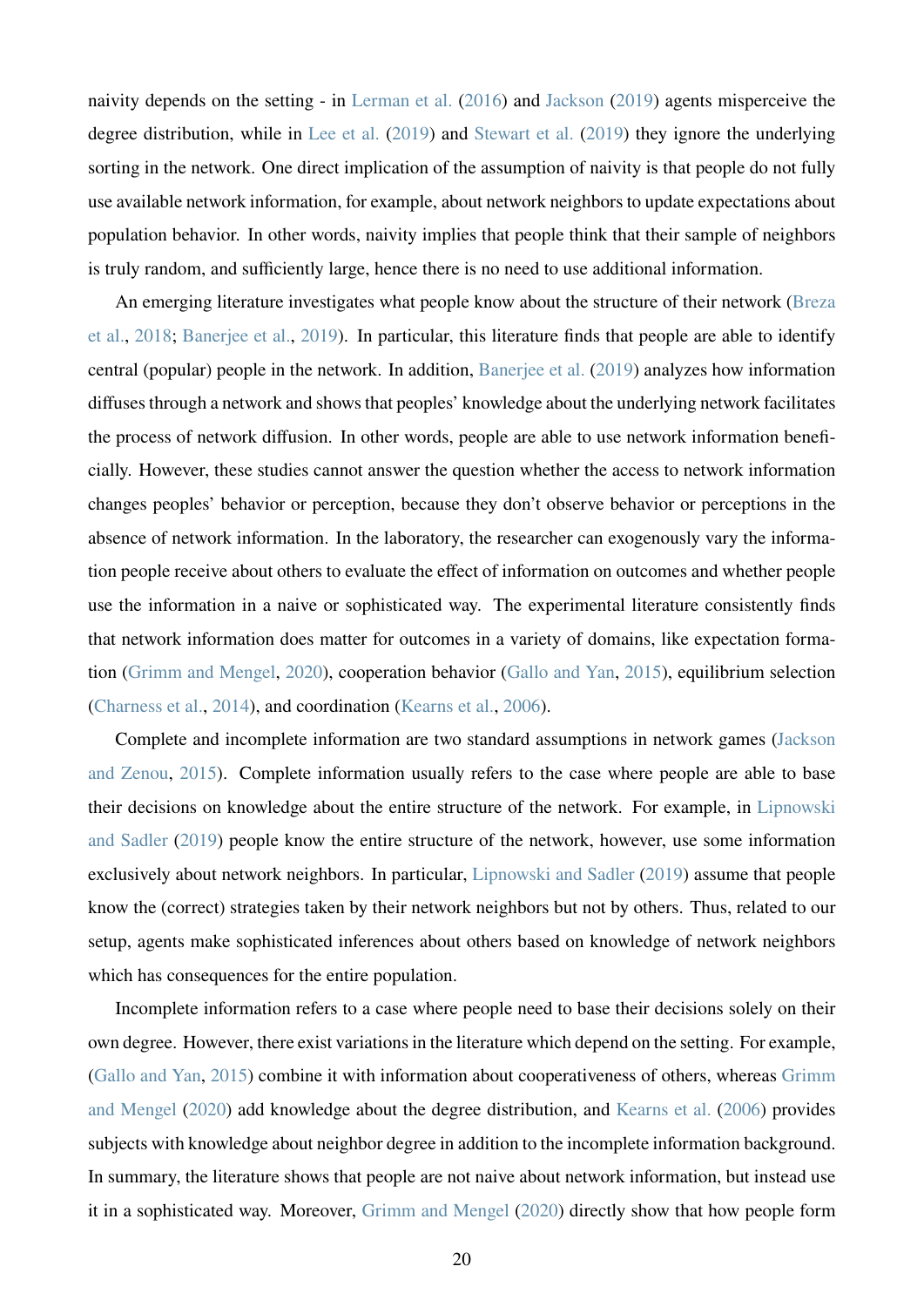naivity depends on the setting - in [Lerman et al.](#page-25-3) [\(2016\)](#page-25-3) and [Jackson](#page-24-1) [\(2019\)](#page-24-1) agents misperceive the degree distribution, while in [Lee et al.](#page-25-4) [\(2019\)](#page-25-4) and [Stewart et al.](#page-25-5) [\(2019\)](#page-25-5) they ignore the underlying sorting in the network. One direct implication of the assumption of naivity is that people do not fully use available network information, for example, about network neighbors to update expectations about population behavior. In other words, naivity implies that people think that their sample of neighbors is truly random, and sufficiently large, hence there is no need to use additional information.

An emerging literature investigates what people know about the structure of their network [\(Breza](#page-24-5) [et al.,](#page-24-5) [2018;](#page-24-5) [Banerjee et al.,](#page-24-6) [2019\)](#page-24-6). In particular, this literature finds that people are able to identify central (popular) people in the network. In addition, [Banerjee et al.](#page-24-6) [\(2019\)](#page-24-6) analyzes how information diffuses through a network and shows that peoples' knowledge about the underlying network facilitates the process of network diffusion. In other words, people are able to use network information beneficially. However, these studies cannot answer the question whether the access to network information changes peoples' behavior or perception, because they don't observe behavior or perceptions in the absence of network information. In the laboratory, the researcher can exogenously vary the information people receive about others to evaluate the effect of information on outcomes and whether people use the information in a naive or sophisticated way. The experimental literature consistently finds that network information does matter for outcomes in a variety of domains, like expectation formation [\(Grimm and Mengel,](#page-24-7) [2020\)](#page-24-7), cooperation behavior [\(Gallo and Yan,](#page-24-8) [2015\)](#page-24-8), equilibrium selection [\(Charness et al.,](#page-24-9) [2014\)](#page-24-9), and coordination [\(Kearns et al.,](#page-25-6) [2006\)](#page-25-6).

Complete and incomplete information are two standard assumptions in network games [\(Jackson](#page-25-7) [and Zenou,](#page-25-7) [2015\)](#page-25-7). Complete information usually refers to the case where people are able to base their decisions on knowledge about the entire structure of the network. For example, in [Lipnowski](#page-25-8) [and Sadler](#page-25-8) [\(2019\)](#page-25-8) people know the entire structure of the network, however, use some information exclusively about network neighbors. In particular, [Lipnowski and Sadler](#page-25-8) [\(2019\)](#page-25-8) assume that people know the (correct) strategies taken by their network neighbors but not by others. Thus, related to our setup, agents make sophisticated inferences about others based on knowledge of network neighbors which has consequences for the entire population.

Incomplete information refers to a case where people need to base their decisions solely on their own degree. However, there exist variations in the literature which depend on the setting. For example, [\(Gallo and Yan,](#page-24-8) [2015\)](#page-24-8) combine it with information about cooperativeness of others, whereas [Grimm](#page-24-7) [and Mengel](#page-24-7) [\(2020\)](#page-24-7) add knowledge about the degree distribution, and [Kearns et al.](#page-25-6) [\(2006\)](#page-25-6) provides subjects with knowledge about neighbor degree in addition to the incomplete information background. In summary, the literature shows that people are not naive about network information, but instead use it in a sophisticated way. Moreover, [Grimm and Mengel](#page-24-7) [\(2020\)](#page-24-7) directly show that how people form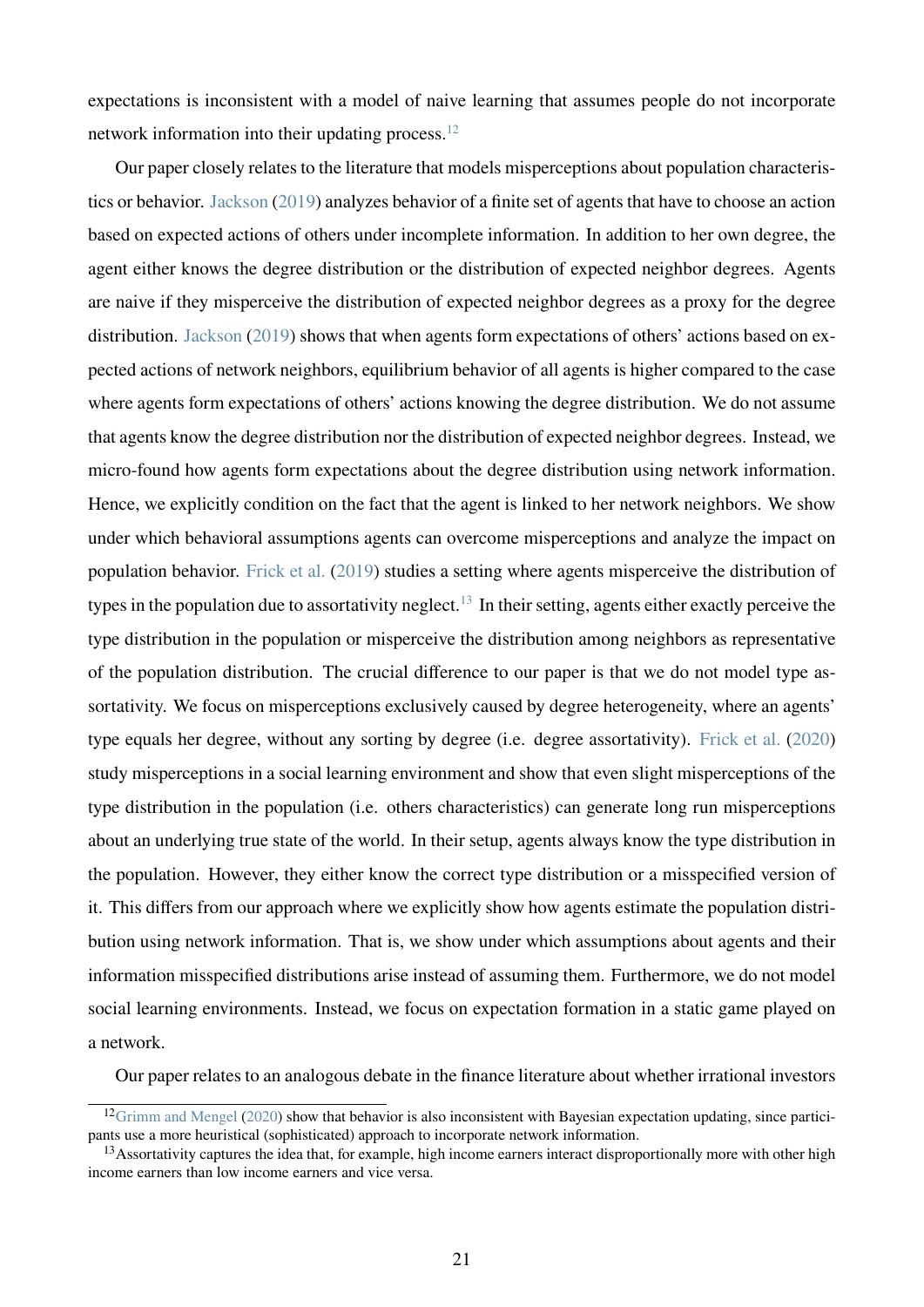expectations is inconsistent with a model of naive learning that assumes people do not incorporate network information into their updating process. $12$ 

Our paper closely relates to the literature that models misperceptions about population characteristics or behavior. [Jackson](#page-24-1) [\(2019\)](#page-24-1) analyzes behavior of a finite set of agents that have to choose an action based on expected actions of others under incomplete information. In addition to her own degree, the agent either knows the degree distribution or the distribution of expected neighbor degrees. Agents are naive if they misperceive the distribution of expected neighbor degrees as a proxy for the degree distribution. [Jackson](#page-24-1) [\(2019\)](#page-24-1) shows that when agents form expectations of others' actions based on expected actions of network neighbors, equilibrium behavior of all agents is higher compared to the case where agents form expectations of others' actions knowing the degree distribution. We do not assume that agents know the degree distribution nor the distribution of expected neighbor degrees. Instead, we micro-found how agents form expectations about the degree distribution using network information. Hence, we explicitly condition on the fact that the agent is linked to her network neighbors. We show under which behavioral assumptions agents can overcome misperceptions and analyze the impact on population behavior. [Frick et al.](#page-24-10) [\(2019\)](#page-24-10) studies a setting where agents misperceive the distribution of types in the population due to assortativity neglect.<sup>[13](#page-21-1)</sup> In their setting, agents either exactly perceive the type distribution in the population or misperceive the distribution among neighbors as representative of the population distribution. The crucial difference to our paper is that we do not model type assortativity. We focus on misperceptions exclusively caused by degree heterogeneity, where an agents' type equals her degree, without any sorting by degree (i.e. degree assortativity). [Frick et al.](#page-24-11) [\(2020\)](#page-24-11) study misperceptions in a social learning environment and show that even slight misperceptions of the type distribution in the population (i.e. others characteristics) can generate long run misperceptions about an underlying true state of the world. In their setup, agents always know the type distribution in the population. However, they either know the correct type distribution or a misspecified version of it. This differs from our approach where we explicitly show how agents estimate the population distribution using network information. That is, we show under which assumptions about agents and their information misspecified distributions arise instead of assuming them. Furthermore, we do not model social learning environments. Instead, we focus on expectation formation in a static game played on a network.

Our paper relates to an analogous debate in the finance literature about whether irrational investors

<span id="page-21-0"></span> $12$ [Grimm and Mengel](#page-24-7) [\(2020\)](#page-24-7) show that behavior is also inconsistent with Bayesian expectation updating, since participants use a more heuristical (sophisticated) approach to incorporate network information.

<span id="page-21-1"></span><sup>&</sup>lt;sup>13</sup>Assortativity captures the idea that, for example, high income earners interact disproportionally more with other high income earners than low income earners and vice versa.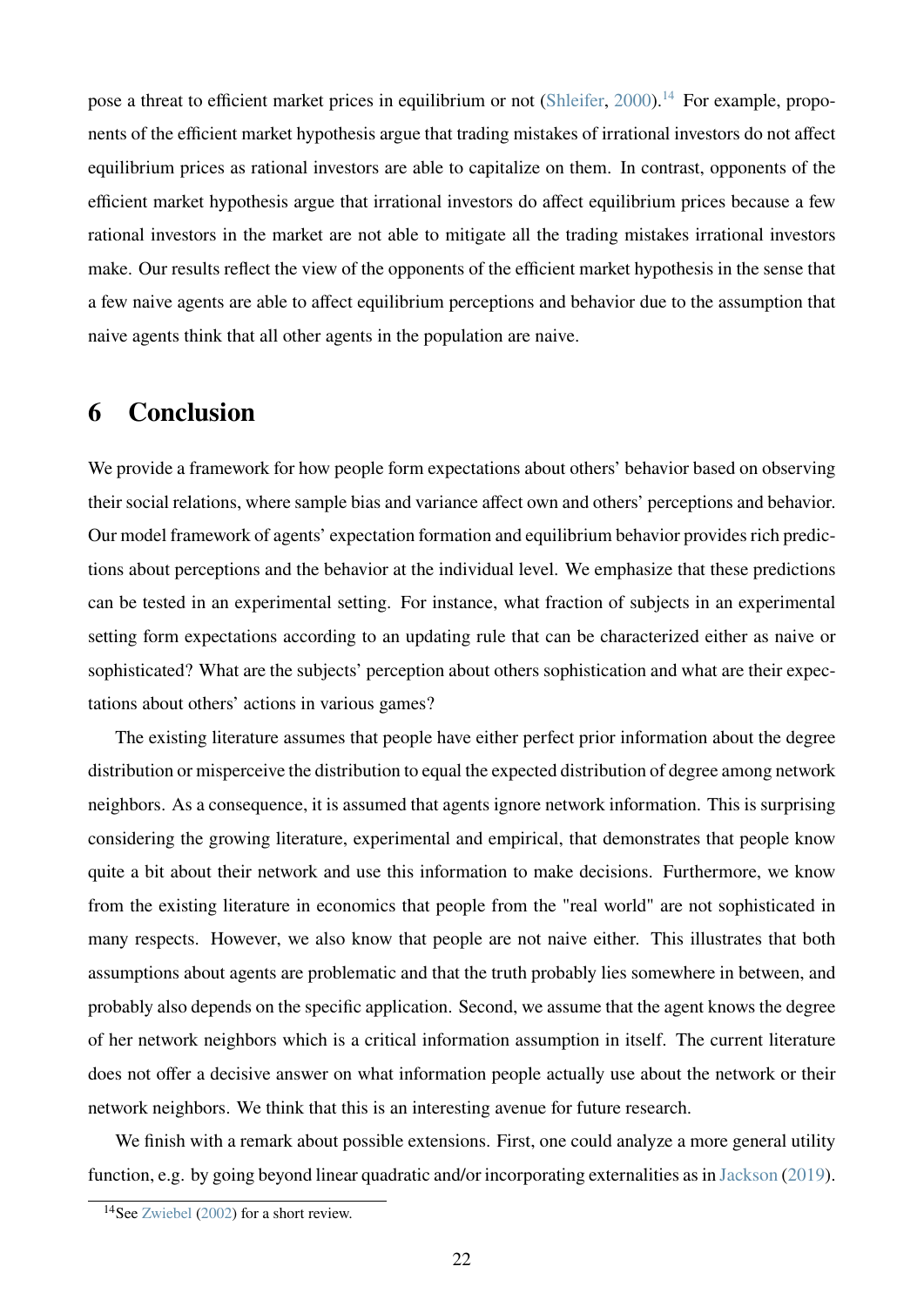pose a threat to efficient market prices in equilibrium or not [\(Shleifer,](#page-25-9) [2000\)](#page-25-9).<sup>[14](#page-22-1)</sup> For example, proponents of the efficient market hypothesis argue that trading mistakes of irrational investors do not affect equilibrium prices as rational investors are able to capitalize on them. In contrast, opponents of the efficient market hypothesis argue that irrational investors do affect equilibrium prices because a few rational investors in the market are not able to mitigate all the trading mistakes irrational investors make. Our results reflect the view of the opponents of the efficient market hypothesis in the sense that a few naive agents are able to affect equilibrium perceptions and behavior due to the assumption that naive agents think that all other agents in the population are naive.

# <span id="page-22-0"></span>**6 Conclusion**

We provide a framework for how people form expectations about others' behavior based on observing their social relations, where sample bias and variance affect own and others' perceptions and behavior. Our model framework of agents' expectation formation and equilibrium behavior provides rich predictions about perceptions and the behavior at the individual level. We emphasize that these predictions can be tested in an experimental setting. For instance, what fraction of subjects in an experimental setting form expectations according to an updating rule that can be characterized either as naive or sophisticated? What are the subjects' perception about others sophistication and what are their expectations about others' actions in various games?

The existing literature assumes that people have either perfect prior information about the degree distribution or misperceive the distribution to equal the expected distribution of degree among network neighbors. As a consequence, it is assumed that agents ignore network information. This is surprising considering the growing literature, experimental and empirical, that demonstrates that people know quite a bit about their network and use this information to make decisions. Furthermore, we know from the existing literature in economics that people from the "real world" are not sophisticated in many respects. However, we also know that people are not naive either. This illustrates that both assumptions about agents are problematic and that the truth probably lies somewhere in between, and probably also depends on the specific application. Second, we assume that the agent knows the degree of her network neighbors which is a critical information assumption in itself. The current literature does not offer a decisive answer on what information people actually use about the network or their network neighbors. We think that this is an interesting avenue for future research.

We finish with a remark about possible extensions. First, one could analyze a more general utility function, e.g. by going beyond linear quadratic and/or incorporating externalities as in [Jackson](#page-24-1) [\(2019\)](#page-24-1).

<span id="page-22-1"></span><sup>14</sup>See [Zwiebel](#page-25-10) [\(2002\)](#page-25-10) for a short review.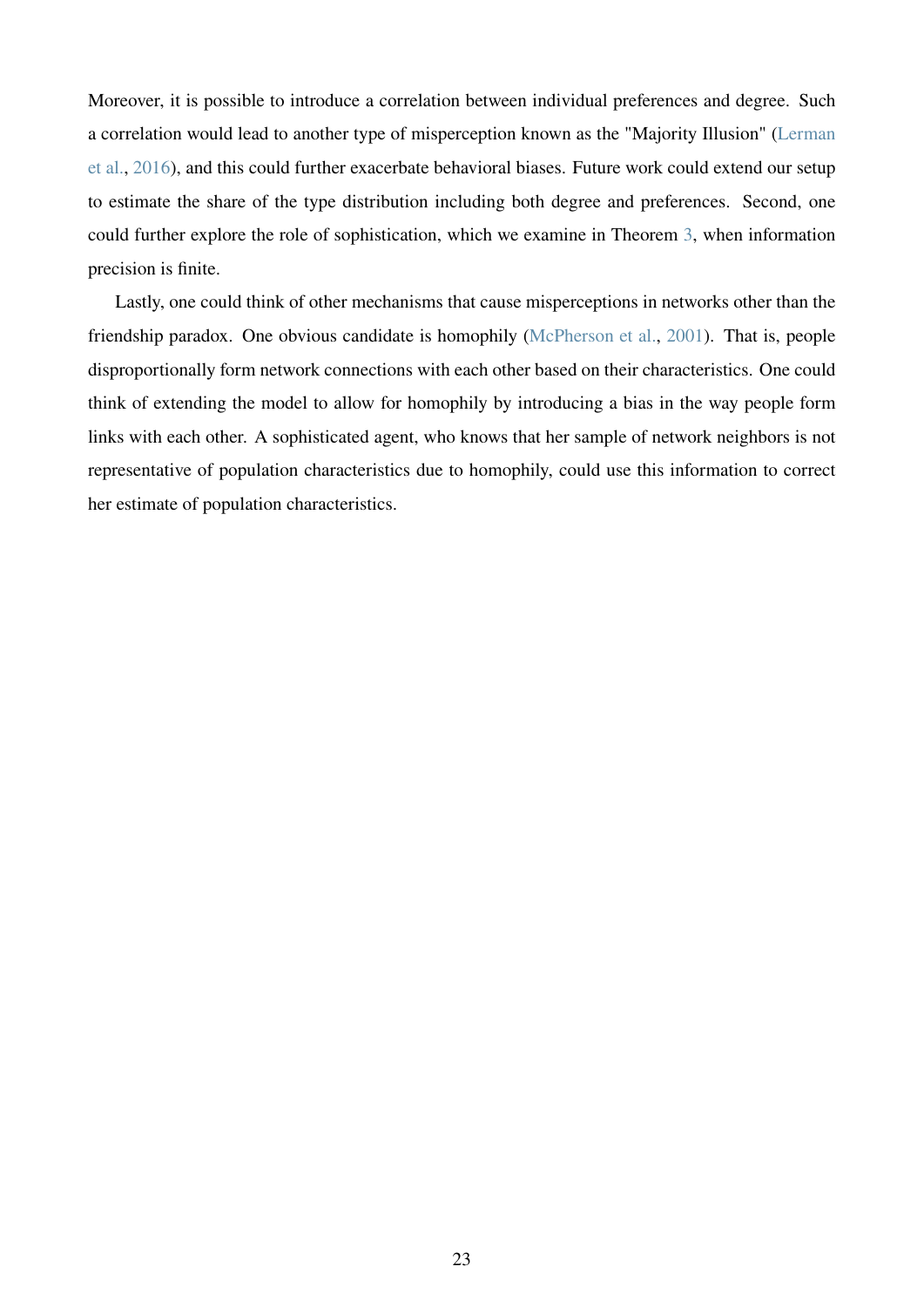Moreover, it is possible to introduce a correlation between individual preferences and degree. Such a correlation would lead to another type of misperception known as the "Majority Illusion" [\(Lerman](#page-25-3) [et al.,](#page-25-3) [2016\)](#page-25-3), and this could further exacerbate behavioral biases. Future work could extend our setup to estimate the share of the type distribution including both degree and preferences. Second, one could further explore the role of sophistication, which we examine in Theorem [3,](#page-10-0) when information precision is finite.

Lastly, one could think of other mechanisms that cause misperceptions in networks other than the friendship paradox. One obvious candidate is homophily [\(McPherson et al.,](#page-25-11) [2001\)](#page-25-11). That is, people disproportionally form network connections with each other based on their characteristics. One could think of extending the model to allow for homophily by introducing a bias in the way people form links with each other. A sophisticated agent, who knows that her sample of network neighbors is not representative of population characteristics due to homophily, could use this information to correct her estimate of population characteristics.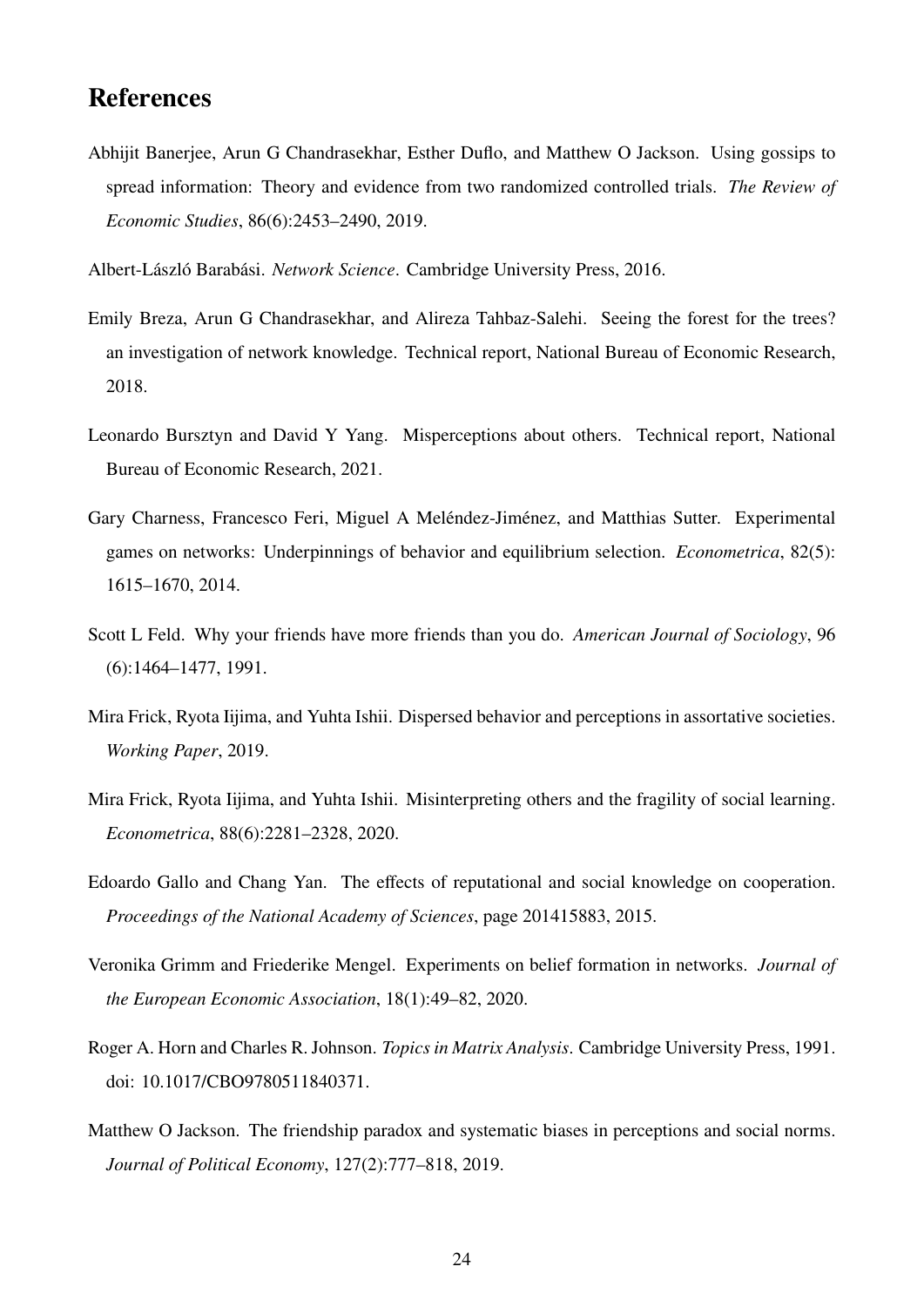# **References**

- <span id="page-24-6"></span>Abhijit Banerjee, Arun G Chandrasekhar, Esther Duflo, and Matthew O Jackson. Using gossips to spread information: Theory and evidence from two randomized controlled trials. *The Review of Economic Studies*, 86(6):2453–2490, 2019.
- <span id="page-24-3"></span>Albert-László Barabási. *Network Science*. Cambridge University Press, 2016.
- <span id="page-24-5"></span>Emily Breza, Arun G Chandrasekhar, and Alireza Tahbaz-Salehi. Seeing the forest for the trees? an investigation of network knowledge. Technical report, National Bureau of Economic Research, 2018.
- <span id="page-24-2"></span>Leonardo Bursztyn and David Y Yang. Misperceptions about others. Technical report, National Bureau of Economic Research, 2021.
- <span id="page-24-9"></span>Gary Charness, Francesco Feri, Miguel A Meléndez-Jiménez, and Matthias Sutter. Experimental games on networks: Underpinnings of behavior and equilibrium selection. *Econometrica*, 82(5): 1615–1670, 2014.
- <span id="page-24-0"></span>Scott L Feld. Why your friends have more friends than you do. *American Journal of Sociology*, 96 (6):1464–1477, 1991.
- <span id="page-24-10"></span>Mira Frick, Ryota Iijima, and Yuhta Ishii. Dispersed behavior and perceptions in assortative societies. *Working Paper*, 2019.
- <span id="page-24-11"></span>Mira Frick, Ryota Iijima, and Yuhta Ishii. Misinterpreting others and the fragility of social learning. *Econometrica*, 88(6):2281–2328, 2020.
- <span id="page-24-8"></span>Edoardo Gallo and Chang Yan. The effects of reputational and social knowledge on cooperation. *Proceedings of the National Academy of Sciences*, page 201415883, 2015.
- <span id="page-24-7"></span>Veronika Grimm and Friederike Mengel. Experiments on belief formation in networks. *Journal of the European Economic Association*, 18(1):49–82, 2020.
- <span id="page-24-4"></span>Roger A. Horn and Charles R. Johnson. *Topics in Matrix Analysis*. Cambridge University Press, 1991. doi: 10.1017/CBO9780511840371.
- <span id="page-24-1"></span>Matthew O Jackson. The friendship paradox and systematic biases in perceptions and social norms. *Journal of Political Economy*, 127(2):777–818, 2019.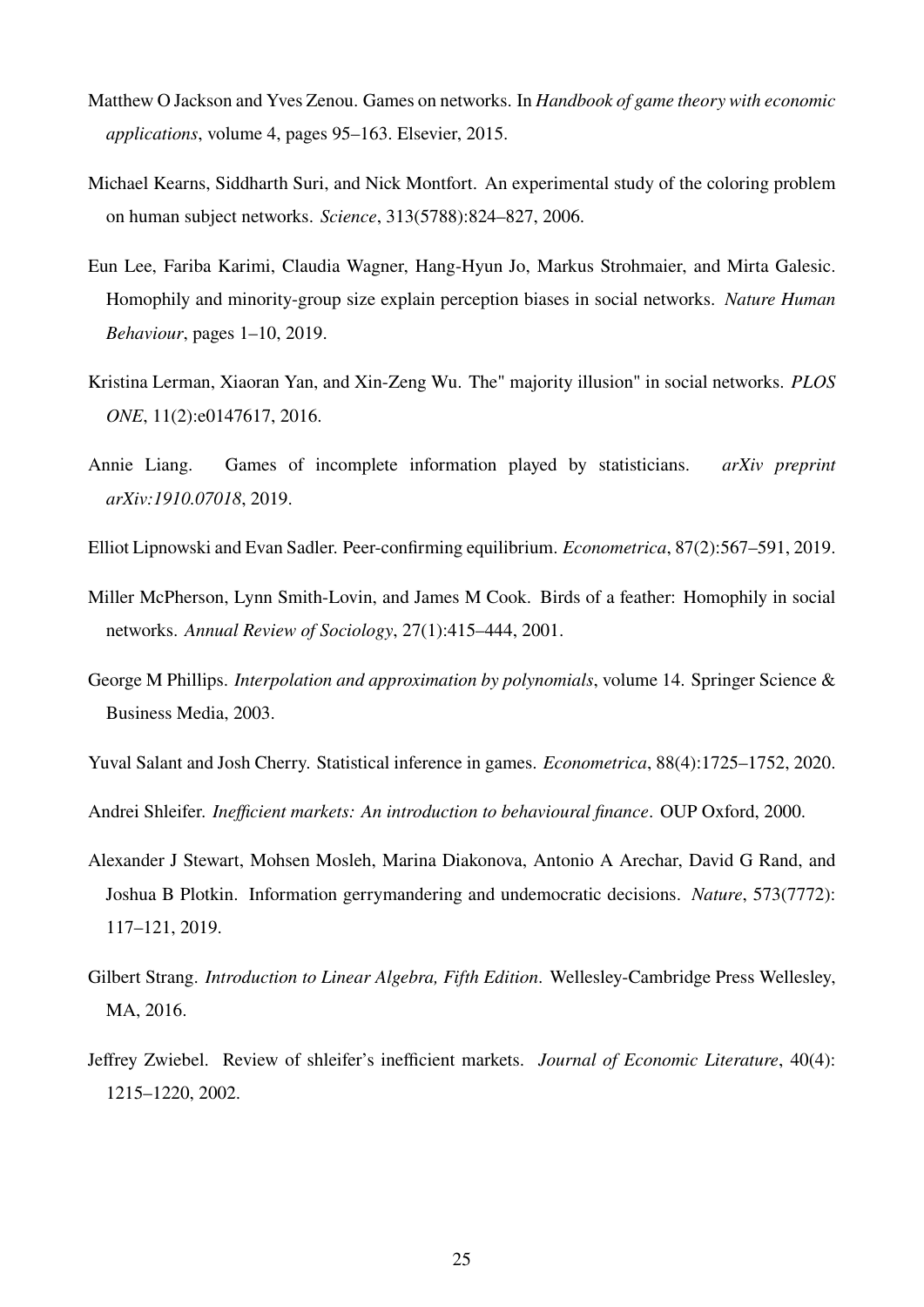- <span id="page-25-7"></span>Matthew O Jackson and Yves Zenou. Games on networks. In *Handbook of game theory with economic applications*, volume 4, pages 95–163. Elsevier, 2015.
- <span id="page-25-6"></span>Michael Kearns, Siddharth Suri, and Nick Montfort. An experimental study of the coloring problem on human subject networks. *Science*, 313(5788):824–827, 2006.
- <span id="page-25-4"></span>Eun Lee, Fariba Karimi, Claudia Wagner, Hang-Hyun Jo, Markus Strohmaier, and Mirta Galesic. Homophily and minority-group size explain perception biases in social networks. *Nature Human Behaviour*, pages 1–10, 2019.
- <span id="page-25-3"></span>Kristina Lerman, Xiaoran Yan, and Xin-Zeng Wu. The" majority illusion" in social networks. *PLOS ONE*, 11(2):e0147617, 2016.
- <span id="page-25-1"></span>Annie Liang. Games of incomplete information played by statisticians. *arXiv preprint arXiv:1910.07018*, 2019.
- <span id="page-25-8"></span>Elliot Lipnowski and Evan Sadler. Peer-confirming equilibrium. *Econometrica*, 87(2):567–591, 2019.
- <span id="page-25-11"></span>Miller McPherson, Lynn Smith-Lovin, and James M Cook. Birds of a feather: Homophily in social networks. *Annual Review of Sociology*, 27(1):415–444, 2001.
- <span id="page-25-12"></span>George M Phillips. *Interpolation and approximation by polynomials*, volume 14. Springer Science & Business Media, 2003.
- <span id="page-25-0"></span>Yuval Salant and Josh Cherry. Statistical inference in games. *Econometrica*, 88(4):1725–1752, 2020.

<span id="page-25-9"></span>Andrei Shleifer. *Inefficient markets: An introduction to behavioural finance*. OUP Oxford, 2000.

- <span id="page-25-5"></span>Alexander J Stewart, Mohsen Mosleh, Marina Diakonova, Antonio A Arechar, David G Rand, and Joshua B Plotkin. Information gerrymandering and undemocratic decisions. *Nature*, 573(7772): 117–121, 2019.
- <span id="page-25-2"></span>Gilbert Strang. *Introduction to Linear Algebra, Fifth Edition*. Wellesley-Cambridge Press Wellesley, MA, 2016.
- <span id="page-25-10"></span>Jeffrey Zwiebel. Review of shleifer's inefficient markets. *Journal of Economic Literature*, 40(4): 1215–1220, 2002.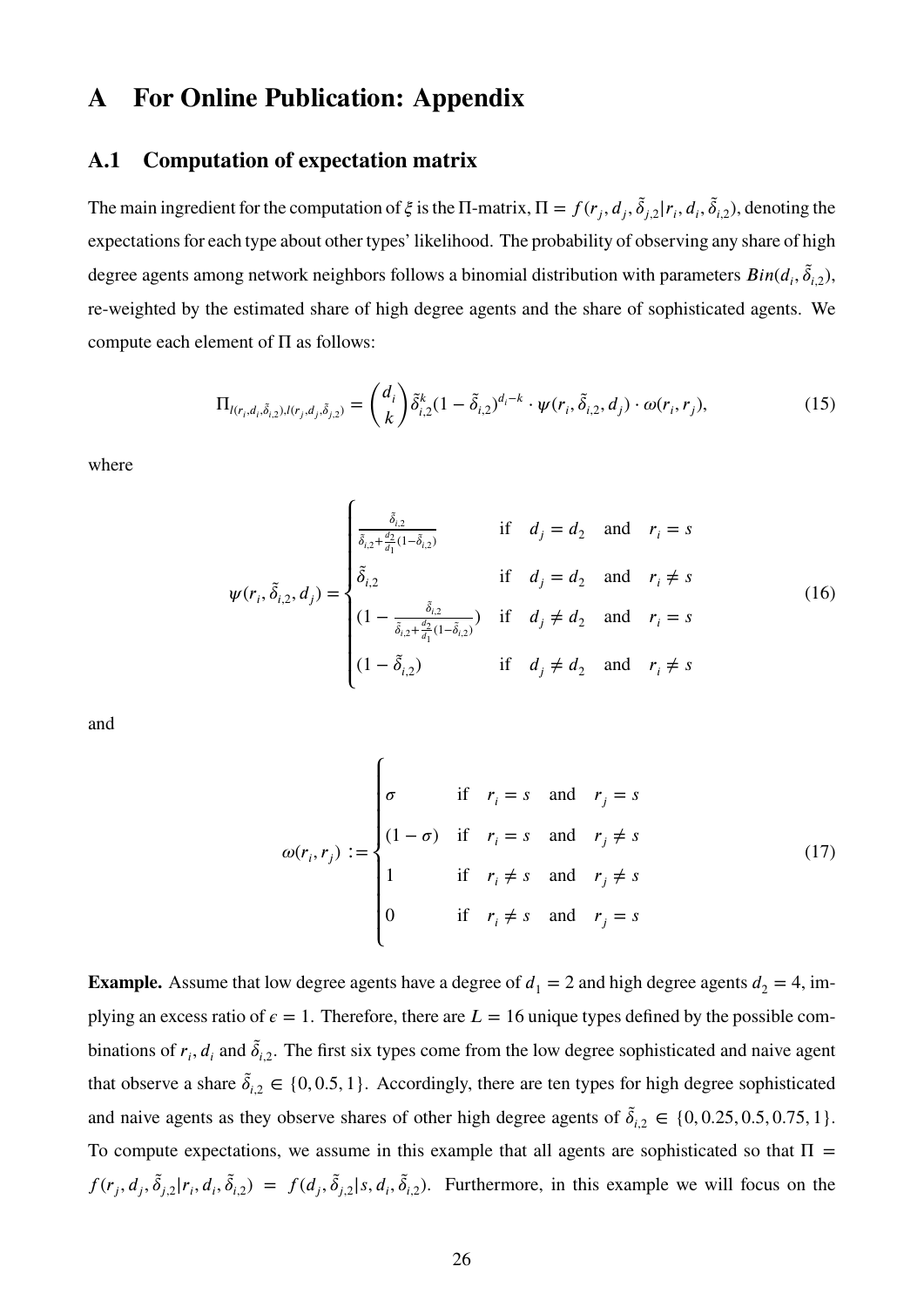# **A For Online Publication: Appendix**

### <span id="page-26-0"></span>**A.1 Computation of expectation matrix**

The main ingredient for the computation of  $\xi$  is the  $\Pi$ -matrix,  $\Pi = f(r_j, d_j, \tilde{\delta}_{j,2}|r_i, d_i, \tilde{\delta}_{i,2})$ , denoting the expectations for each type about other types' likelihood. The probability of observing any share of high degree agents among network neighbors follows a binomial distribution with parameters  $Bin(d_i, \tilde{\delta}_{i,2})$ , re-weighted by the estimated share of high degree agents and the share of sophisticated agents. We compute each element of  $\Pi$  as follows:

<span id="page-26-1"></span>
$$
\Pi_{l(r_i,d_i,\tilde{\delta}_{i,2}),l(r_j,d_j,\tilde{\delta}_{j,2})} = \binom{d_i}{k} \tilde{\delta}_{i,2}^k (1 - \tilde{\delta}_{i,2})^{d_i - k} \cdot \psi(r_i, \tilde{\delta}_{i,2}, d_j) \cdot \omega(r_i, r_j), \tag{15}
$$

where

$$
\psi(r_i, \tilde{\delta}_{i,2}, d_j) = \begin{cases}\n\frac{\tilde{\delta}_{i,2}}{\tilde{\delta}_{i,2} + \frac{d_2}{d_1}(1 - \tilde{\delta}_{i,2})} & \text{if } d_j = d_2 \text{ and } r_i = s \\
\tilde{\delta}_{i,2} & \text{if } d_j = d_2 \text{ and } r_i \neq s \\
(1 - \frac{\tilde{\delta}_{i,2}}{\tilde{\delta}_{i,2} + \frac{d_2}{d_1}(1 - \tilde{\delta}_{i,2})}) & \text{if } d_j \neq d_2 \text{ and } r_i = s \\
(1 - \tilde{\delta}_{i,2}) & \text{if } d_j \neq d_2 \text{ and } r_i \neq s\n\end{cases}
$$
\n(16)

and

<span id="page-26-3"></span><span id="page-26-2"></span>
$$
\omega(r_i, r_j) := \begin{cases}\n\sigma & \text{if } r_i = s \text{ and } r_j = s \\
(1 - \sigma) & \text{if } r_i = s \text{ and } r_j \neq s \\
1 & \text{if } r_i \neq s \text{ and } r_j \neq s \\
0 & \text{if } r_i \neq s \text{ and } r_j = s\n\end{cases}
$$
\n(17)

**Example.** Assume that low degree agents have a degree of  $d_1 = 2$  and high degree agents  $d_2 = 4$ , implying an excess ratio of  $\epsilon = 1$ . Therefore, there are  $L = 16$  unique types defined by the possible combinations of  $r_i$ ,  $d_i$  and  $\tilde{\delta}_{i,2}$ . The first six types come from the low degree sophisticated and naive agent that observe a share  $\tilde{\delta}_{i,2} \in \{0, 0.5, 1\}$ . Accordingly, there are ten types for high degree sophisticated and naive agents as they observe shares of other high degree agents of  $\tilde{\delta}_{i,2} \in \{0, 0.25, 0.5, 0.75, 1\}.$ To compute expectations, we assume in this example that all agents are sophisticated so that  $\Pi$  =  $f(r_j, d_j, \tilde{\delta}_{j,2}|r_i, d_i, \tilde{\delta}_{i,2}) = f(d_j, \tilde{\delta}_{j,2}|s, d_i, \tilde{\delta}_{i,2}).$  Furthermore, in this example we will focus on the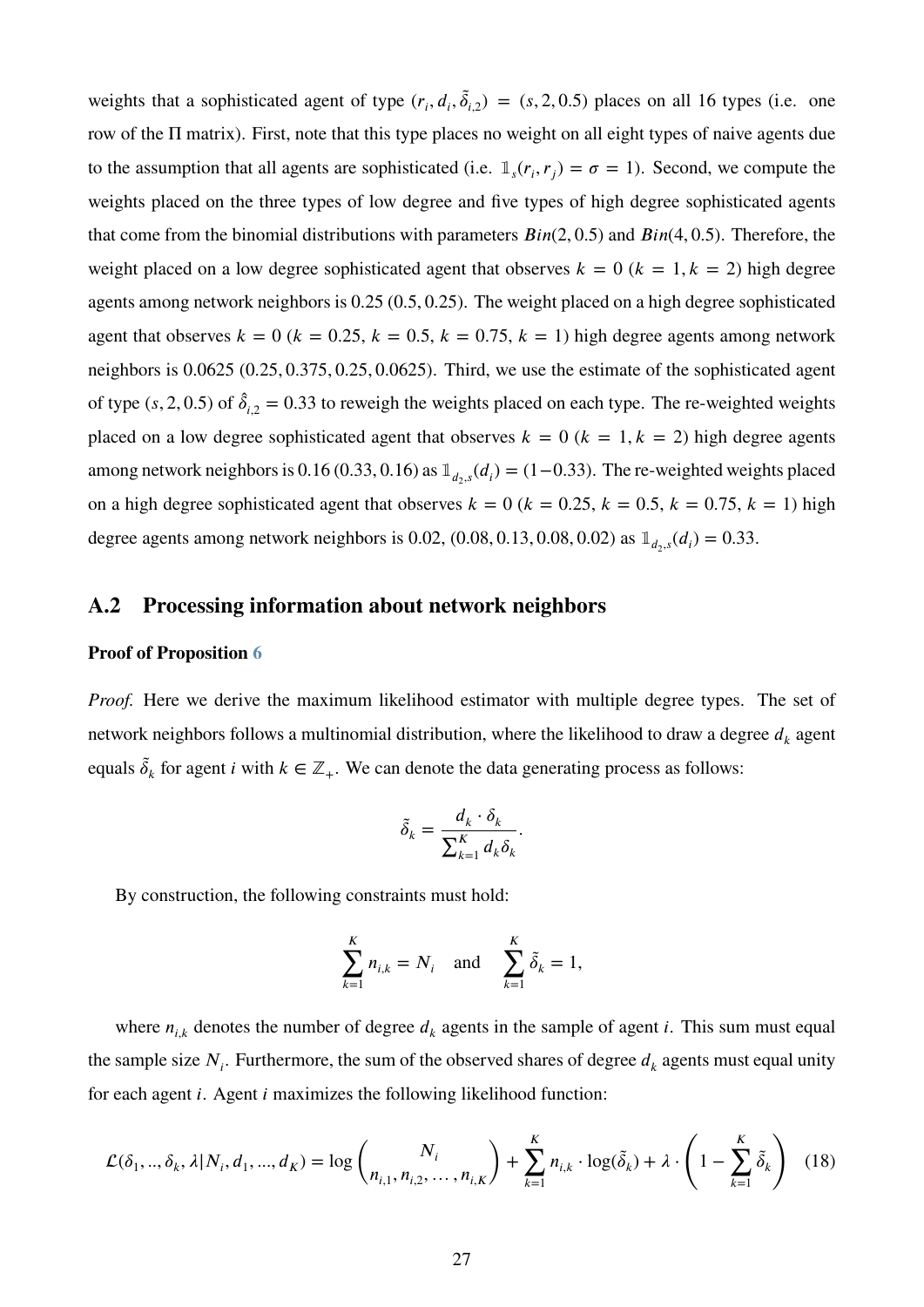weights that a sophisticated agent of type  $(r_i, d_i, \tilde{\delta}_{i,2}) = (s, 2, 0.5)$  places on all 16 types (i.e. one row of the Π matrix). First, note that this type places no weight on all eight types of naive agents due to the assumption that all agents are sophisticated (i.e.  $\mathbb{1}_s(r_i, r_j) = \sigma = 1$ ). Second, we compute the weights placed on the three types of low degree and five types of high degree sophisticated agents that come from the binomial distributions with parameters  $Bin(2, 0.5)$  and  $Bin(4, 0.5)$ . Therefore, the weight placed on a low degree sophisticated agent that observes  $k = 0$  ( $k = 1, k = 2$ ) high degree agents among network neighbors is 0*.*25 (0*.*5*,* 0*.*25). The weight placed on a high degree sophisticated agent that observes  $k = 0$  ( $k = 0.25$ ,  $k = 0.5$ ,  $k = 0.75$ ,  $k = 1$ ) high degree agents among network neighbors is 0*.*0625 (0*.*25*,* 0*.*375*,* 0*.*25*,* 0*.*0625). Third, we use the estimate of the sophisticated agent of type (s, 2, 0.5) of  $\hat{\delta}_{i,2} = 0.33$  to reweigh the weights placed on each type. The re-weighted weights placed on a low degree sophisticated agent that observes  $k = 0$  ( $k = 1, k = 2$ ) high degree agents among network neighbors is 0.16 (0.33, 0.16) as  $\mathbb{1}_{d_2,s}(d_i) = (1-0.33)$ . The re-weighted weights placed on a high degree sophisticated agent that observes  $k = 0$  ( $k = 0.25$ ,  $k = 0.5$ ,  $k = 0.75$ ,  $k = 1$ ) high degree agents among network neighbors is 0.02, (0.08, 0.13, 0.08, 0.02) as  $\mathbb{1}_{d_2,s}(d_i) = 0.33$ .

### <span id="page-27-0"></span>**A.2 Processing information about network neighbors**

#### **Proof of Proposition [6](#page-18-1)**

*Proof.* Here we derive the maximum likelihood estimator with multiple degree types. The set of network neighbors follows a multinomial distribution, where the likelihood to draw a degree  $d_k$  agent equals  $\tilde{\delta}_k$  for agent *i* with  $k \in \mathbb{Z}_+$ . We can denote the data generating process as follows:

$$
\tilde{\delta}_k = \frac{d_k \cdot \delta_k}{\sum_{k=1}^K d_k \delta_k}.
$$

By construction, the following constraints must hold:

<span id="page-27-1"></span>
$$
\sum_{k=1}^{K} n_{i,k} = N_i \quad \text{and} \quad \sum_{k=1}^{K} \tilde{\delta}_k = 1,
$$

where  $n_{i,k}$  denotes the number of degree  $d_k$  agents in the sample of agent *i*. This sum must equal the sample size  $N_i$ . Furthermore, the sum of the observed shares of degree  $d_k$  agents must equal unity for each agent *i*. Agent *i* maximizes the following likelihood function:

$$
\mathcal{L}(\delta_1, ..., \delta_k, \lambda | N_i, d_1, ..., d_K) = \log \binom{N_i}{n_{i,1}, n_{i,2}, ..., n_{i,K}} + \sum_{k=1}^K n_{i,k} \cdot \log(\tilde{\delta}_k) + \lambda \cdot \left(1 - \sum_{k=1}^K \tilde{\delta}_k\right) \tag{18}
$$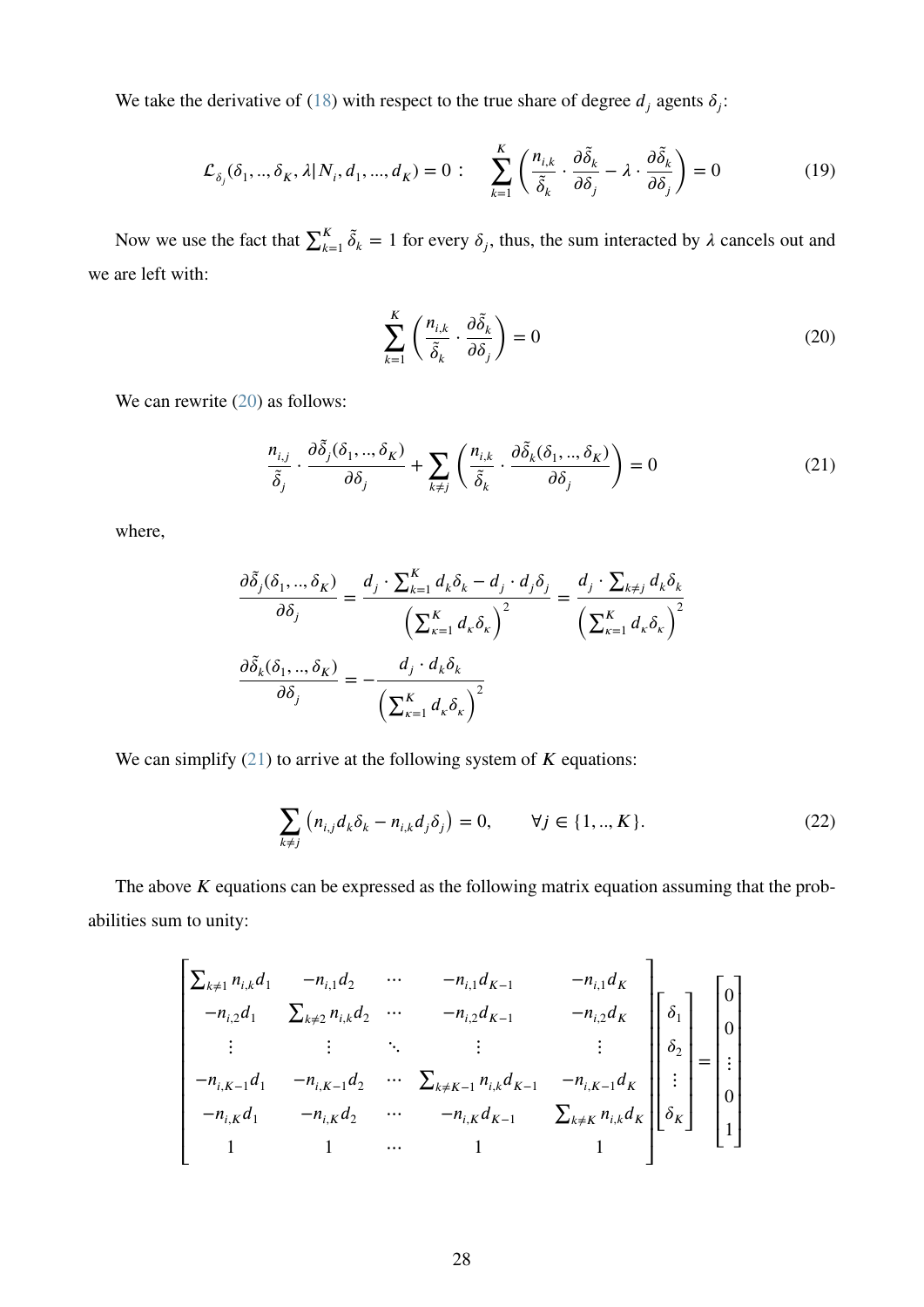We take the derivative of [\(18\)](#page-27-1) with respect to the true share of degree  $d_j$  agents  $\delta_j$ :

$$
\mathcal{L}_{\delta_j}(\delta_1, ..., \delta_K, \lambda | N_i, d_1, ..., d_K) = 0: \quad \sum_{k=1}^K \left( \frac{n_{i,k}}{\tilde{\delta}_k} \cdot \frac{\partial \tilde{\delta}_k}{\partial \delta_j} - \lambda \cdot \frac{\partial \tilde{\delta}_k}{\partial \delta_j} \right) = 0 \tag{19}
$$

Now we use the fact that  $\sum_{k=1}^{K} \tilde{\delta}_k = 1$  for every  $\delta_j$ , thus, the sum interacted by  $\lambda$  cancels out and we are left with:

<span id="page-28-1"></span><span id="page-28-0"></span>
$$
\sum_{k=1}^{K} \left( \frac{n_{i,k}}{\tilde{\delta}_k} \cdot \frac{\partial \tilde{\delta}_k}{\partial \delta_j} \right) = 0
$$
\n(20)

We can rewrite  $(20)$  as follows:

$$
\frac{n_{i,j}}{\tilde{\delta}_j} \cdot \frac{\partial \tilde{\delta}_j(\delta_1, \dots, \delta_K)}{\partial \delta_j} + \sum_{k \neq j} \left( \frac{n_{i,k}}{\tilde{\delta}_k} \cdot \frac{\partial \tilde{\delta}_k(\delta_1, \dots, \delta_K)}{\partial \delta_j} \right) = 0 \tag{21}
$$

where,

$$
\frac{\partial \tilde{\delta}_j(\delta_1, ..., \delta_K)}{\partial \delta_j} = \frac{d_j \cdot \sum_{k=1}^K d_k \delta_k - d_j \cdot d_j \delta_j}{\left(\sum_{\kappa=1}^K d_\kappa \delta_\kappa\right)^2} = \frac{d_j \cdot \sum_{k \neq j} d_k \delta_k}{\left(\sum_{\kappa=1}^K d_\kappa \delta_\kappa\right)^2}
$$

$$
\frac{\partial \tilde{\delta}_k(\delta_1, ..., \delta_K)}{\partial \delta_j} = -\frac{d_j \cdot d_k \delta_k}{\left(\sum_{\kappa=1}^K d_\kappa \delta_\kappa\right)^2}
$$

We can simplify  $(21)$  to arrive at the following system of *K* equations:

<span id="page-28-2"></span>
$$
\sum_{k \neq j} (n_{i,j} d_k \delta_k - n_{i,k} d_j \delta_j) = 0, \qquad \forall j \in \{1, ..., K\}.
$$
 (22)

The above *K* equations can be expressed as the following matrix equation assuming that the probabilities sum to unity:

$$
\begin{bmatrix}\n\Sigma_{k\neq 1} n_{i,k} d_1 & -n_{i,1} d_2 & \cdots & -n_{i,1} d_{K-1} & -n_{i,1} d_K \\
-n_{i,2} d_1 & \Sigma_{k\neq 2} n_{i,k} d_2 & \cdots & -n_{i,2} d_{K-1} & -n_{i,2} d_K \\
\vdots & \vdots & \ddots & \vdots & \vdots \\
-n_{i,K-1} d_1 & -n_{i,K-1} d_2 & \cdots & \Sigma_{k\neq K-1} n_{i,k} d_{K-1} & -n_{i,K-1} d_K \\
-n_{i,K} d_1 & -n_{i,K} d_2 & \cdots & -n_{i,K} d_{K-1} & \Sigma_{k\neq K} n_{i,k} d_K\n\end{bmatrix}\n\begin{bmatrix}\n\delta_1 \\
\delta_2 \\
\vdots \\
\delta_K\n\end{bmatrix} =\n\begin{bmatrix}\n0 \\
0 \\
\vdots \\
0 \\
1\n\end{bmatrix}
$$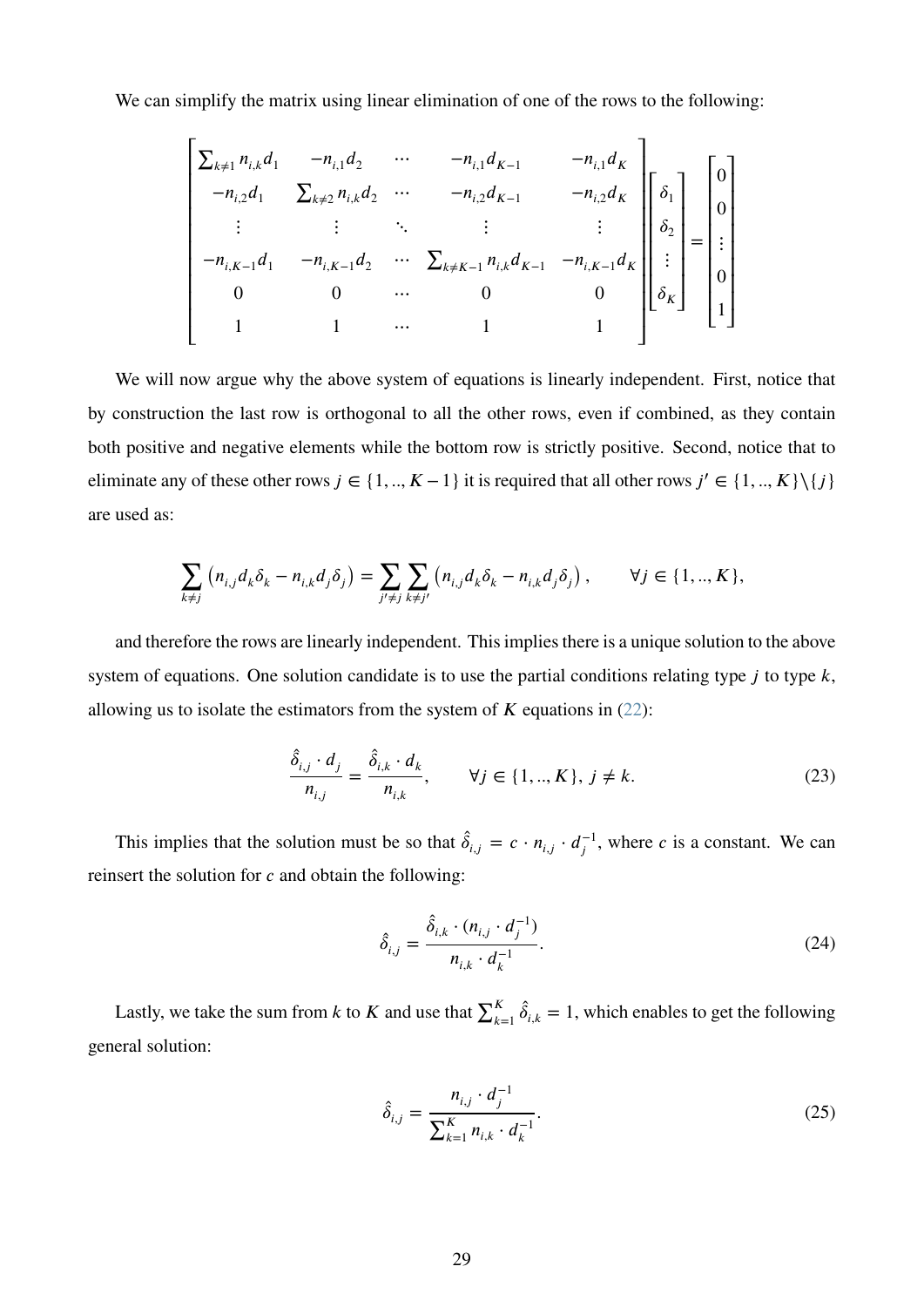We can simplify the matrix using linear elimination of one of the rows to the following:

$$
\begin{bmatrix}\n\Sigma_{k \neq 1} n_{i,k} d_1 & -n_{i,1} d_2 & \cdots & -n_{i,1} d_{K-1} & -n_{i,1} d_K \\
-n_{i,2} d_1 & \Sigma_{k \neq 2} n_{i,k} d_2 & \cdots & -n_{i,2} d_{K-1} & -n_{i,2} d_K \\
\vdots & \vdots & \ddots & \vdots & \vdots \\
-n_{i,K-1} d_1 & -n_{i,K-1} d_2 & \cdots & \Sigma_{k \neq K-1} n_{i,k} d_{K-1} & -n_{i,K-1} d_K \\
0 & 0 & \cdots & 0 & 0 \\
1 & 1 & \cdots & 1 & 1\n\end{bmatrix}\n\begin{bmatrix}\n\delta_1 \\
\delta_2 \\
\vdots \\
\delta_K\n\end{bmatrix} =\n\begin{bmatrix}\n0 \\
0 \\
\vdots \\
0 \\
1\n\end{bmatrix}
$$

We will now argue why the above system of equations is linearly independent. First, notice that by construction the last row is orthogonal to all the other rows, even if combined, as they contain both positive and negative elements while the bottom row is strictly positive. Second, notice that to eliminate any of these other rows  $j \in \{1, ..., K-1\}$  it is required that all other rows  $j' \in \{1, ..., K\} \setminus \{j\}$ are used as:

$$
\sum_{k \neq j} (n_{i,j} d_k \delta_k - n_{i,k} d_j \delta_j) = \sum_{j' \neq j} \sum_{k \neq j'} (n_{i,j} d_k \delta_k - n_{i,k} d_j \delta_j), \qquad \forall j \in \{1, ..., K\},
$$

and therefore the rows are linearly independent. This implies there is a unique solution to the above system of equations. One solution candidate is to use the partial conditions relating type  $j$  to type  $k$ , allowing us to isolate the estimators from the system of  $K$  equations in [\(22\)](#page-28-2):

$$
\frac{\hat{\delta}_{i,j} \cdot d_j}{n_{i,j}} = \frac{\hat{\delta}_{i,k} \cdot d_k}{n_{i,k}}, \qquad \forall j \in \{1, ..., K\}, j \neq k.
$$
 (23)

This implies that the solution must be so that  $\hat{\delta}_{i,j} = c \cdot n_{i,j} \cdot d_i^{-1}$  $j^{-1}$ , where *c* is a constant. We can reinsert the solution for *c* and obtain the following:

$$
\hat{\delta}_{i,j} = \frac{\hat{\delta}_{i,k} \cdot (n_{i,j} \cdot d_j^{-1})}{n_{i,k} \cdot d_k^{-1}}.
$$
\n(24)

Lastly, we take the sum from *k* to *K* and use that  $\sum_{k=1}^{K} \hat{\delta}_{i,k} = 1$ , which enables to get the following general solution:

$$
\hat{\delta}_{i,j} = \frac{n_{i,j} \cdot d_j^{-1}}{\sum_{k=1}^{K} n_{i,k} \cdot d_k^{-1}}.
$$
\n(25)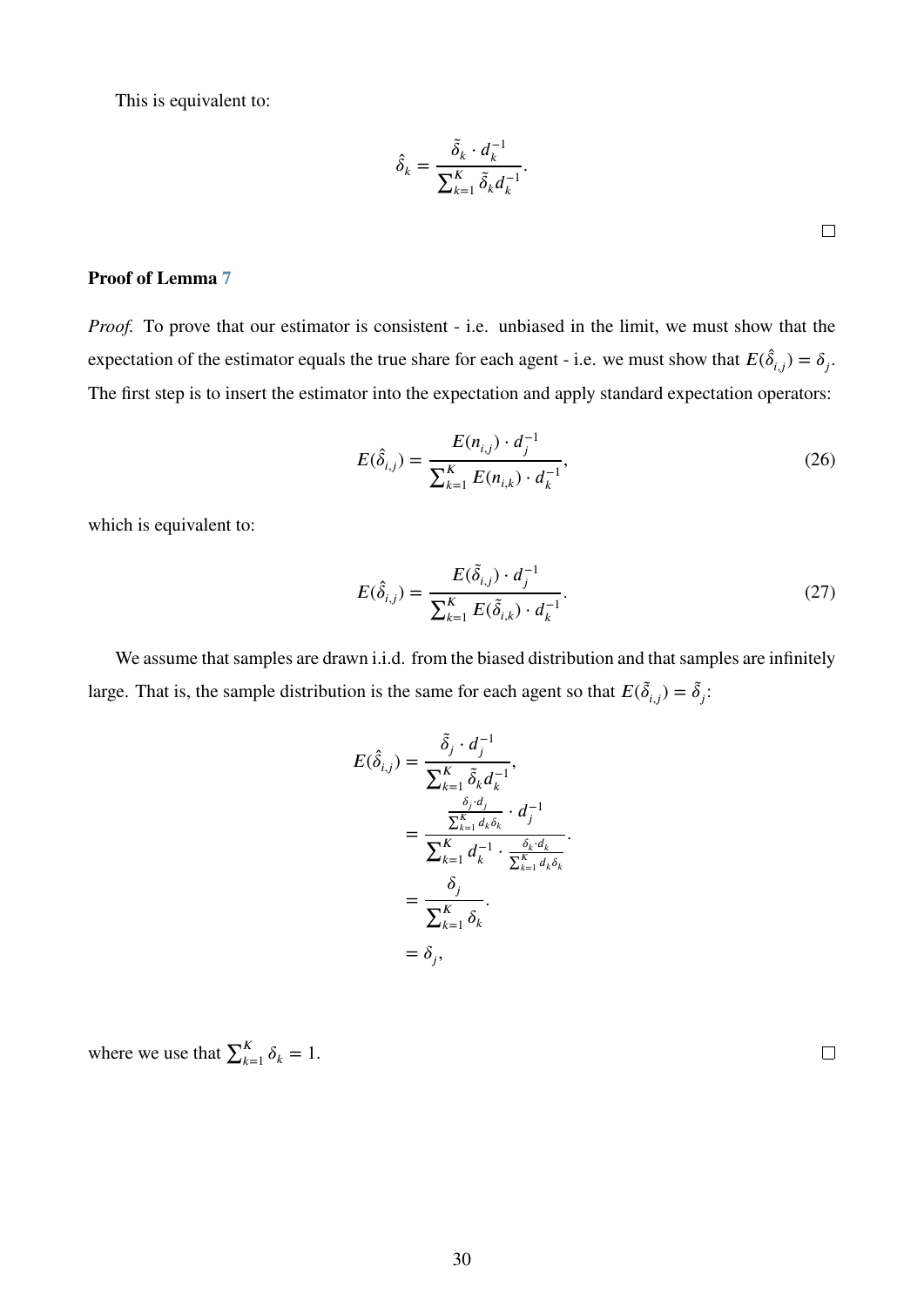This is equivalent to:

$$
\hat{\delta}_k = \frac{\tilde{\delta}_k \cdot d_k^{-1}}{\sum_{k=1}^K \tilde{\delta}_k d_k^{-1}}.
$$

#### **Proof of Lemma [7](#page-18-0)**

*Proof.* To prove that our estimator is consistent - i.e. unbiased in the limit, we must show that the expectation of the estimator equals the true share for each agent - i.e. we must show that  $E(\hat{\delta}_{i,j}) = \delta_j$ . The first step is to insert the estimator into the expectation and apply standard expectation operators:

$$
E(\hat{\delta}_{i,j}) = \frac{E(n_{i,j}) \cdot d_j^{-1}}{\sum_{k=1}^{K} E(n_{i,k}) \cdot d_k^{-1}},
$$
\n(26)

which is equivalent to:

$$
E(\hat{\delta}_{i,j}) = \frac{E(\tilde{\delta}_{i,j}) \cdot d_j^{-1}}{\sum_{k=1}^{K} E(\tilde{\delta}_{i,k}) \cdot d_k^{-1}}.
$$
 (27)

*.*

We assume that samples are drawn i.i.d. from the biased distribution and that samples are infinitely large. That is, the sample distribution is the same for each agent so that  $E(\tilde{\delta}_{i,j}) = \tilde{\delta}_j$ :

$$
E(\hat{\delta}_{i,j}) = \frac{\tilde{\delta}_j \cdot d_j^{-1}}{\sum_{k=1}^K \tilde{\delta}_k d_k^{-1}},
$$
  

$$
= \frac{\frac{\delta_j \cdot d_j}{\sum_{k=1}^K d_k \delta_k} \cdot d_j^{-1}}{\sum_{k=1}^K d_k^{-1} \cdot \frac{\delta_k \cdot d_k}{\sum_{k=1}^K d_k \delta_k}}
$$
  

$$
= \frac{\delta_j}{\sum_{k=1}^K \delta_k}.
$$
  

$$
= \delta_j,
$$

where we use that  $\sum_{k=1}^{K} \delta_k = 1$ .

 $\Box$ 

 $\Box$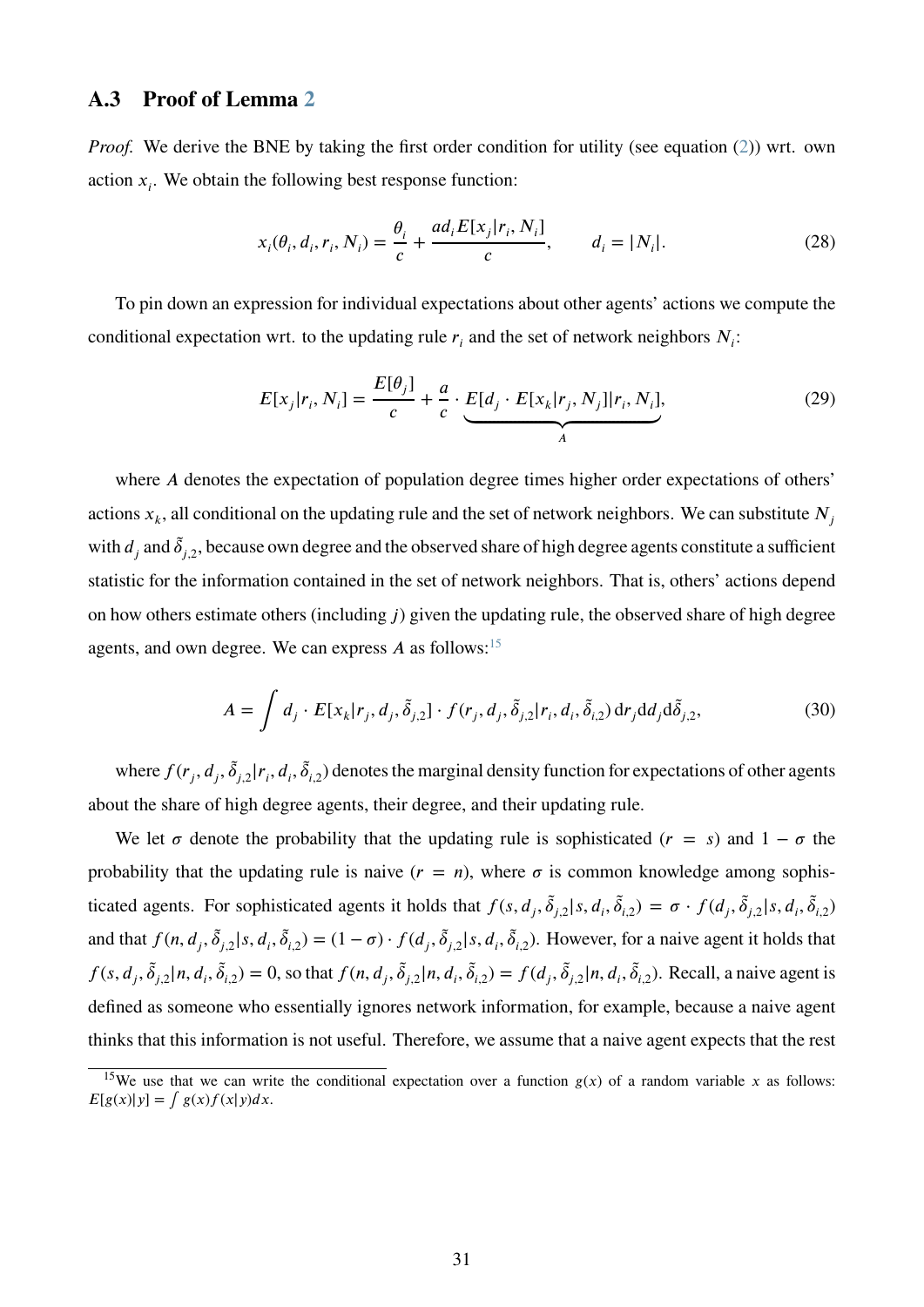### <span id="page-31-0"></span>**A.3 Proof of Lemma [2](#page-9-2)**

*Proof.* We derive the BNE by taking the first order condition for utility (see equation [\(2\)](#page-5-1)) wrt. own action  $x_i$ . We obtain the following best response function:

$$
x_i(\theta_i, d_i, r_i, N_i) = \frac{\theta_i}{c} + \frac{ad_i E[x_j | r_i, N_i]}{c}, \qquad d_i = |N_i|.
$$
 (28)

To pin down an expression for individual expectations about other agents' actions we compute the conditional expectation wrt. to the updating rule  $r_i$  and the set of network neighbors  $N_i$ :

<span id="page-31-3"></span>
$$
E[x_j|r_i, N_i] = \frac{E[\theta_j]}{c} + \frac{a}{c} \cdot \underbrace{E[d_j \cdot E[x_k|r_j, N_j]|r_i, N_i]}_{A},
$$
\n(29)

where *A* denotes the expectation of population degree times higher order expectations of others' actions  $x_k$ , all conditional on the updating rule and the set of network neighbors. We can substitute  $N_j$ with  $d_j$  and  $\tilde{\delta}_{j,2}$ , because own degree and the observed share of high degree agents constitute a sufficient statistic for the information contained in the set of network neighbors. That is, others' actions depend on how others estimate others (including *j*) given the updating rule, the observed share of high degree agents, and own degree. We can express  $A$  as follows:<sup>[15](#page-31-1)</sup>

<span id="page-31-2"></span>
$$
A = \int d_j \cdot E[x_k | r_j, d_j, \tilde{\delta}_{j,2}] \cdot f(r_j, d_j, \tilde{\delta}_{j,2} | r_i, d_i, \tilde{\delta}_{i,2}) \, dr_j dd_j d\tilde{\delta}_{j,2},\tag{30}
$$

where  $f(r_j, d_j, \tilde{\delta}_{j,2}|r_i, d_i, \tilde{\delta}_{i,2})$  denotes the marginal density function for expectations of other agents about the share of high degree agents, their degree, and their updating rule.

We let  $\sigma$  denote the probability that the updating rule is sophisticated ( $r = s$ ) and  $1 - \sigma$  the probability that the updating rule is naive  $(r = n)$ , where  $\sigma$  is common knowledge among sophisticated agents. For sophisticated agents it holds that  $f(s, d_j, \tilde{\delta}_{j,2}|s, d_i, \tilde{\delta}_{i,2}) = \sigma \cdot f(d_j, \tilde{\delta}_{j,2}|s, d_i, \tilde{\delta}_{i,2})$ and that  $f(n, d_j, \tilde{\delta}_{j,2}|s, d_i, \tilde{\delta}_{i,2}) = (1 - \sigma) \cdot f(d_j, \tilde{\delta}_{j,2}|s, d_i, \tilde{\delta}_{i,2})$ . However, for a naive agent it holds that  $f(s, d_j, \tilde{\delta}_{j,2} | n, d_i, \tilde{\delta}_{i,2}) = 0$ , so that  $f(n, d_j, \tilde{\delta}_{j,2} | n, d_i, \tilde{\delta}_{i,2}) = f(d_j, \tilde{\delta}_{j,2} | n, d_i, \tilde{\delta}_{i,2})$ . Recall, a naive agent is defined as someone who essentially ignores network information, for example, because a naive agent thinks that this information is not useful. Therefore, we assume that a naive agent expects that the rest

<span id="page-31-1"></span><sup>&</sup>lt;sup>15</sup>We use that we can write the conditional expectation over a function  $g(x)$  of a random variable *x* as follows:  $E[g(x)|y] = \int g(x)f(x|y)dx$ .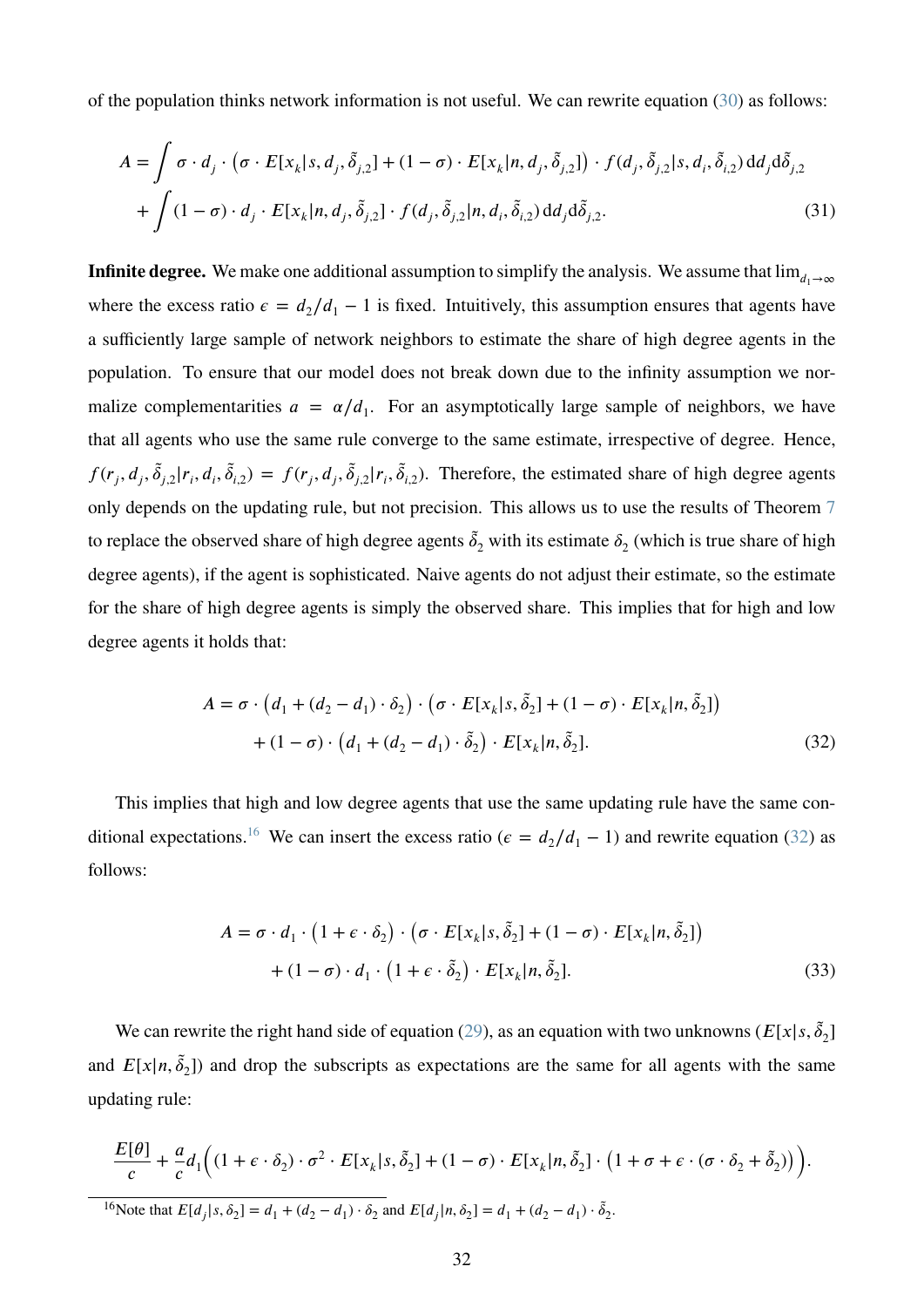of the population thinks network information is not useful. We can rewrite equation [\(30\)](#page-31-2) as follows:

$$
A = \int \sigma \cdot d_j \cdot (\sigma \cdot E[x_k | s, d_j, \tilde{\delta}_{j,2}] + (1 - \sigma) \cdot E[x_k | n, d_j, \tilde{\delta}_{j,2}]) \cdot f(d_j, \tilde{\delta}_{j,2} | s, d_i, \tilde{\delta}_{i,2}) d d_j d \tilde{\delta}_{j,2} + \int (1 - \sigma) \cdot d_j \cdot E[x_k | n, d_j, \tilde{\delta}_{j,2}] \cdot f(d_j, \tilde{\delta}_{j,2} | n, d_i, \tilde{\delta}_{i,2}) d d_j d \tilde{\delta}_{j,2}.
$$
 (31)

**Infinite degree.** We make one additional assumption to simplify the analysis. We assume that  $\lim_{d_1\to\infty}$ where the excess ratio  $\epsilon = d_2/d_1 - 1$  is fixed. Intuitively, this assumption ensures that agents have a sufficiently large sample of network neighbors to estimate the share of high degree agents in the population. To ensure that our model does not break down due to the infinity assumption we normalize complementarities  $a = \alpha/d_1$ . For an asymptotically large sample of neighbors, we have that all agents who use the same rule converge to the same estimate, irrespective of degree. Hence,  $f(r_j, d_j, \tilde{\delta}_{j,2}|r_i, d_i, \tilde{\delta}_{i,2}) = f(r_j, d_j, \tilde{\delta}_{j,2}|r_i, \tilde{\delta}_{i,2})$ . Therefore, the estimated share of high degree agents only depends on the updating rule, but not precision. This allows us to use the results of Theorem [7](#page-18-0) to replace the observed share of high degree agents  $\tilde{\delta}_2$  with its estimate  $\delta_2$  (which is true share of high degree agents), if the agent is sophisticated. Naive agents do not adjust their estimate, so the estimate for the share of high degree agents is simply the observed share. This implies that for high and low degree agents it holds that:

<span id="page-32-1"></span>
$$
A = \sigma \cdot (d_1 + (d_2 - d_1) \cdot \delta_2) \cdot (\sigma \cdot E[x_k | s, \tilde{\delta}_2] + (1 - \sigma) \cdot E[x_k | n, \tilde{\delta}_2])
$$
  
+ 
$$
(1 - \sigma) \cdot (d_1 + (d_2 - d_1) \cdot \tilde{\delta}_2) \cdot E[x_k | n, \tilde{\delta}_2].
$$
 (32)

This implies that high and low degree agents that use the same updating rule have the same con-ditional expectations.<sup>[16](#page-32-0)</sup> We can insert the excess ratio ( $\epsilon = d_2/d_1 - 1$ ) and rewrite equation [\(32\)](#page-32-1) as follows:

$$
A = \sigma \cdot d_1 \cdot (1 + \epsilon \cdot \delta_2) \cdot (\sigma \cdot E[x_k | s, \tilde{\delta}_2] + (1 - \sigma) \cdot E[x_k | n, \tilde{\delta}_2])
$$
  
+ 
$$
(1 - \sigma) \cdot d_1 \cdot (1 + \epsilon \cdot \tilde{\delta}_2) \cdot E[x_k | n, \tilde{\delta}_2].
$$
 (33)

We can rewrite the right hand side of equation [\(29\)](#page-31-3), as an equation with two unknowns ( $E[x|s, \tilde{\delta}_2]$ and  $E[x|n, \tilde{\delta}_2]$  and drop the subscripts as expectations are the same for all agents with the same updating rule:

$$
\frac{E[\theta]}{c} + \frac{a}{c}d_1\Big((1+\epsilon\cdot\delta_2)\cdot\sigma^2\cdot E[x_k|s,\tilde{\delta}_2] + (1-\sigma)\cdot E[x_k|n,\tilde{\delta}_2]\cdot\big(1+\sigma+\epsilon\cdot(\sigma\cdot\delta_2+\tilde{\delta}_2)\big)\Big).
$$

<span id="page-32-0"></span><sup>16</sup>Note that  $E[d_j|s, \delta_2] = d_1 + (d_2 - d_1) \cdot \delta_2$  and  $E[d_j|n, \delta_2] = d_1 + (d_2 - d_1) \cdot \delta_2$ .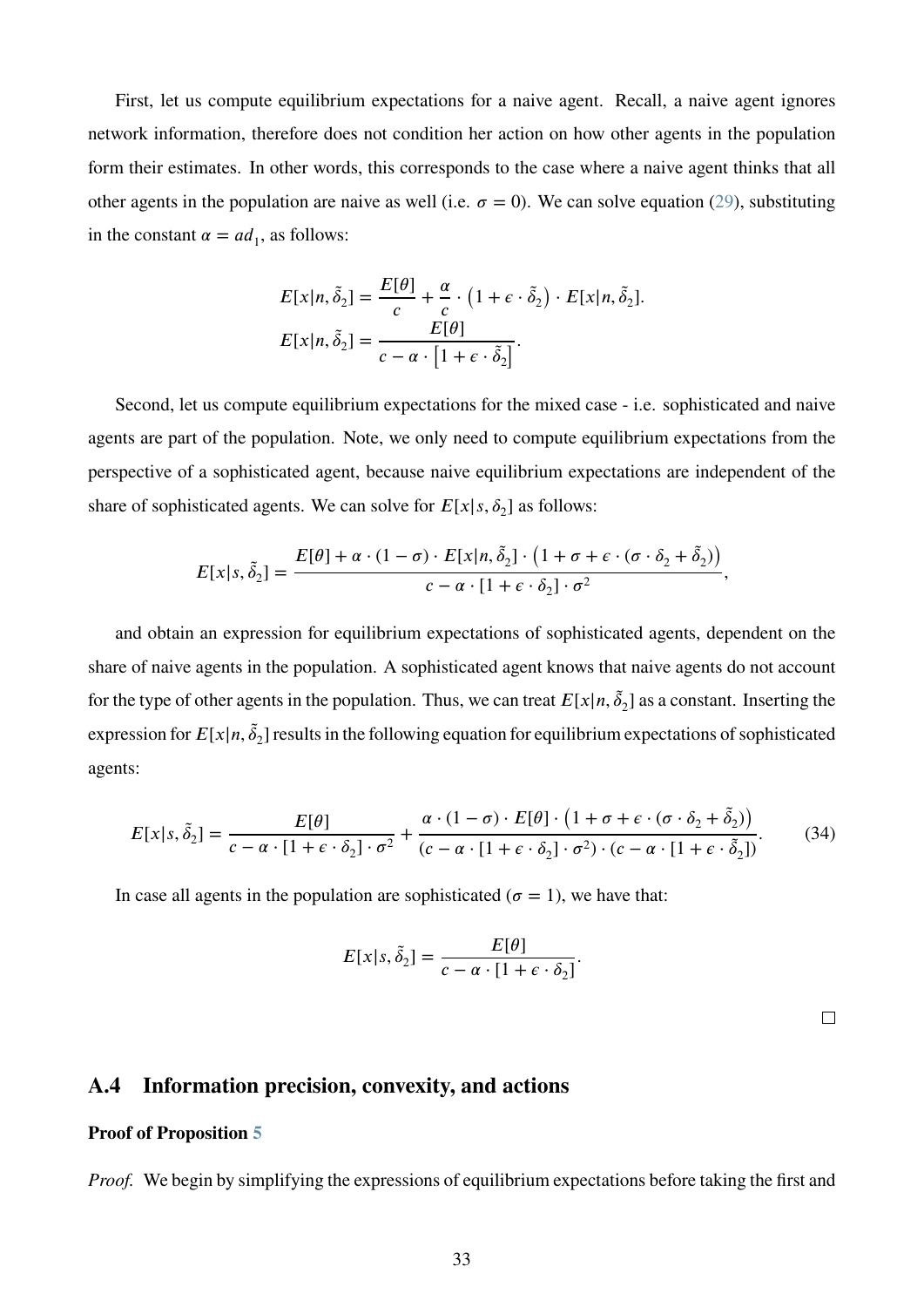First, let us compute equilibrium expectations for a naive agent. Recall, a naive agent ignores network information, therefore does not condition her action on how other agents in the population form their estimates. In other words, this corresponds to the case where a naive agent thinks that all other agents in the population are naive as well (i.e.  $\sigma = 0$ ). We can solve equation [\(29\)](#page-31-3), substituting in the constant  $\alpha = ad_1$ , as follows:

$$
E[x|n, \tilde{\delta}_2] = \frac{E[\theta]}{c} + \frac{\alpha}{c} \cdot (1 + \epsilon \cdot \tilde{\delta}_2) \cdot E[x|n, \tilde{\delta}_2].
$$
  

$$
E[x|n, \tilde{\delta}_2] = \frac{E[\theta]}{c - \alpha \cdot [1 + \epsilon \cdot \tilde{\delta}_2]}.
$$

Second, let us compute equilibrium expectations for the mixed case - i.e. sophisticated and naive agents are part of the population. Note, we only need to compute equilibrium expectations from the perspective of a sophisticated agent, because naive equilibrium expectations are independent of the share of sophisticated agents. We can solve for  $E[x|s, \delta_2]$  as follows:

$$
E[x|s,\tilde{\delta}_2] = \frac{E[\theta] + \alpha \cdot (1-\sigma) \cdot E[x|n,\tilde{\delta}_2] \cdot (1+\sigma+\epsilon \cdot (\sigma \cdot \delta_2 + \tilde{\delta}_2))}{c - \alpha \cdot [1+\epsilon \cdot \delta_2] \cdot \sigma^2},
$$

and obtain an expression for equilibrium expectations of sophisticated agents, dependent on the share of naive agents in the population. A sophisticated agent knows that naive agents do not account for the type of other agents in the population. Thus, we can treat  $E[x|n, \tilde{\delta}_2]$  as a constant. Inserting the expression for  $E[x|n, \tilde{\delta}_2]$  results in the following equation for equilibrium expectations of sophisticated agents:

$$
E[x|s,\tilde{\delta}_2] = \frac{E[\theta]}{c - \alpha \cdot [1 + \epsilon \cdot \delta_2] \cdot \sigma^2} + \frac{\alpha \cdot (1 - \sigma) \cdot E[\theta] \cdot (1 + \sigma + \epsilon \cdot (\sigma \cdot \delta_2 + \tilde{\delta}_2))}{(c - \alpha \cdot [1 + \epsilon \cdot \delta_2] \cdot \sigma^2) \cdot (c - \alpha \cdot [1 + \epsilon \cdot \tilde{\delta}_2])}.
$$
(34)

In case all agents in the population are sophisticated ( $\sigma = 1$ ), we have that:

$$
E[x|s, \tilde{\delta}_2] = \frac{E[\theta]}{c - \alpha \cdot [1 + \epsilon \cdot \delta_2]}.
$$

 $\Box$ 

## <span id="page-33-0"></span>**A.4 Information precision, convexity, and actions**

#### **Proof of Proposition [5](#page-14-1)**

*Proof.* We begin by simplifying the expressions of equilibrium expectations before taking the first and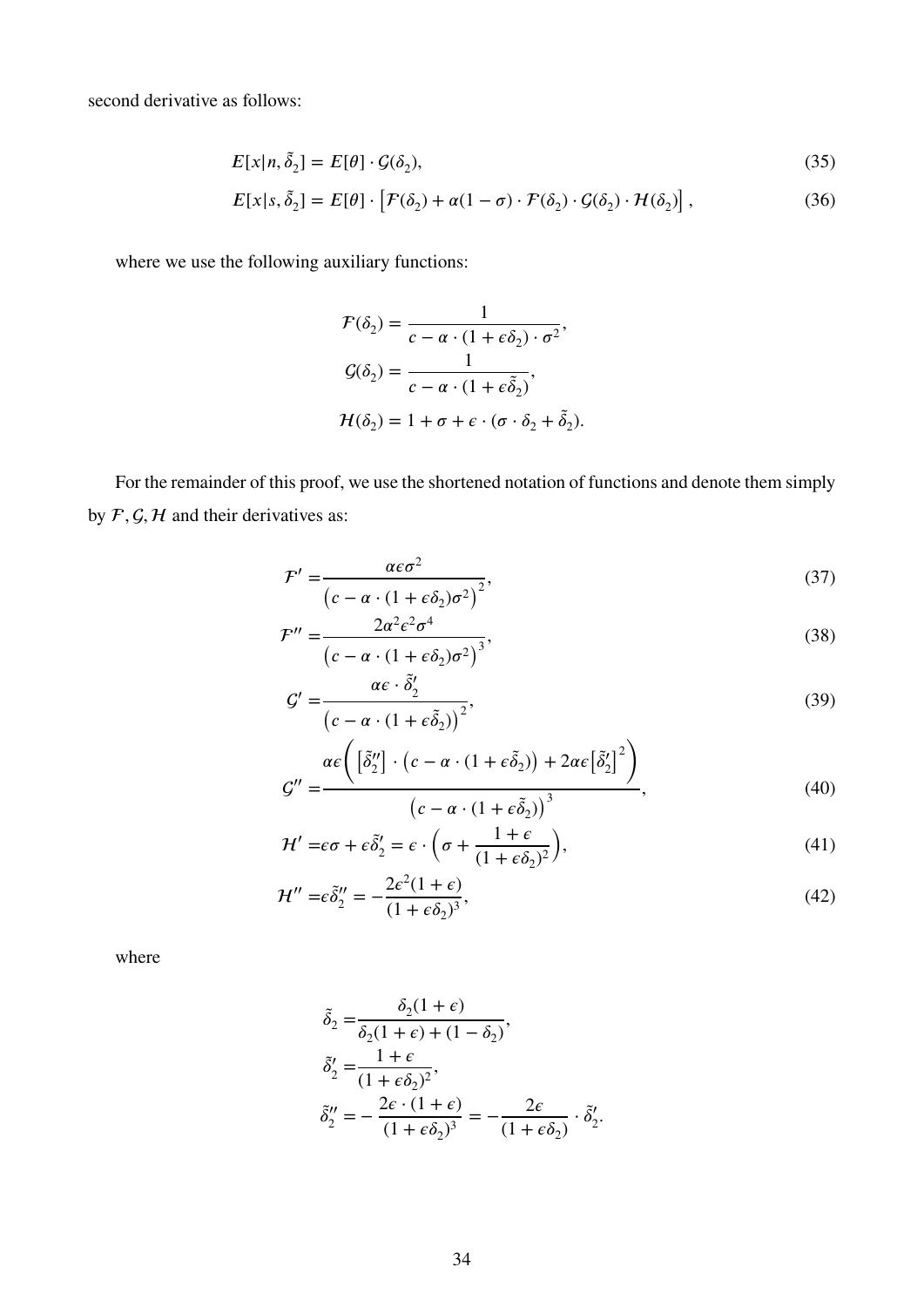second derivative as follows:

$$
E[x|n, \tilde{\delta}_2] = E[\theta] \cdot \mathcal{G}(\delta_2),\tag{35}
$$

$$
E[x|s,\tilde{\delta}_2] = E[\theta] \cdot [F(\delta_2) + \alpha(1-\sigma) \cdot F(\delta_2) \cdot \mathcal{G}(\delta_2) \cdot \mathcal{H}(\delta_2)],
$$
\n(36)

where we use the following auxiliary functions:

<span id="page-34-1"></span><span id="page-34-0"></span>
$$
\mathcal{F}(\delta_2) = \frac{1}{c - \alpha \cdot (1 + \epsilon \delta_2) \cdot \sigma^2},
$$

$$
\mathcal{G}(\delta_2) = \frac{1}{c - \alpha \cdot (1 + \epsilon \tilde{\delta}_2)},
$$

$$
\mathcal{H}(\delta_2) = 1 + \sigma + \epsilon \cdot (\sigma \cdot \delta_2 + \tilde{\delta}_2).
$$

For the remainder of this proof, we use the shortened notation of functions and denote them simply by  $F$ ,  $G$ ,  $H$  and their derivatives as:

$$
\mathcal{F}' = \frac{\alpha \epsilon \sigma^2}{\left(c - \alpha \cdot (1 + \epsilon \delta_2) \sigma^2\right)^2},\tag{37}
$$

$$
\mathcal{F}'' = \frac{2\alpha^2 \epsilon^2 \sigma^4}{\left(c - \alpha \cdot (1 + \epsilon \delta_2)\sigma^2\right)^3},\tag{38}
$$

$$
G' = \frac{\alpha \epsilon \cdot \tilde{\delta}'_2}{\left(c - \alpha \cdot (1 + \epsilon \tilde{\delta}_2)\right)^2},\tag{39}
$$

$$
G'' = \frac{\alpha \epsilon \left( \left[ \tilde{\delta}_2'' \right] \cdot \left( c - \alpha \cdot (1 + \epsilon \tilde{\delta}_2) \right) + 2\alpha \epsilon \left[ \tilde{\delta}_2' \right]^2 \right)}{\left( c - \alpha \cdot (1 + \epsilon \tilde{\delta}_2) \right)^3},\tag{40}
$$

<span id="page-34-2"></span>
$$
\mathcal{H}' = \epsilon \sigma + \epsilon \tilde{\delta}'_2 = \epsilon \cdot \left( \sigma + \frac{1 + \epsilon}{(1 + \epsilon \delta_2)^2} \right),\tag{41}
$$

$$
\mathcal{H}'' = \epsilon \tilde{\delta}_2'' = -\frac{2\epsilon^2 (1+\epsilon)}{(1+\epsilon \delta_2)^3},\tag{42}
$$

where

$$
\begin{aligned}\n\tilde{\delta}_2 &= \frac{\delta_2(1+\epsilon)}{\delta_2(1+\epsilon) + (1-\delta_2)}, \\
\tilde{\delta}_2' &= \frac{1+\epsilon}{(1+\epsilon\delta_2)^2}, \\
\tilde{\delta}_2'' &= -\frac{2\epsilon \cdot (1+\epsilon)}{(1+\epsilon\delta_2)^3} = -\frac{2\epsilon}{(1+\epsilon\delta_2)} \cdot \tilde{\delta}_2'.\n\end{aligned}
$$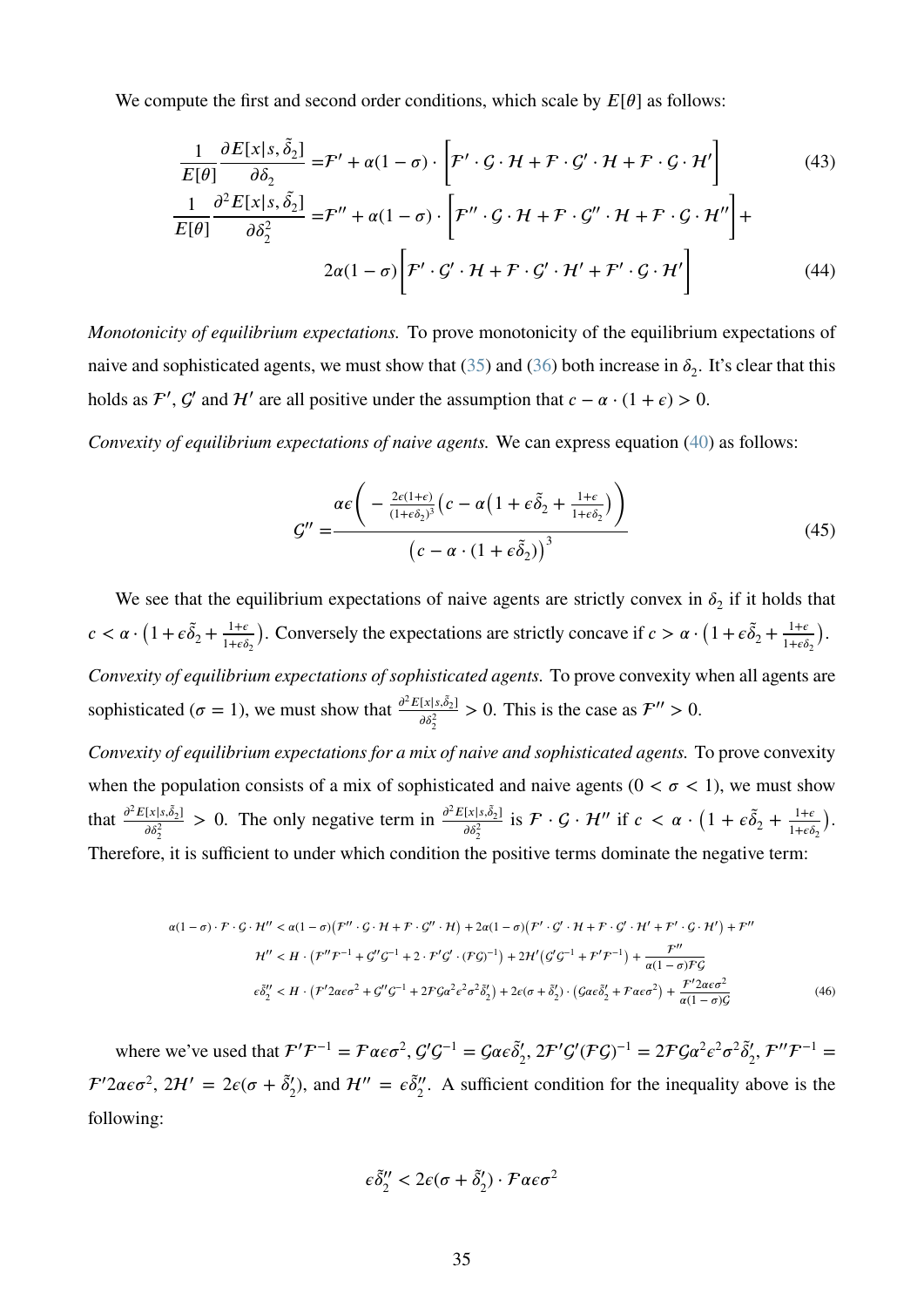We compute the first and second order conditions, which scale by  $E[\theta]$  as follows:

$$
\frac{1}{E[\theta]} \frac{\partial E[x|s, \tilde{\delta}_2]}{\partial \delta_2} = \mathcal{F}' + \alpha(1 - \sigma) \cdot \left[ \mathcal{F}' \cdot \mathcal{G} \cdot \mathcal{H} + \mathcal{F} \cdot \mathcal{G}' \cdot \mathcal{H} + \mathcal{F} \cdot \mathcal{G} \cdot \mathcal{H}' \right]
$$
(43)

$$
\frac{1}{E[\theta]} \frac{\partial^2 E[x|s, \tilde{\delta}_2]}{\partial \delta_2^2} = \mathcal{F}'' + \alpha (1 - \sigma) \cdot \left[ \mathcal{F}'' \cdot \mathcal{G} \cdot \mathcal{H} + \mathcal{F} \cdot \mathcal{G}'' \cdot \mathcal{H} + \mathcal{F} \cdot \mathcal{G} \cdot \mathcal{H}'' \right] +
$$
  

$$
2\alpha (1 - \sigma) \left[ \mathcal{F}' \cdot \mathcal{G}' \cdot \mathcal{H} + \mathcal{F} \cdot \mathcal{G}' \cdot \mathcal{H}' + \mathcal{F}' \cdot \mathcal{G} \cdot \mathcal{H}' \right]
$$
(44)

*Monotonicity of equilibrium expectations.* To prove monotonicity of the equilibrium expectations of naive and sophisticated agents, we must show that  $(35)$  and  $(36)$  both increase in  $\delta_2$ . It's clear that this holds as  $\mathcal{F}'$ ,  $\mathcal{G}'$  and  $\mathcal{H}'$  are all positive under the assumption that  $c - \alpha \cdot (1 + \epsilon) > 0$ .

*Convexity of equilibrium expectations of naive agents.* We can express equation [\(40\)](#page-34-2) as follows:

$$
G'' = \frac{\alpha \epsilon \left( -\frac{2\epsilon(1+\epsilon)}{(1+\epsilon \delta_2)^3} \left( c - \alpha \left( 1 + \epsilon \delta_2 + \frac{1+\epsilon}{1+\epsilon \delta_2} \right) \right) \right)}{\left( c - \alpha \cdot \left( 1 + \epsilon \delta_2 \right) \right)^3}
$$
(45)

We see that the equilibrium expectations of naive agents are strictly convex in  $\delta_2$  if it holds that  $c < \alpha \cdot (1 + \epsilon \tilde{\delta}_2 + \frac{1 + \epsilon}{1 + \epsilon \tilde{\delta}})$  $1+\epsilon\delta_2$ ). Conversely the expectations are strictly concave if  $c > \alpha \cdot (1 + \epsilon \tilde{\delta}_2 + \frac{1+\epsilon \tilde{\delta}_2}{1+\epsilon \tilde{\delta}_2})$  $1+\epsilon\delta_2$  $\lambda$ . *Convexity of equilibrium expectations of sophisticated agents.* To prove convexity when all agents are sophisticated ( $\sigma = 1$ ), we must show that  $\frac{\partial^2 E[x|s,\tilde{\delta}_2]}{\partial s^2}$  $\frac{x}{\delta \delta_2^2} > 0$ . This is the case as  $\mathcal{F}'' > 0$ .

*Convexity of equilibrium expectations for a mix of naive and sophisticated agents.* To prove convexity when the population consists of a mix of sophisticated and naive agents  $(0 < \sigma < 1)$ , we must show that  $\frac{\partial^2 E[x|s,\tilde{\delta}_2]}{\partial s^2}$  $\frac{[x|_{s,\tilde{\delta}_2}]}{\delta \delta_2^2} > 0$ . The only negative term in  $\frac{\partial^2 E[x|_{s,\tilde{\delta}_2}]}{\partial \delta_2^2}$  $\frac{[x|_s, \tilde{\delta}_2]}{\delta \delta_2^2}$  is  $\mathcal{F} \cdot \mathcal{G} \cdot \mathcal{H}''$  if  $c < \alpha \cdot \left(1 + \epsilon \tilde{\delta}_2 + \frac{1 + \epsilon}{1 + \epsilon \delta_2}\right)$  $1+\epsilon\delta_2$  $\lambda$ . Therefore, it is sufficient to under which condition the positive terms dominate the negative term:

$$
\alpha(1-\sigma)\cdot\mathcal{F}\cdot\mathcal{G}\cdot\mathcal{H}'' < \alpha(1-\sigma)(\mathcal{F}''\cdot\mathcal{G}\cdot\mathcal{H} + \mathcal{F}\cdot\mathcal{G}''\cdot\mathcal{H}) + 2\alpha(1-\sigma)(\mathcal{F}'\cdot\mathcal{G}'\cdot\mathcal{H} + \mathcal{F}\cdot\mathcal{G}'\cdot\mathcal{H}' + \mathcal{F}'\cdot\mathcal{G}\cdot\mathcal{H}') + \mathcal{F}''
$$
\n
$$
\mathcal{H}'' < H\cdot(\mathcal{F}''\mathcal{F}^{-1} + \mathcal{G}''\mathcal{G}^{-1} + 2\cdot\mathcal{F}'\mathcal{G}'\cdot(\mathcal{F}\mathcal{G})^{-1}) + 2\mathcal{H}'(\mathcal{G}'\mathcal{G}^{-1} + \mathcal{F}'\mathcal{F}^{-1}) + \frac{\mathcal{F}''}{\alpha(1-\sigma)\mathcal{F}\mathcal{G}'}
$$
\n
$$
\epsilon\tilde{\delta}_2'' < H\cdot(\mathcal{F}'2\alpha\epsilon\sigma^2 + \mathcal{G}''\mathcal{G}^{-1} + 2\mathcal{F}\mathcal{G}\alpha^2\epsilon^2\sigma^2\tilde{\delta}_2') + 2\epsilon(\sigma + \tilde{\delta}_2')\cdot(\mathcal{G}\alpha\epsilon\tilde{\delta}_2' + \mathcal{F}\alpha\epsilon\sigma^2) + \frac{\mathcal{F}'2\alpha\epsilon\sigma^2}{\alpha(1-\sigma)\mathcal{G}}\tag{46}
$$

where we've used that  $\mathcal{F}'\mathcal{F}^{-1} = \mathcal{F}\alpha \epsilon \sigma^2$ ,  $\mathcal{G}'\mathcal{G}^{-1} = \mathcal{G}\alpha \epsilon \tilde{\delta}'_2$ ,  $2\mathcal{F}'\mathcal{G}'(\mathcal{F}\mathcal{G})^{-1} = 2\mathcal{F}\mathcal{G}\alpha^2 \epsilon^2 \sigma^2 \tilde{\delta}'_2$ ,  $\mathcal{F}''\mathcal{F}^{-1} =$  $\mathcal{F}'2\alpha\epsilon\sigma^2$ ,  $2\mathcal{H}'=2\epsilon(\sigma+\tilde{\delta}'_2)$ , and  $\mathcal{H}''=\epsilon\tilde{\delta}''_2$ . A sufficient condition for the inequality above is the following:

<span id="page-35-0"></span>
$$
\epsilon \tilde{\delta}_2'' < 2\epsilon (\sigma + \tilde{\delta}_2') \cdot \mathcal{F} \alpha \epsilon \sigma^2
$$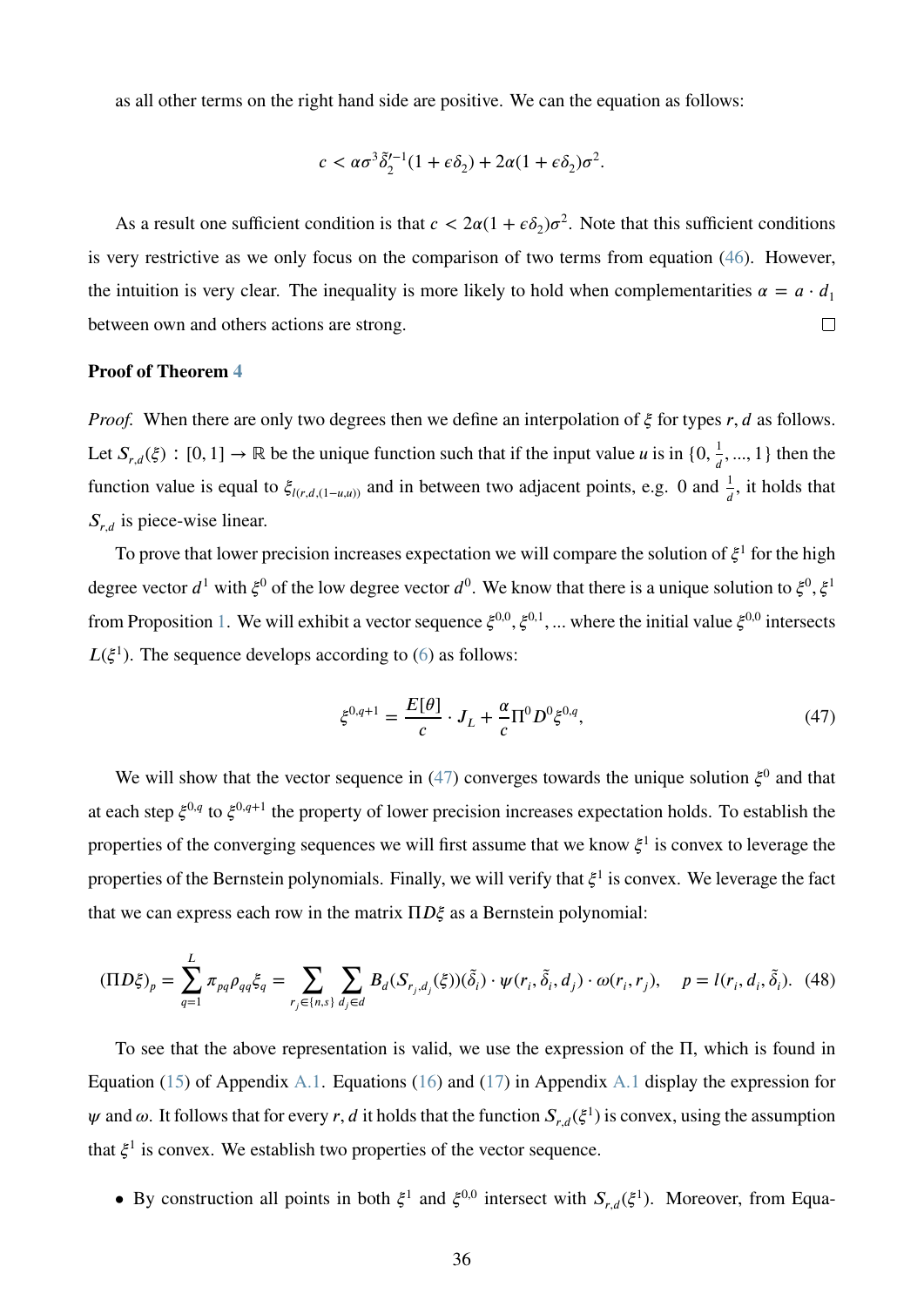as all other terms on the right hand side are positive. We can the equation as follows:

$$
c < \alpha \sigma^3 \tilde{\delta}_2'^{-1} (1 + \epsilon \delta_2) + 2\alpha (1 + \epsilon \delta_2) \sigma^2.
$$

As a result one sufficient condition is that  $c < 2\alpha(1 + \epsilon \delta_2)\sigma^2$ . Note that this sufficient conditions is very restrictive as we only focus on the comparison of two terms from equation [\(46\)](#page-35-0). However, the intuition is very clear. The inequality is more likely to hold when complementarities  $\alpha = a \cdot d_1$ between own and others actions are strong.  $\Box$ 

#### **Proof of Theorem [4](#page-14-0)**

*Proof.* When there are only two degrees then we define an interpolation of  $\xi$  for types r, d as follows. Let  $S_{r,d}(\xi) : [0,1] \to \mathbb{R}$  be the unique function such that if the input value *u* is in  $\{0, \frac{1}{d}\}$  $\frac{1}{d}$ , ..., 1 } then the function value is equal to  $\xi_{l(r,d,(1-u,u))}$  and in between two adjacent points, e.g. 0 and  $\frac{1}{d}$ , it holds that  $S_{r,d}$  is piece-wise linear.

To prove that lower precision increases expectation we will compare the solution of  $\xi^1$  for the high degree vector  $d^1$  with  $\xi^0$  of the low degree vector  $d^0$ . We know that there is a unique solution to  $\xi^0$ ,  $\xi^1$ from Proposition [1.](#page-8-2) We will exhibit a vector sequence  $\xi^{0,0}, \xi^{0,1}, ...$  where the initial value  $\xi^{0,0}$  intersects  $L(\xi^1)$ . The sequence develops according to [\(6\)](#page-8-3) as follows:

<span id="page-36-0"></span>
$$
\xi^{0,q+1} = \frac{E[\theta]}{c} \cdot J_L + \frac{\alpha}{c} \Pi^0 D^0 \xi^{0,q},\tag{47}
$$

We will show that the vector sequence in  $(47)$  converges towards the unique solution  $\xi^0$  and that at each step  $\xi^{0,q}$  to  $\xi^{0,q+1}$  the property of lower precision increases expectation holds. To establish the properties of the converging sequences we will first assume that we know  $\xi^1$  is convex to leverage the properties of the Bernstein polynomials. Finally, we will verify that  $\xi^1$  is convex. We leverage the fact that we can express each row in the matrix  $\Pi D\xi$  as a Bernstein polynomial:

$$
(\Pi D\xi)_p = \sum_{q=1}^L \pi_{pq} \rho_{qq} \xi_q = \sum_{r_j \in \{n, s\}} \sum_{d_j \in d} B_d(S_{r_j, d_j}(\xi)) (\tilde{\delta}_i) \cdot \psi(r_i, \tilde{\delta}_i, d_j) \cdot \omega(r_i, r_j), \quad p = l(r_i, d_i, \tilde{\delta}_i). \tag{48}
$$

To see that the above representation is valid, we use the expression of the Π, which is found in Equation [\(15\)](#page-26-1) of Appendix [A.1.](#page-26-0) Equations [\(16\)](#page-26-2) and [\(17\)](#page-26-3) in Appendix [A.1](#page-26-0) display the expression for  $\psi$  and  $\omega$ . It follows that for every *r*, *d* it holds that the function  $S_{r,d}(\xi^1)$  is convex, using the assumption that  $\xi^1$  is convex. We establish two properties of the vector sequence.

• By construction all points in both  $\xi^1$  and  $\xi^{0,0}$  intersect with  $S_{r,d}(\xi^1)$ . Moreover, from Equa-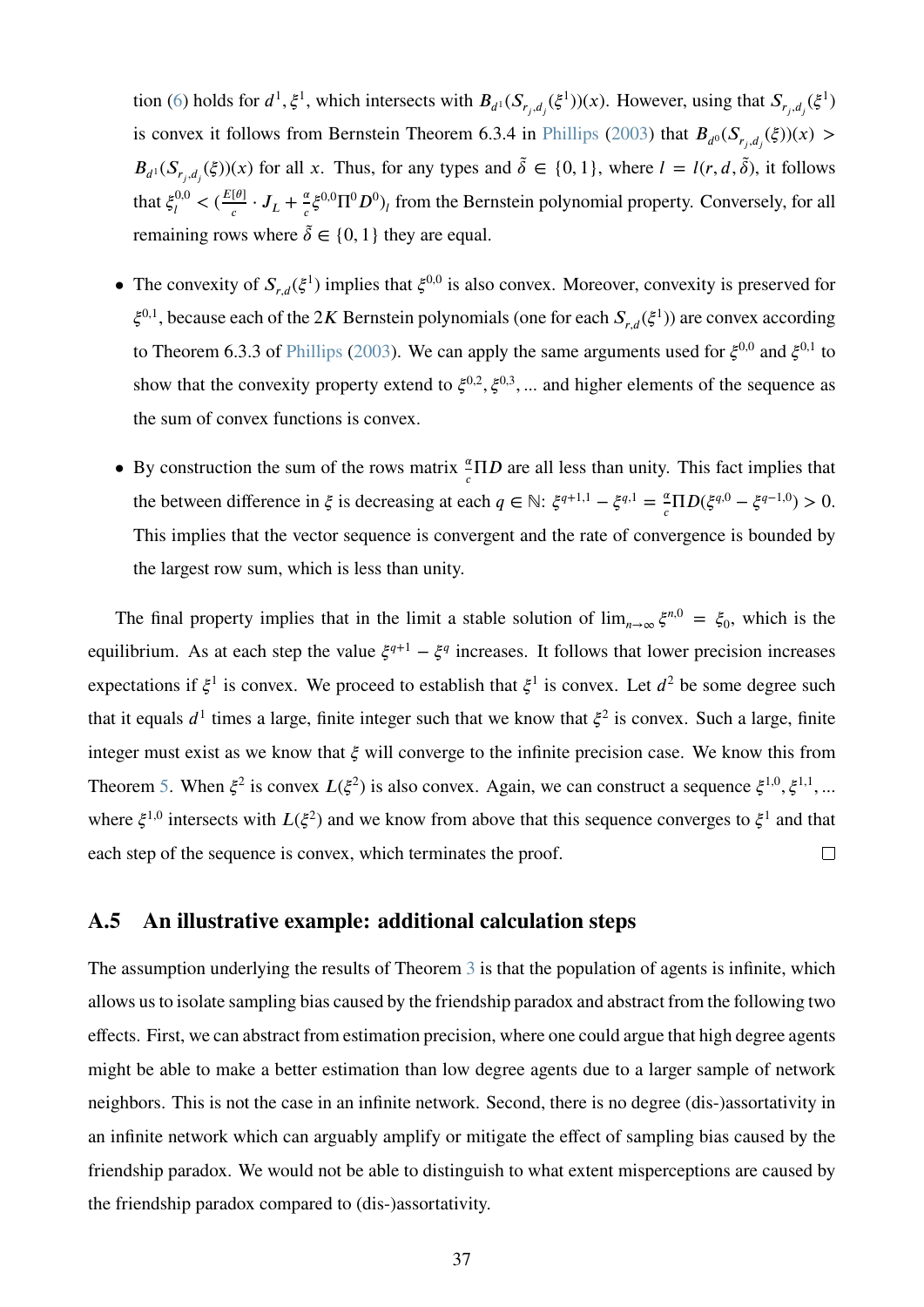tion [\(6\)](#page-8-3) holds for  $d^1$ ,  $\xi^1$ , which intersects with  $B_{d^1}(S_{r_j,d_j}(\xi^1))(x)$ . However, using that  $S_{r_j,d_j}(\xi^1)$ is convex it follows from Bernstein Theorem 6.3.4 in [Phillips](#page-25-12) [\(2003\)](#page-25-12) that  $B_{d^0}(S_{r_j,d_j}(\xi))(x) >$  $B_{d^1}(S_{r_j, d_j}(\xi))(x)$  for all *x*. Thus, for any types and  $\tilde{\delta} \in \{0, 1\}$ , where  $l = l(r, d, \tilde{\delta})$ , it follows that  $\xi_l^{0,0}$  $\frac{I_{c}^{(0,0)}(E[\theta])}{I}$  $\frac{[\theta]}{c} \cdot J_L + \frac{\alpha}{c}$  $\frac{\alpha}{c} \xi^{0,0} \Pi^0 D^0$ <sub>*l*</sub> from the Bernstein polynomial property. Conversely, for all remaining rows where  $\tilde{\delta} \in \{0, 1\}$  they are equal.

- The convexity of  $S_{r,d}(\xi^1)$  implies that  $\xi^{0,0}$  is also convex. Moreover, convexity is preserved for  $\xi^{0,1}$ , because each of the 2*K* Bernstein polynomials (one for each  $S_{r,d}(\xi^1)$ ) are convex according to Theorem 6.3.3 of [Phillips](#page-25-12) [\(2003\)](#page-25-12). We can apply the same arguments used for  $\xi^{0,0}$  and  $\xi^{0,1}$  to show that the convexity property extend to  $\xi^{0,2}, \xi^{0,3}, \dots$  and higher elements of the sequence as the sum of convex functions is convex.
- By construction the sum of the rows matrix  $\frac{\alpha}{c} \Pi D$  are all less than unity. This fact implies that the between difference in  $\xi$  is decreasing at each  $q \in \mathbb{N}$ :  $\xi^{q+1,1} - \xi^{q,1} = \frac{a}{q}$  $\frac{\alpha}{c} \Pi D(\xi^{q,0} - \xi^{q-1,0}) > 0.$ This implies that the vector sequence is convergent and the rate of convergence is bounded by the largest row sum, which is less than unity.

The final property implies that in the limit a stable solution of  $\lim_{n\to\infty} \xi^{n,0} = \xi_0$ , which is the equilibrium. As at each step the value  $\xi^{q+1} - \xi^q$  increases. It follows that lower precision increases expectations if  $\xi^1$  is convex. We proceed to establish that  $\xi^1$  is convex. Let  $d^2$  be some degree such that it equals  $d^1$  times a large, finite integer such that we know that  $\xi^2$  is convex. Such a large, finite integer must exist as we know that  $ξ$  will converge to the infinite precision case. We know this from Theorem [5.](#page-14-1) When  $\xi^2$  is convex  $L(\xi^2)$  is also convex. Again, we can construct a sequence  $\xi^{1,0}, \xi^{1,1}, ...$ where  $\xi^{1,0}$  intersects with  $L(\xi^2)$  and we know from above that this sequence converges to  $\xi^1$  and that each step of the sequence is convex, which terminates the proof.  $\Box$ 

### <span id="page-37-0"></span>**A.5 An illustrative example: additional calculation steps**

The assumption underlying the results of Theorem [3](#page-10-0) is that the population of agents is infinite, which allows us to isolate sampling bias caused by the friendship paradox and abstract from the following two effects. First, we can abstract from estimation precision, where one could argue that high degree agents might be able to make a better estimation than low degree agents due to a larger sample of network neighbors. This is not the case in an infinite network. Second, there is no degree (dis-)assortativity in an infinite network which can arguably amplify or mitigate the effect of sampling bias caused by the friendship paradox. We would not be able to distinguish to what extent misperceptions are caused by the friendship paradox compared to (dis-)assortativity.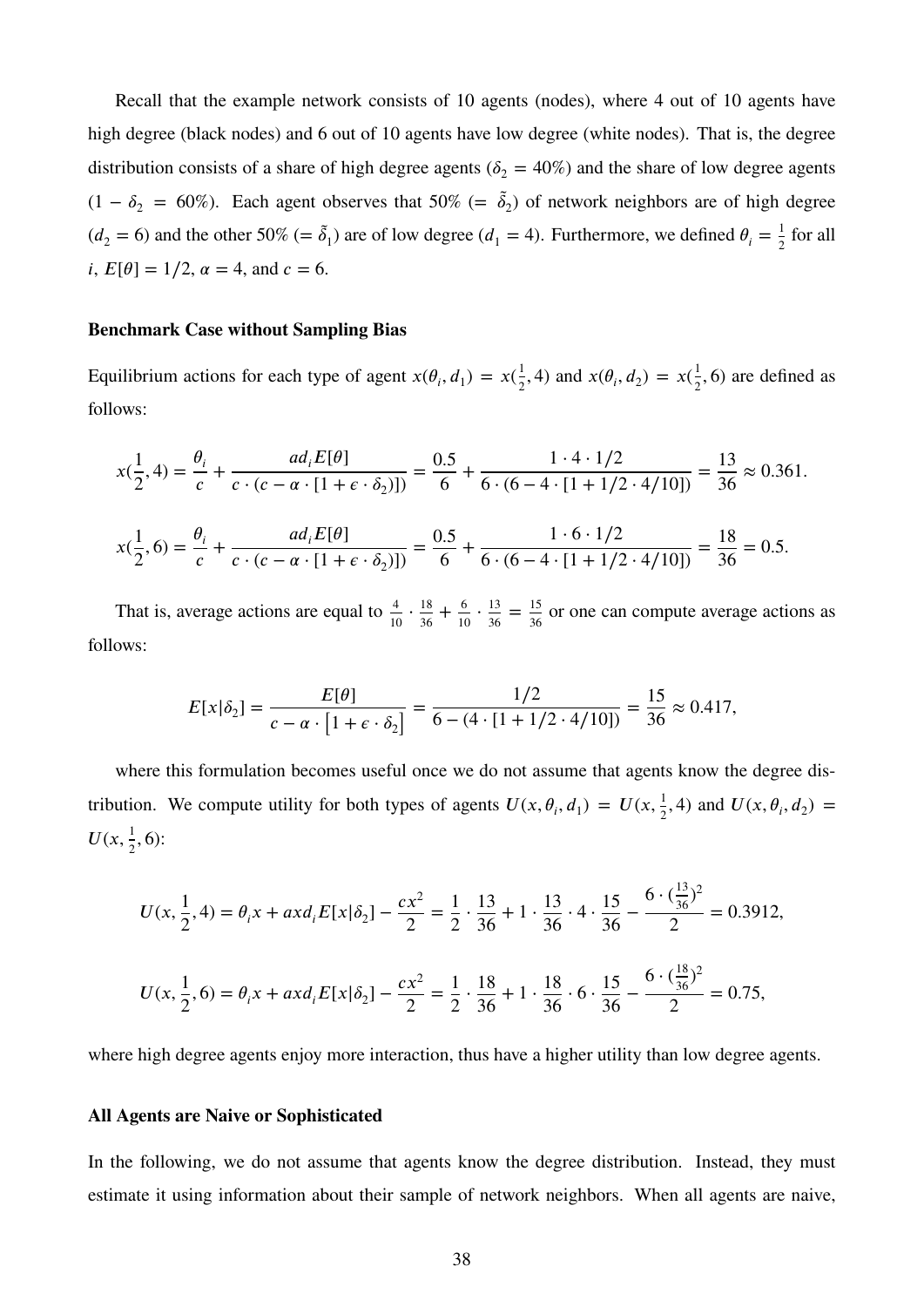Recall that the example network consists of 10 agents (nodes), where 4 out of 10 agents have high degree (black nodes) and 6 out of 10 agents have low degree (white nodes). That is, the degree distribution consists of a share of high degree agents ( $\delta_2 = 40\%$ ) and the share of low degree agents  $(1 - \delta_2 = 60\%)$ . Each agent observes that 50% (=  $\tilde{\delta}_2$ ) of network neighbors are of high degree  $(d_2 = 6)$  and the other 50% (=  $\tilde{\delta}_1$ ) are of low degree ( $d_1 = 4$ ). Furthermore, we defined  $\theta_i = \frac{1}{2}$  $rac{1}{2}$  for all  $i, E[\theta] = 1/2, \alpha = 4, \text{ and } c = 6.$ 

#### **Benchmark Case without Sampling Bias**

Equilibrium actions for each type of agent  $x(\theta_i, d_1) = x(\frac{1}{2})$  $\frac{1}{2}$ , 4) and  $x(\theta_i, d_2) = x(\frac{1}{2})$  $\frac{1}{2}$ , 6) are defined as follows:

$$
x(\frac{1}{2}, 4) = \frac{\theta_i}{c} + \frac{ad_i E[\theta]}{c \cdot (c - \alpha \cdot [1 + \epsilon \cdot \delta_2]]} = \frac{0.5}{6} + \frac{1 \cdot 4 \cdot 1/2}{6 \cdot (6 - 4 \cdot [1 + 1/2 \cdot 4/10])} = \frac{13}{36} \approx 0.361.
$$
  

$$
x(\frac{1}{2}, 6) = \frac{\theta_i}{c} + \frac{ad_i E[\theta]}{c \cdot (c - \alpha \cdot [1 + \epsilon \cdot \delta_2]]} = \frac{0.5}{6} + \frac{1 \cdot 6 \cdot 1/2}{6 \cdot (6 - 4 \cdot [1 + 1/2 \cdot 4/10])} = \frac{18}{36} = 0.5.
$$

That is, average actions are equal to  $\frac{4}{10} \cdot \frac{18}{36}$  $rac{18}{36} + \frac{6}{10}$  $\frac{6}{10} \cdot \frac{13}{36}$  $rac{13}{36} = \frac{15}{36}$  $\frac{15}{36}$  or one can compute average actions as follows:

$$
E[x|\delta_2] = \frac{E[\theta]}{c - \alpha \cdot [1 + \epsilon \cdot \delta_2]} = \frac{1/2}{6 - (4 \cdot [1 + 1/2 \cdot 4/10])} = \frac{15}{36} \approx 0.417,
$$

where this formulation becomes useful once we do not assume that agents know the degree distribution. We compute utility for both types of agents  $U(x, \theta_i, d_1) = U(x, \frac{1}{2})$  $\frac{1}{2}$ , 4) and  $U(x, \theta_i, d_2) =$  $U(x, \frac{1}{2})$  $\frac{1}{2}$ , 6):

$$
U(x, \frac{1}{2}, 4) = \theta_i x + axd_i E[x|\delta_2] - \frac{cx^2}{2} = \frac{1}{2} \cdot \frac{13}{36} + 1 \cdot \frac{13}{36} \cdot 4 \cdot \frac{15}{36} - \frac{6 \cdot (\frac{13}{36})^2}{2} = 0.3912,
$$
  

$$
U(x, \frac{1}{2}, 6) = \theta_i x + axd_i E[x|\delta_2] - \frac{cx^2}{2} = \frac{1}{2} \cdot \frac{18}{36} + 1 \cdot \frac{18}{36} \cdot 6 \cdot \frac{15}{36} - \frac{6 \cdot (\frac{18}{36})^2}{2} = 0.75,
$$

where high degree agents enjoy more interaction, thus have a higher utility than low degree agents.

#### **All Agents are Naive or Sophisticated**

In the following, we do not assume that agents know the degree distribution. Instead, they must estimate it using information about their sample of network neighbors. When all agents are naive,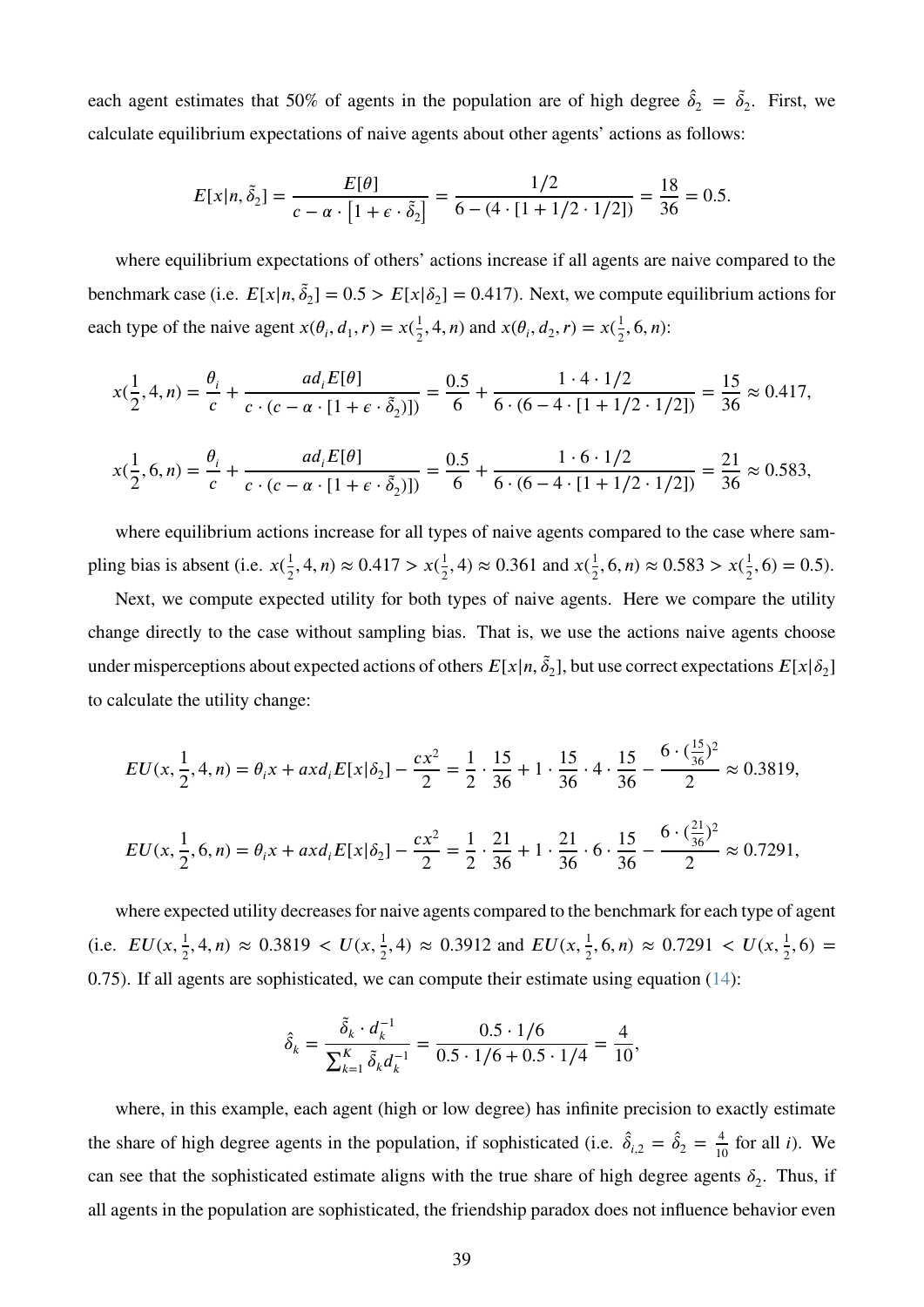each agent estimates that 50% of agents in the population are of high degree  $\hat{\delta}_2 = \tilde{\delta}_2$ . First, we calculate equilibrium expectations of naive agents about other agents' actions as follows:

$$
E[x|n, \tilde{\delta}_2] = \frac{E[\theta]}{c - \alpha \cdot [1 + \epsilon \cdot \tilde{\delta}_2]} = \frac{1/2}{6 - (4 \cdot [1 + 1/2 \cdot 1/2])} = \frac{18}{36} = 0.5.
$$

where equilibrium expectations of others' actions increase if all agents are naive compared to the benchmark case (i.e.  $E[x|n, \tilde{\delta}_2] = 0.5 > E[x|\delta_2] = 0.417$ ). Next, we compute equilibrium actions for each type of the naive agent  $x(\theta_i, d_1, r) = x(\frac{1}{2})$  $\frac{1}{2}$ , 4, *n*) and  $x(\theta_i, d_2, r) = x(\frac{1}{2})$  $\frac{1}{2}$ , 6*, n*):

$$
x(\frac{1}{2}, 4, n) = \frac{\theta_i}{c} + \frac{ad_i E[\theta]}{c \cdot (c - \alpha \cdot [1 + \epsilon \cdot \tilde{\delta}_2)])} = \frac{0.5}{6} + \frac{1 \cdot 4 \cdot 1/2}{6 \cdot (6 - 4 \cdot [1 + 1/2 \cdot 1/2])} = \frac{15}{36} \approx 0.417,
$$

$$
x(\frac{1}{2},6,n) = \frac{\theta_i}{c} + \frac{ad_i E[\theta]}{c \cdot (c - \alpha \cdot [1 + \epsilon \cdot \tilde{\delta}_2)])} = \frac{0.5}{6} + \frac{1 \cdot 6 \cdot 1/2}{6 \cdot (6 - 4 \cdot [1 + 1/2 \cdot 1/2])} = \frac{21}{36} \approx 0.583,
$$

where equilibrium actions increase for all types of naive agents compared to the case where sampling bias is absent (i.e.  $x(\frac{1}{2})$  $\frac{1}{2}$ , 4*, n*)  $\approx 0.417 > x(\frac{1}{2})$  $\frac{1}{2}$ , 4)  $\approx 0.361$  and  $x(\frac{1}{2})$  $\frac{1}{2}$ , 6*, n*)  $\approx 0.583 > x(\frac{1}{2})$  $\frac{1}{2}$ , 6) = 0.5).

Next, we compute expected utility for both types of naive agents. Here we compare the utility change directly to the case without sampling bias. That is, we use the actions naive agents choose under misperceptions about expected actions of others  $E[x|n, \tilde{\delta}_2]$ , but use correct expectations  $E[x|\delta_2]$ to calculate the utility change:

$$
EU(x, \frac{1}{2}, 4, n) = \theta_i x + axd_i E[x|\delta_2] - \frac{cx^2}{2} = \frac{1}{2} \cdot \frac{15}{36} + 1 \cdot \frac{15}{36} \cdot 4 \cdot \frac{15}{36} - \frac{6 \cdot (\frac{15}{36})^2}{2} \approx 0.3819,
$$
  

$$
EU(x, \frac{1}{2}, 6, n) = \theta_i x + axd_i E[x|\delta_2] - \frac{cx^2}{2} = \frac{1}{2} \cdot \frac{21}{36} + 1 \cdot \frac{21}{36} \cdot 6 \cdot \frac{15}{36} - \frac{6 \cdot (\frac{21}{36})^2}{2} \approx 0.7291,
$$

where expected utility decreases for naive agents compared to the benchmark for each type of agent (i.e.  $EU(x, \frac{1}{2})$  $\frac{1}{2}$ , 4, n)  $\approx 0.3819 < U(x, \frac{1}{2})$  $\frac{1}{2}$ , 4)  $\approx 0.3912$  and  $EU(x, \frac{1}{2})$  $\frac{1}{2}$ , 6, n)  $\approx 0.7291 < U(x, \frac{1}{2})$  $\frac{1}{2}$ , 6) = 0*.*75). If all agents are sophisticated, we can compute their estimate using equation [\(14\)](#page-18-2):

$$
\hat{\delta}_k = \frac{\tilde{\delta}_k \cdot d_k^{-1}}{\sum_{k=1}^K \tilde{\delta}_k d_k^{-1}} = \frac{0.5 \cdot 1/6}{0.5 \cdot 1/6 + 0.5 \cdot 1/4} = \frac{4}{10},
$$

where, in this example, each agent (high or low degree) has infinite precision to exactly estimate the share of high degree agents in the population, if sophisticated (i.e.  $\hat{\delta}_{i,2} = \hat{\delta}_2 = \frac{4}{10}$  $\frac{4}{10}$  for all *i*). We can see that the sophisticated estimate aligns with the true share of high degree agents  $\delta_2$ . Thus, if all agents in the population are sophisticated, the friendship paradox does not influence behavior even